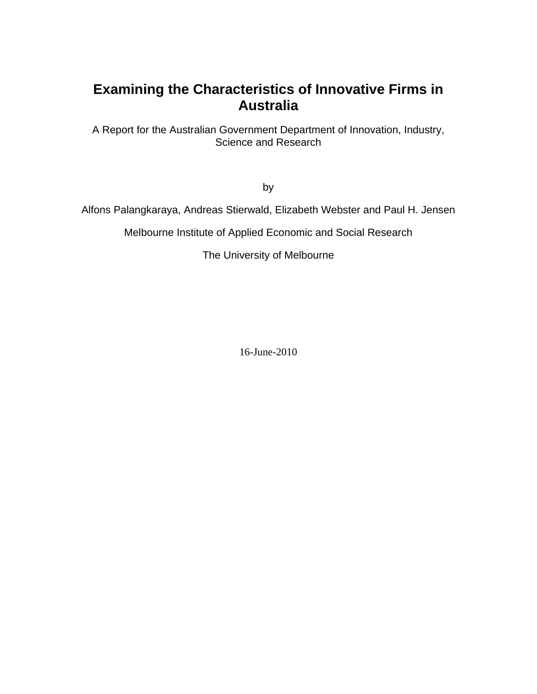# **Examining the Characteristics of Innovative Firms in Australia**

A Report for the Australian Government Department of Innovation, Industry, Science and Research

by

Alfons Palangkaraya, Andreas Stierwald, Elizabeth Webster and Paul H. Jensen

Melbourne Institute of Applied Economic and Social Research

The University of Melbourne

16-June-2010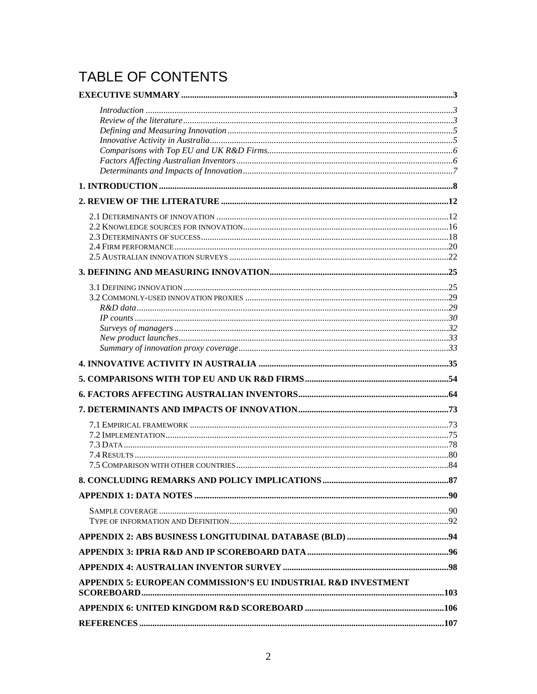# TABLE OF CONTENTS

| APPENDIX 5: EUROPEAN COMMISSION'S EU INDUSTRIAL R&D INVESTMENT |  |
|----------------------------------------------------------------|--|
|                                                                |  |
|                                                                |  |
|                                                                |  |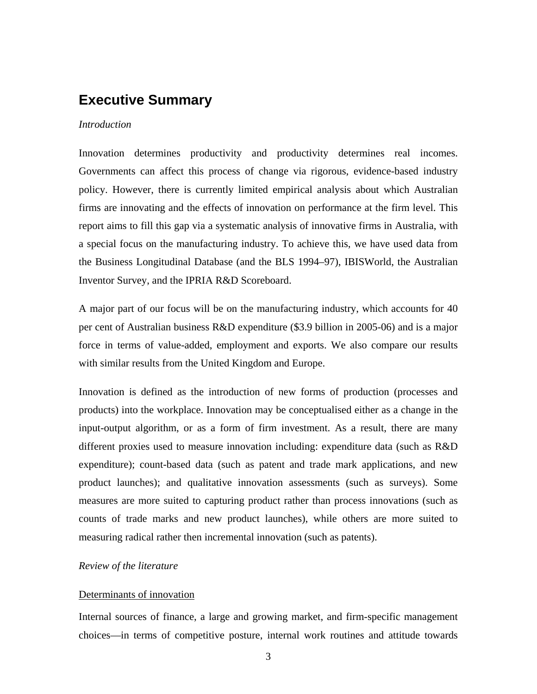## **Executive Summary**

### *Introduction*

Innovation determines productivity and productivity determines real incomes. Governments can affect this process of change via rigorous, evidence-based industry policy. However, there is currently limited empirical analysis about which Australian firms are innovating and the effects of innovation on performance at the firm level. This report aims to fill this gap via a systematic analysis of innovative firms in Australia, with a special focus on the manufacturing industry. To achieve this, we have used data from the Business Longitudinal Database (and the BLS 1994–97), IBISWorld, the Australian Inventor Survey, and the IPRIA R&D Scoreboard.

A major part of our focus will be on the manufacturing industry, which accounts for 40 per cent of Australian business R&D expenditure (\$3.9 billion in 2005-06) and is a major force in terms of value-added, employment and exports. We also compare our results with similar results from the United Kingdom and Europe.

Innovation is defined as the introduction of new forms of production (processes and products) into the workplace. Innovation may be conceptualised either as a change in the input-output algorithm, or as a form of firm investment. As a result, there are many different proxies used to measure innovation including: expenditure data (such as R&D expenditure); count-based data (such as patent and trade mark applications, and new product launches); and qualitative innovation assessments (such as surveys). Some measures are more suited to capturing product rather than process innovations (such as counts of trade marks and new product launches), while others are more suited to measuring radical rather then incremental innovation (such as patents).

### *Review of the literature*

### Determinants of innovation

Internal sources of finance, a large and growing market, and firm-specific management choices—in terms of competitive posture, internal work routines and attitude towards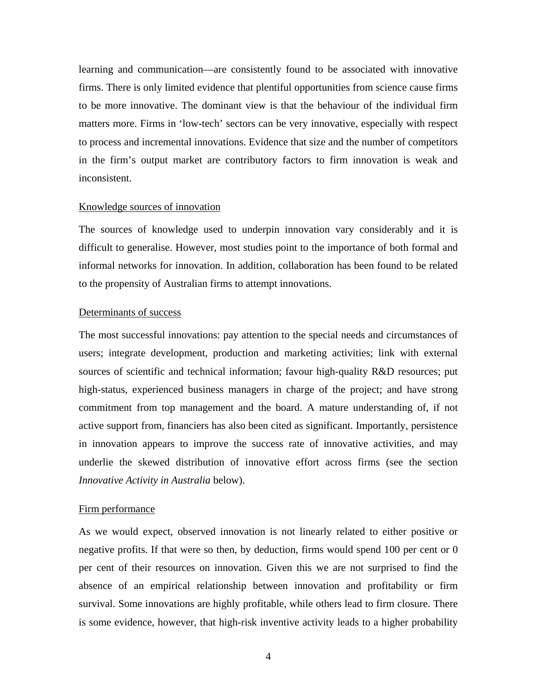learning and communication—are consistently found to be associated with innovative firms. There is only limited evidence that plentiful opportunities from science cause firms to be more innovative. The dominant view is that the behaviour of the individual firm matters more. Firms in 'low-tech' sectors can be very innovative, especially with respect to process and incremental innovations. Evidence that size and the number of competitors in the firm's output market are contributory factors to firm innovation is weak and inconsistent.

#### Knowledge sources of innovation

The sources of knowledge used to underpin innovation vary considerably and it is difficult to generalise. However, most studies point to the importance of both formal and informal networks for innovation. In addition, collaboration has been found to be related to the propensity of Australian firms to attempt innovations.

### Determinants of success

The most successful innovations: pay attention to the special needs and circumstances of users; integrate development, production and marketing activities; link with external sources of scientific and technical information; favour high-quality R&D resources; put high-status, experienced business managers in charge of the project; and have strong commitment from top management and the board. A mature understanding of, if not active support from, financiers has also been cited as significant. Importantly, persistence in innovation appears to improve the success rate of innovative activities, and may underlie the skewed distribution of innovative effort across firms (see the section *Innovative Activity in Australia* below).

#### Firm performance

As we would expect, observed innovation is not linearly related to either positive or negative profits. If that were so then, by deduction, firms would spend 100 per cent or 0 per cent of their resources on innovation. Given this we are not surprised to find the absence of an empirical relationship between innovation and profitability or firm survival. Some innovations are highly profitable, while others lead to firm closure. There is some evidence, however, that high-risk inventive activity leads to a higher probability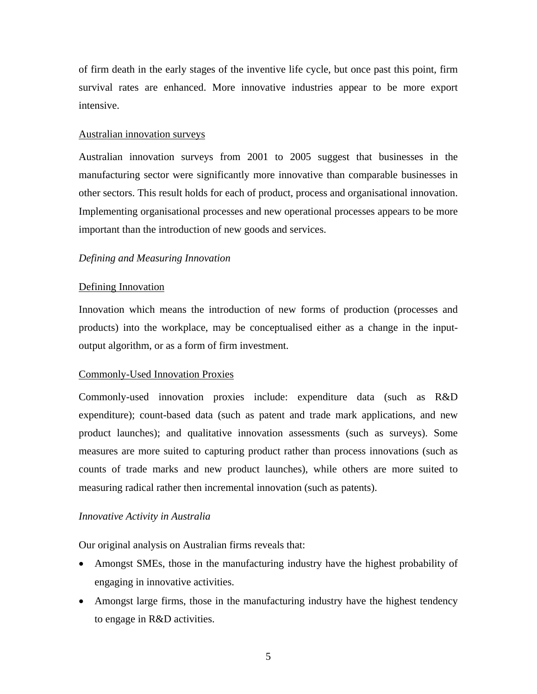of firm death in the early stages of the inventive life cycle, but once past this point, firm survival rates are enhanced. More innovative industries appear to be more export intensive.

### Australian innovation surveys

Australian innovation surveys from 2001 to 2005 suggest that businesses in the manufacturing sector were significantly more innovative than comparable businesses in other sectors. This result holds for each of product, process and organisational innovation. Implementing organisational processes and new operational processes appears to be more important than the introduction of new goods and services.

### *Defining and Measuring Innovation*

#### Defining Innovation

Innovation which means the introduction of new forms of production (processes and products) into the workplace, may be conceptualised either as a change in the inputoutput algorithm, or as a form of firm investment.

### Commonly-Used Innovation Proxies

Commonly-used innovation proxies include: expenditure data (such as R&D expenditure); count-based data (such as patent and trade mark applications, and new product launches); and qualitative innovation assessments (such as surveys). Some measures are more suited to capturing product rather than process innovations (such as counts of trade marks and new product launches), while others are more suited to measuring radical rather then incremental innovation (such as patents).

### *Innovative Activity in Australia*

Our original analysis on Australian firms reveals that:

- Amongst SMEs, those in the manufacturing industry have the highest probability of engaging in innovative activities.
- Amongst large firms, those in the manufacturing industry have the highest tendency to engage in R&D activities.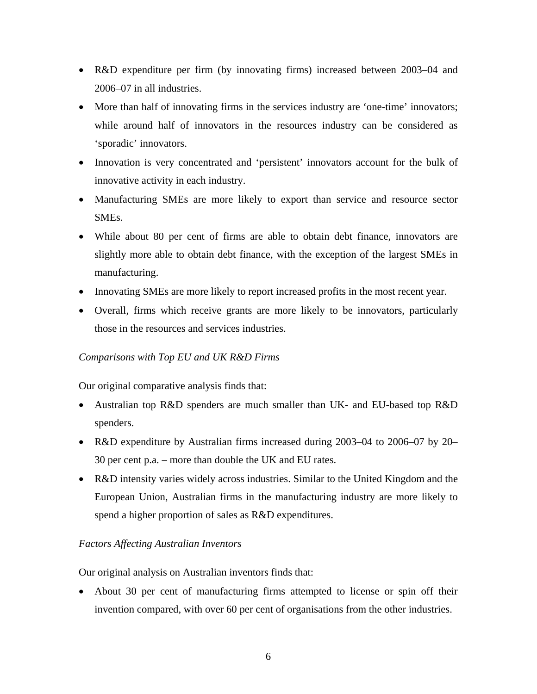- R&D expenditure per firm (by innovating firms) increased between 2003–04 and 2006–07 in all industries.
- More than half of innovating firms in the services industry are 'one-time' innovators; while around half of innovators in the resources industry can be considered as 'sporadic' innovators.
- Innovation is very concentrated and 'persistent' innovators account for the bulk of innovative activity in each industry.
- Manufacturing SMEs are more likely to export than service and resource sector SMEs.
- While about 80 per cent of firms are able to obtain debt finance, innovators are slightly more able to obtain debt finance, with the exception of the largest SMEs in manufacturing.
- Innovating SMEs are more likely to report increased profits in the most recent year.
- Overall, firms which receive grants are more likely to be innovators, particularly those in the resources and services industries.

### *Comparisons with Top EU and UK R&D Firms*

Our original comparative analysis finds that:

- Australian top R&D spenders are much smaller than UK- and EU-based top R&D spenders.
- R&D expenditure by Australian firms increased during 2003–04 to 2006–07 by 20– 30 per cent p.a. – more than double the UK and EU rates.
- R&D intensity varies widely across industries. Similar to the United Kingdom and the European Union, Australian firms in the manufacturing industry are more likely to spend a higher proportion of sales as R&D expenditures.

### *Factors Affecting Australian Inventors*

Our original analysis on Australian inventors finds that:

• About 30 per cent of manufacturing firms attempted to license or spin off their invention compared, with over 60 per cent of organisations from the other industries.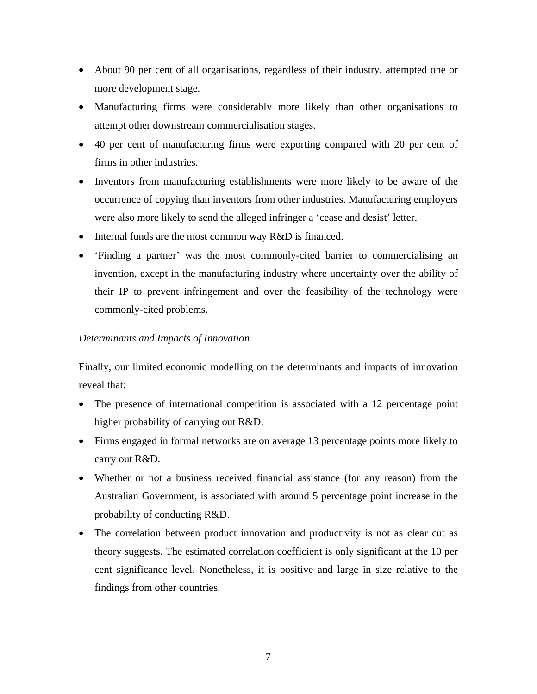- About 90 per cent of all organisations, regardless of their industry, attempted one or more development stage.
- Manufacturing firms were considerably more likely than other organisations to attempt other downstream commercialisation stages.
- 40 per cent of manufacturing firms were exporting compared with 20 per cent of firms in other industries.
- Inventors from manufacturing establishments were more likely to be aware of the occurrence of copying than inventors from other industries. Manufacturing employers were also more likely to send the alleged infringer a 'cease and desist' letter.
- Internal funds are the most common way R&D is financed.
- 'Finding a partner' was the most commonly-cited barrier to commercialising an invention, except in the manufacturing industry where uncertainty over the ability of their IP to prevent infringement and over the feasibility of the technology were commonly-cited problems.

### *Determinants and Impacts of Innovation*

Finally, our limited economic modelling on the determinants and impacts of innovation reveal that:

- The presence of international competition is associated with a 12 percentage point higher probability of carrying out R&D.
- Firms engaged in formal networks are on average 13 percentage points more likely to carry out R&D.
- Whether or not a business received financial assistance (for any reason) from the Australian Government, is associated with around 5 percentage point increase in the probability of conducting R&D.
- The correlation between product innovation and productivity is not as clear cut as theory suggests. The estimated correlation coefficient is only significant at the 10 per cent significance level. Nonetheless, it is positive and large in size relative to the findings from other countries.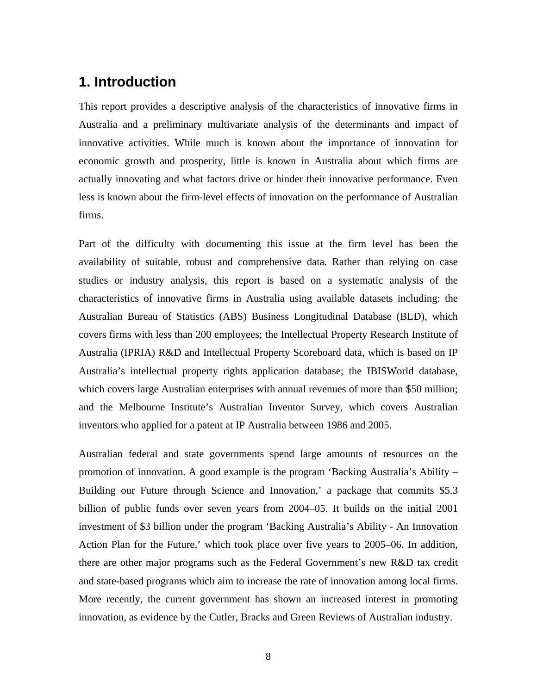### **1. Introduction**

This report provides a descriptive analysis of the characteristics of innovative firms in Australia and a preliminary multivariate analysis of the determinants and impact of innovative activities. While much is known about the importance of innovation for economic growth and prosperity, little is known in Australia about which firms are actually innovating and what factors drive or hinder their innovative performance. Even less is known about the firm-level effects of innovation on the performance of Australian firms.

Part of the difficulty with documenting this issue at the firm level has been the availability of suitable, robust and comprehensive data. Rather than relying on case studies or industry analysis, this report is based on a systematic analysis of the characteristics of innovative firms in Australia using available datasets including: the Australian Bureau of Statistics (ABS) Business Longitudinal Database (BLD), which covers firms with less than 200 employees; the Intellectual Property Research Institute of Australia (IPRIA) R&D and Intellectual Property Scoreboard data, which is based on IP Australia's intellectual property rights application database; the IBISWorld database, which covers large Australian enterprises with annual revenues of more than \$50 million; and the Melbourne Institute's Australian Inventor Survey, which covers Australian inventors who applied for a patent at IP Australia between 1986 and 2005.

Australian federal and state governments spend large amounts of resources on the promotion of innovation. A good example is the program 'Backing Australia's Ability – Building our Future through Science and Innovation,' a package that commits \$5.3 billion of public funds over seven years from 2004–05. It builds on the initial 2001 investment of \$3 billion under the program 'Backing Australia's Ability - An Innovation Action Plan for the Future,' which took place over five years to 2005–06. In addition, there are other major programs such as the Federal Government's new R&D tax credit and state-based programs which aim to increase the rate of innovation among local firms. More recently, the current government has shown an increased interest in promoting innovation, as evidence by the Cutler, Bracks and Green Reviews of Australian industry.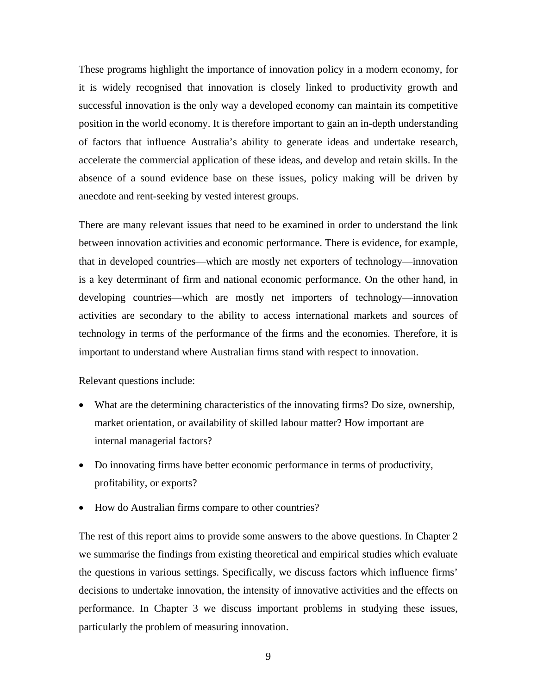These programs highlight the importance of innovation policy in a modern economy, for it is widely recognised that innovation is closely linked to productivity growth and successful innovation is the only way a developed economy can maintain its competitive position in the world economy. It is therefore important to gain an in-depth understanding of factors that influence Australia's ability to generate ideas and undertake research, accelerate the commercial application of these ideas, and develop and retain skills. In the absence of a sound evidence base on these issues, policy making will be driven by anecdote and rent-seeking by vested interest groups.

There are many relevant issues that need to be examined in order to understand the link between innovation activities and economic performance. There is evidence, for example, that in developed countries—which are mostly net exporters of technology—innovation is a key determinant of firm and national economic performance. On the other hand, in developing countries—which are mostly net importers of technology—innovation activities are secondary to the ability to access international markets and sources of technology in terms of the performance of the firms and the economies. Therefore, it is important to understand where Australian firms stand with respect to innovation.

Relevant questions include:

- What are the determining characteristics of the innovating firms? Do size, ownership, market orientation, or availability of skilled labour matter? How important are internal managerial factors?
- Do innovating firms have better economic performance in terms of productivity, profitability, or exports?
- How do Australian firms compare to other countries?

The rest of this report aims to provide some answers to the above questions. In Chapter 2 we summarise the findings from existing theoretical and empirical studies which evaluate the questions in various settings. Specifically, we discuss factors which influence firms' decisions to undertake innovation, the intensity of innovative activities and the effects on performance. In Chapter 3 we discuss important problems in studying these issues, particularly the problem of measuring innovation.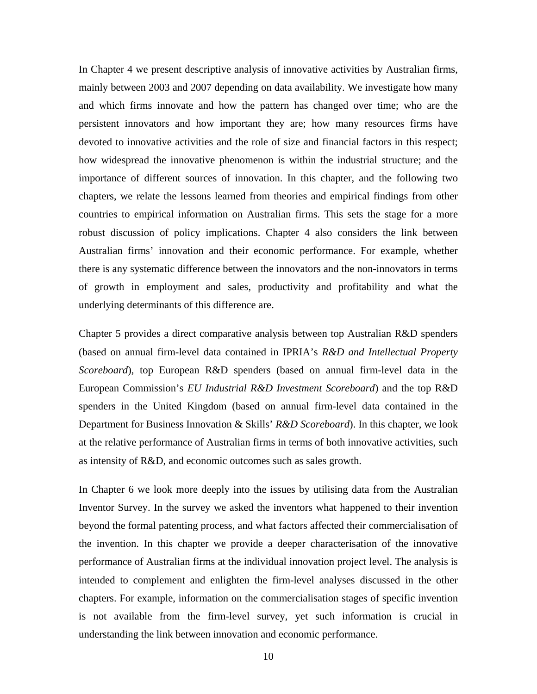In Chapter 4 we present descriptive analysis of innovative activities by Australian firms, mainly between 2003 and 2007 depending on data availability. We investigate how many and which firms innovate and how the pattern has changed over time; who are the persistent innovators and how important they are; how many resources firms have devoted to innovative activities and the role of size and financial factors in this respect; how widespread the innovative phenomenon is within the industrial structure; and the importance of different sources of innovation. In this chapter, and the following two chapters, we relate the lessons learned from theories and empirical findings from other countries to empirical information on Australian firms. This sets the stage for a more robust discussion of policy implications. Chapter 4 also considers the link between Australian firms' innovation and their economic performance. For example, whether there is any systematic difference between the innovators and the non-innovators in terms of growth in employment and sales, productivity and profitability and what the underlying determinants of this difference are.

Chapter 5 provides a direct comparative analysis between top Australian R&D spenders (based on annual firm-level data contained in IPRIA's *R&D and Intellectual Property Scoreboard*), top European R&D spenders (based on annual firm-level data in the European Commission's *EU Industrial R&D Investment Scoreboard*) and the top R&D spenders in the United Kingdom (based on annual firm-level data contained in the Department for Business Innovation & Skills' *R&D Scoreboard*). In this chapter, we look at the relative performance of Australian firms in terms of both innovative activities, such as intensity of R&D, and economic outcomes such as sales growth.

In Chapter 6 we look more deeply into the issues by utilising data from the Australian Inventor Survey. In the survey we asked the inventors what happened to their invention beyond the formal patenting process, and what factors affected their commercialisation of the invention. In this chapter we provide a deeper characterisation of the innovative performance of Australian firms at the individual innovation project level. The analysis is intended to complement and enlighten the firm-level analyses discussed in the other chapters. For example, information on the commercialisation stages of specific invention is not available from the firm-level survey, yet such information is crucial in understanding the link between innovation and economic performance.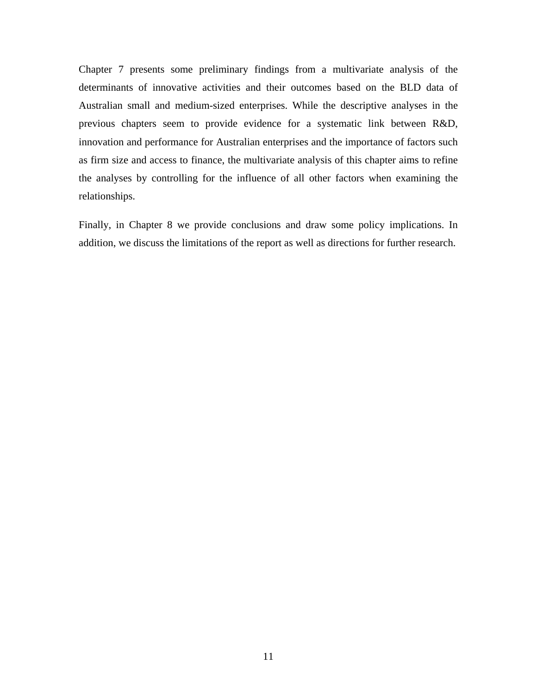Chapter 7 presents some preliminary findings from a multivariate analysis of the determinants of innovative activities and their outcomes based on the BLD data of Australian small and medium-sized enterprises. While the descriptive analyses in the previous chapters seem to provide evidence for a systematic link between R&D, innovation and performance for Australian enterprises and the importance of factors such as firm size and access to finance, the multivariate analysis of this chapter aims to refine the analyses by controlling for the influence of all other factors when examining the relationships.

Finally, in Chapter 8 we provide conclusions and draw some policy implications. In addition, we discuss the limitations of the report as well as directions for further research.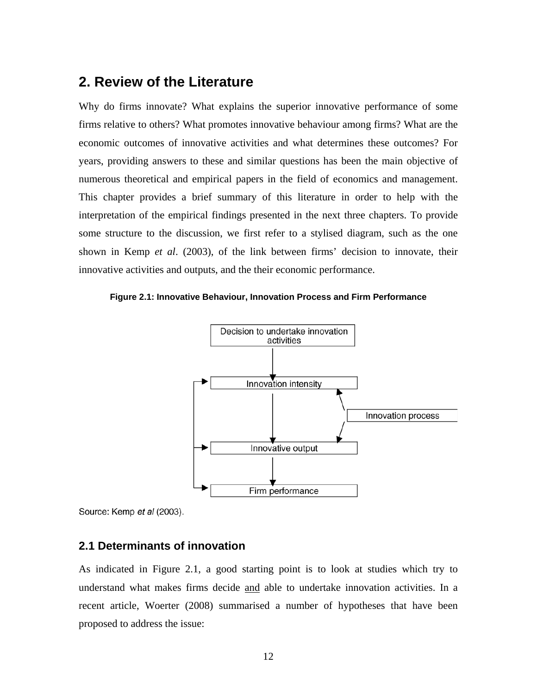### **2. Review of the Literature**

Why do firms innovate? What explains the superior innovative performance of some firms relative to others? What promotes innovative behaviour among firms? What are the economic outcomes of innovative activities and what determines these outcomes? For years, providing answers to these and similar questions has been the main objective of numerous theoretical and empirical papers in the field of economics and management. This chapter provides a brief summary of this literature in order to help with the interpretation of the empirical findings presented in the next three chapters. To provide some structure to the discussion, we first refer to a stylised diagram, such as the one shown in Kemp *et al*. (2003), of the link between firms' decision to innovate, their innovative activities and outputs, and the their economic performance.





Source: Kemp et al (2003).

### **2.1 Determinants of innovation**

As indicated in Figure 2.1, a good starting point is to look at studies which try to understand what makes firms decide and able to undertake innovation activities. In a recent article, Woerter (2008) summarised a number of hypotheses that have been proposed to address the issue: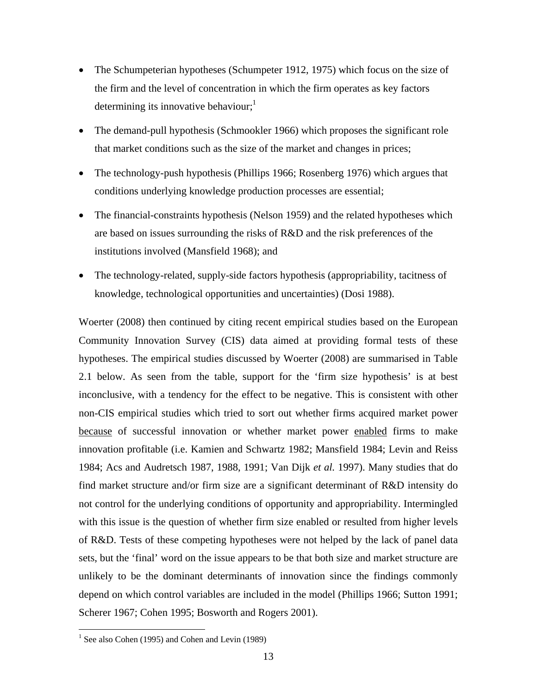- The Schumpeterian hypotheses (Schumpeter 1912, 1975) which focus on the size of the firm and the level of concentration in which the firm operates as key factors determining its innovative behaviour; $<sup>1</sup>$ </sup>
- The demand-pull hypothesis (Schmookler 1966) which proposes the significant role that market conditions such as the size of the market and changes in prices;
- The technology-push hypothesis (Phillips 1966; Rosenberg 1976) which argues that conditions underlying knowledge production processes are essential;
- The financial-constraints hypothesis (Nelson 1959) and the related hypotheses which are based on issues surrounding the risks of R&D and the risk preferences of the institutions involved (Mansfield 1968); and
- The technology-related, supply-side factors hypothesis (appropriability, tacitness of knowledge, technological opportunities and uncertainties) (Dosi 1988).

Woerter (2008) then continued by citing recent empirical studies based on the European Community Innovation Survey (CIS) data aimed at providing formal tests of these hypotheses. The empirical studies discussed by Woerter (2008) are summarised in Table 2.1 below. As seen from the table, support for the 'firm size hypothesis' is at best inconclusive, with a tendency for the effect to be negative. This is consistent with other non-CIS empirical studies which tried to sort out whether firms acquired market power because of successful innovation or whether market power enabled firms to make innovation profitable (i.e. Kamien and Schwartz 1982; Mansfield 1984; Levin and Reiss 1984; Acs and Audretsch 1987, 1988, 1991; Van Dijk *et al.* 1997). Many studies that do find market structure and/or firm size are a significant determinant of R&D intensity do not control for the underlying conditions of opportunity and appropriability. Intermingled with this issue is the question of whether firm size enabled or resulted from higher levels of R&D. Tests of these competing hypotheses were not helped by the lack of panel data sets, but the 'final' word on the issue appears to be that both size and market structure are unlikely to be the dominant determinants of innovation since the findings commonly depend on which control variables are included in the model (Phillips 1966; Sutton 1991; Scherer 1967; Cohen 1995; Bosworth and Rogers 2001).

 $\overline{a}$ 

<sup>&</sup>lt;sup>1</sup> See also Cohen (1995) and Cohen and Levin (1989)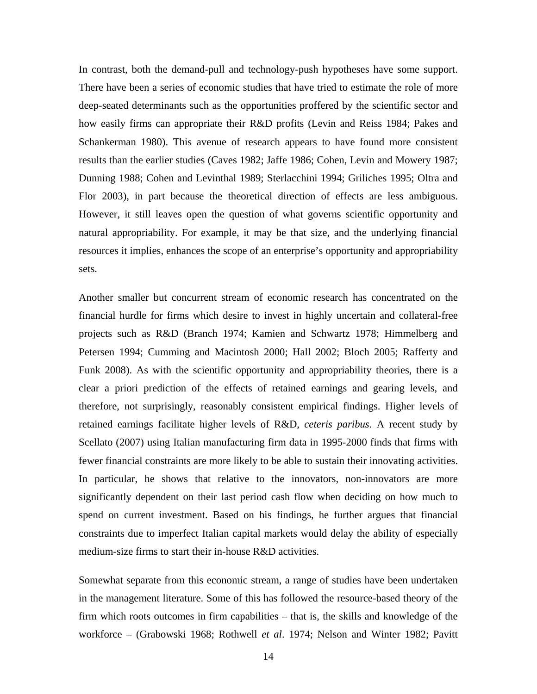In contrast, both the demand-pull and technology-push hypotheses have some support. There have been a series of economic studies that have tried to estimate the role of more deep-seated determinants such as the opportunities proffered by the scientific sector and how easily firms can appropriate their R&D profits (Levin and Reiss 1984; Pakes and Schankerman 1980). This avenue of research appears to have found more consistent results than the earlier studies (Caves 1982; Jaffe 1986; Cohen, Levin and Mowery 1987; Dunning 1988; Cohen and Levinthal 1989; Sterlacchini 1994; Griliches 1995; Oltra and Flor 2003), in part because the theoretical direction of effects are less ambiguous. However, it still leaves open the question of what governs scientific opportunity and natural appropriability. For example, it may be that size, and the underlying financial resources it implies, enhances the scope of an enterprise's opportunity and appropriability sets.

Another smaller but concurrent stream of economic research has concentrated on the financial hurdle for firms which desire to invest in highly uncertain and collateral-free projects such as R&D (Branch 1974; Kamien and Schwartz 1978; Himmelberg and Petersen 1994; Cumming and Macintosh 2000; Hall 2002; Bloch 2005; Rafferty and Funk 2008). As with the scientific opportunity and appropriability theories, there is a clear a priori prediction of the effects of retained earnings and gearing levels, and therefore, not surprisingly, reasonably consistent empirical findings. Higher levels of retained earnings facilitate higher levels of R&D, *ceteris paribus*. A recent study by Scellato (2007) using Italian manufacturing firm data in 1995-2000 finds that firms with fewer financial constraints are more likely to be able to sustain their innovating activities. In particular, he shows that relative to the innovators, non-innovators are more significantly dependent on their last period cash flow when deciding on how much to spend on current investment. Based on his findings, he further argues that financial constraints due to imperfect Italian capital markets would delay the ability of especially medium-size firms to start their in-house R&D activities.

Somewhat separate from this economic stream, a range of studies have been undertaken in the management literature. Some of this has followed the resource-based theory of the firm which roots outcomes in firm capabilities – that is, the skills and knowledge of the workforce – (Grabowski 1968; Rothwell *et al*. 1974; Nelson and Winter 1982; Pavitt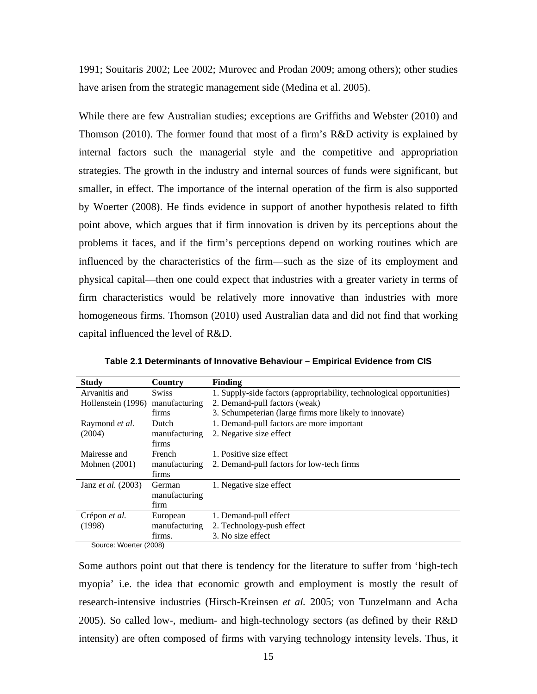1991; Souitaris 2002; Lee 2002; Murovec and Prodan 2009; among others); other studies have arisen from the strategic management side (Medina et al. 2005).

While there are few Australian studies; exceptions are Griffiths and Webster (2010) and Thomson (2010). The former found that most of a firm's R&D activity is explained by internal factors such the managerial style and the competitive and appropriation strategies. The growth in the industry and internal sources of funds were significant, but smaller, in effect. The importance of the internal operation of the firm is also supported by Woerter (2008). He finds evidence in support of another hypothesis related to fifth point above, which argues that if firm innovation is driven by its perceptions about the problems it faces, and if the firm's perceptions depend on working routines which are influenced by the characteristics of the firm—such as the size of its employment and physical capital—then one could expect that industries with a greater variety in terms of firm characteristics would be relatively more innovative than industries with more homogeneous firms. Thomson (2010) used Australian data and did not find that working capital influenced the level of R&D.

| <b>Study</b>              | Country       | Finding                                                               |  |  |  |
|---------------------------|---------------|-----------------------------------------------------------------------|--|--|--|
| Arvanitis and             | <b>Swiss</b>  | 1. Supply-side factors (appropriability, technological opportunities) |  |  |  |
| Hollenstein (1996)        | manufacturing | 2. Demand-pull factors (weak)                                         |  |  |  |
|                           | firms         | 3. Schumpeterian (large firms more likely to innovate)                |  |  |  |
| Raymond et al.            | Dutch         | 1. Demand-pull factors are more important                             |  |  |  |
| (2004)                    | manufacturing | 2. Negative size effect                                               |  |  |  |
|                           | firms         |                                                                       |  |  |  |
| Mairesse and              | French        | 1. Positive size effect                                               |  |  |  |
| Mohnen $(2001)$           | manufacturing | 2. Demand-pull factors for low-tech firms                             |  |  |  |
|                           | firms         |                                                                       |  |  |  |
| Janz <i>et al.</i> (2003) | German        | 1. Negative size effect                                               |  |  |  |
|                           | manufacturing |                                                                       |  |  |  |
|                           | firm          |                                                                       |  |  |  |
| Crépon et al.             | European      | 1. Demand-pull effect                                                 |  |  |  |
| (1998)                    | manufacturing | 2. Technology-push effect                                             |  |  |  |
|                           | firms.        | 3. No size effect                                                     |  |  |  |

**Table 2.1 Determinants of Innovative Behaviour – Empirical Evidence from CIS** 

Source: Woerter (2008)

Some authors point out that there is tendency for the literature to suffer from 'high-tech myopia' i.e. the idea that economic growth and employment is mostly the result of research-intensive industries (Hirsch-Kreinsen *et al.* 2005; von Tunzelmann and Acha 2005). So called low-, medium- and high-technology sectors (as defined by their R&D intensity) are often composed of firms with varying technology intensity levels. Thus, it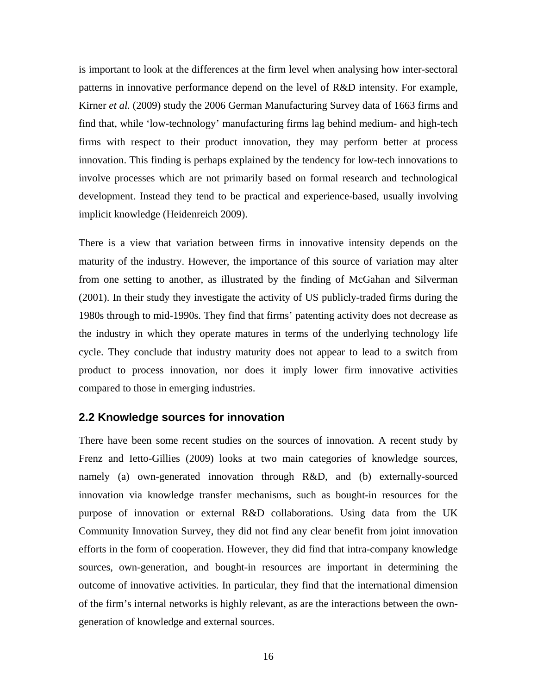is important to look at the differences at the firm level when analysing how inter-sectoral patterns in innovative performance depend on the level of R&D intensity. For example, Kirner *et al.* (2009) study the 2006 German Manufacturing Survey data of 1663 firms and find that, while 'low-technology' manufacturing firms lag behind medium- and high-tech firms with respect to their product innovation, they may perform better at process innovation. This finding is perhaps explained by the tendency for low-tech innovations to involve processes which are not primarily based on formal research and technological development. Instead they tend to be practical and experience-based, usually involving implicit knowledge (Heidenreich 2009).

There is a view that variation between firms in innovative intensity depends on the maturity of the industry. However, the importance of this source of variation may alter from one setting to another, as illustrated by the finding of McGahan and Silverman (2001). In their study they investigate the activity of US publicly-traded firms during the 1980s through to mid-1990s. They find that firms' patenting activity does not decrease as the industry in which they operate matures in terms of the underlying technology life cycle. They conclude that industry maturity does not appear to lead to a switch from product to process innovation, nor does it imply lower firm innovative activities compared to those in emerging industries.

### **2.2 Knowledge sources for innovation**

There have been some recent studies on the sources of innovation. A recent study by Frenz and Ietto-Gillies (2009) looks at two main categories of knowledge sources, namely (a) own-generated innovation through R&D, and (b) externally-sourced innovation via knowledge transfer mechanisms, such as bought-in resources for the purpose of innovation or external R&D collaborations. Using data from the UK Community Innovation Survey, they did not find any clear benefit from joint innovation efforts in the form of cooperation. However, they did find that intra-company knowledge sources, own-generation, and bought-in resources are important in determining the outcome of innovative activities. In particular, they find that the international dimension of the firm's internal networks is highly relevant, as are the interactions between the owngeneration of knowledge and external sources.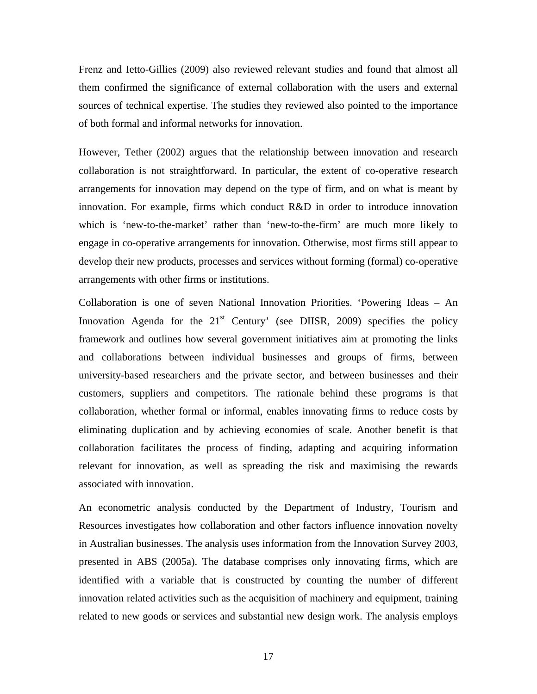Frenz and Ietto-Gillies (2009) also reviewed relevant studies and found that almost all them confirmed the significance of external collaboration with the users and external sources of technical expertise. The studies they reviewed also pointed to the importance of both formal and informal networks for innovation.

However, Tether (2002) argues that the relationship between innovation and research collaboration is not straightforward. In particular, the extent of co-operative research arrangements for innovation may depend on the type of firm, and on what is meant by innovation. For example, firms which conduct R&D in order to introduce innovation which is 'new-to-the-market' rather than 'new-to-the-firm' are much more likely to engage in co-operative arrangements for innovation. Otherwise, most firms still appear to develop their new products, processes and services without forming (formal) co-operative arrangements with other firms or institutions.

Collaboration is one of seven National Innovation Priorities. 'Powering Ideas – An Innovation Agenda for the  $21<sup>st</sup>$  Century' (see DIISR, 2009) specifies the policy framework and outlines how several government initiatives aim at promoting the links and collaborations between individual businesses and groups of firms, between university-based researchers and the private sector, and between businesses and their customers, suppliers and competitors. The rationale behind these programs is that collaboration, whether formal or informal, enables innovating firms to reduce costs by eliminating duplication and by achieving economies of scale. Another benefit is that collaboration facilitates the process of finding, adapting and acquiring information relevant for innovation, as well as spreading the risk and maximising the rewards associated with innovation.

An econometric analysis conducted by the Department of Industry, Tourism and Resources investigates how collaboration and other factors influence innovation novelty in Australian businesses. The analysis uses information from the Innovation Survey 2003, presented in ABS (2005a). The database comprises only innovating firms, which are identified with a variable that is constructed by counting the number of different innovation related activities such as the acquisition of machinery and equipment, training related to new goods or services and substantial new design work. The analysis employs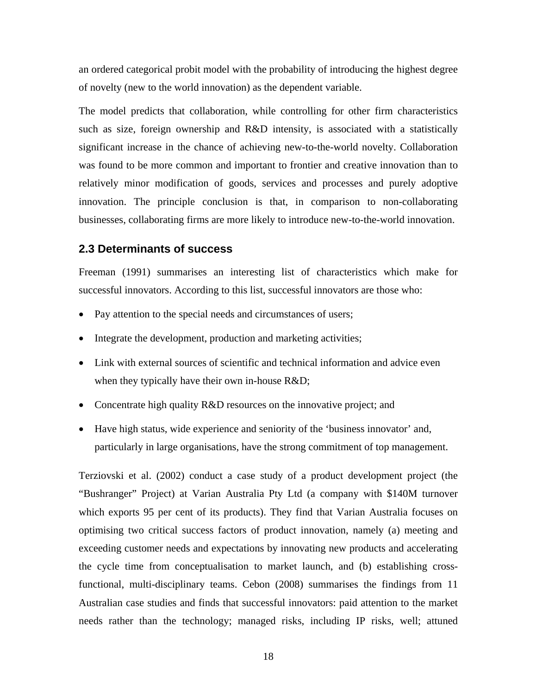an ordered categorical probit model with the probability of introducing the highest degree of novelty (new to the world innovation) as the dependent variable.

The model predicts that collaboration, while controlling for other firm characteristics such as size, foreign ownership and R&D intensity, is associated with a statistically significant increase in the chance of achieving new-to-the-world novelty. Collaboration was found to be more common and important to frontier and creative innovation than to relatively minor modification of goods, services and processes and purely adoptive innovation. The principle conclusion is that, in comparison to non-collaborating businesses, collaborating firms are more likely to introduce new-to-the-world innovation.

### **2.3 Determinants of success**

Freeman (1991) summarises an interesting list of characteristics which make for successful innovators. According to this list, successful innovators are those who:

- Pay attention to the special needs and circumstances of users;
- Integrate the development, production and marketing activities;
- Link with external sources of scientific and technical information and advice even when they typically have their own in-house R&D;
- Concentrate high quality R&D resources on the innovative project; and
- Have high status, wide experience and seniority of the 'business innovator' and, particularly in large organisations, have the strong commitment of top management.

Terziovski et al. (2002) conduct a case study of a product development project (the "Bushranger" Project) at Varian Australia Pty Ltd (a company with \$140M turnover which exports 95 per cent of its products). They find that Varian Australia focuses on optimising two critical success factors of product innovation, namely (a) meeting and exceeding customer needs and expectations by innovating new products and accelerating the cycle time from conceptualisation to market launch, and (b) establishing crossfunctional, multi-disciplinary teams. Cebon (2008) summarises the findings from 11 Australian case studies and finds that successful innovators: paid attention to the market needs rather than the technology; managed risks, including IP risks, well; attuned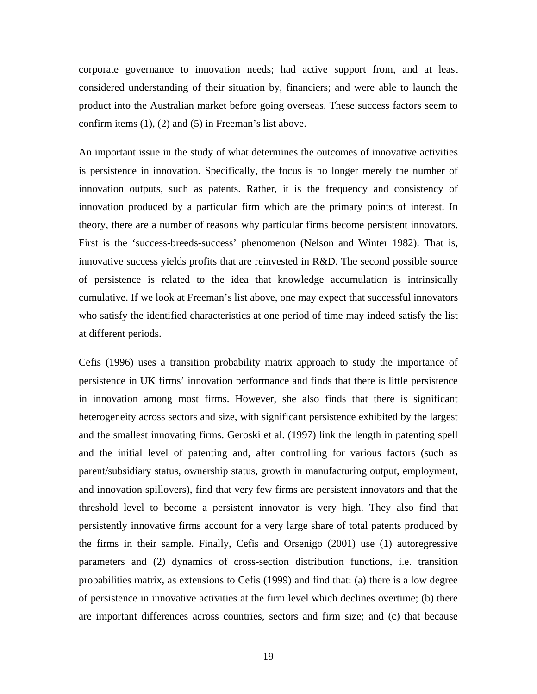corporate governance to innovation needs; had active support from, and at least considered understanding of their situation by, financiers; and were able to launch the product into the Australian market before going overseas. These success factors seem to confirm items (1), (2) and (5) in Freeman's list above.

An important issue in the study of what determines the outcomes of innovative activities is persistence in innovation. Specifically, the focus is no longer merely the number of innovation outputs, such as patents. Rather, it is the frequency and consistency of innovation produced by a particular firm which are the primary points of interest. In theory, there are a number of reasons why particular firms become persistent innovators. First is the 'success-breeds-success' phenomenon (Nelson and Winter 1982). That is, innovative success yields profits that are reinvested in R&D. The second possible source of persistence is related to the idea that knowledge accumulation is intrinsically cumulative. If we look at Freeman's list above, one may expect that successful innovators who satisfy the identified characteristics at one period of time may indeed satisfy the list at different periods.

Cefis (1996) uses a transition probability matrix approach to study the importance of persistence in UK firms' innovation performance and finds that there is little persistence in innovation among most firms. However, she also finds that there is significant heterogeneity across sectors and size, with significant persistence exhibited by the largest and the smallest innovating firms. Geroski et al. (1997) link the length in patenting spell and the initial level of patenting and, after controlling for various factors (such as parent/subsidiary status, ownership status, growth in manufacturing output, employment, and innovation spillovers), find that very few firms are persistent innovators and that the threshold level to become a persistent innovator is very high. They also find that persistently innovative firms account for a very large share of total patents produced by the firms in their sample. Finally, Cefis and Orsenigo (2001) use (1) autoregressive parameters and (2) dynamics of cross-section distribution functions, i.e. transition probabilities matrix, as extensions to Cefis (1999) and find that: (a) there is a low degree of persistence in innovative activities at the firm level which declines overtime; (b) there are important differences across countries, sectors and firm size; and (c) that because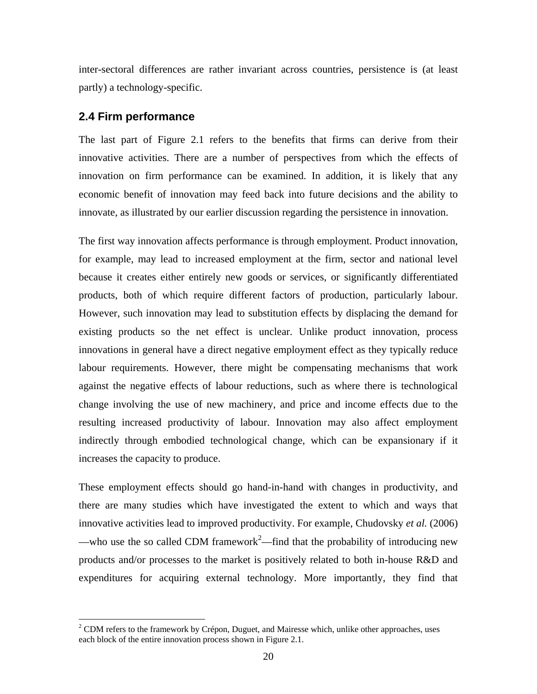inter-sectoral differences are rather invariant across countries, persistence is (at least partly) a technology-specific.

### **2.4 Firm performance**

 $\overline{a}$ 

The last part of Figure 2.1 refers to the benefits that firms can derive from their innovative activities. There are a number of perspectives from which the effects of innovation on firm performance can be examined. In addition, it is likely that any economic benefit of innovation may feed back into future decisions and the ability to innovate, as illustrated by our earlier discussion regarding the persistence in innovation.

The first way innovation affects performance is through employment. Product innovation, for example, may lead to increased employment at the firm, sector and national level because it creates either entirely new goods or services, or significantly differentiated products, both of which require different factors of production, particularly labour. However, such innovation may lead to substitution effects by displacing the demand for existing products so the net effect is unclear. Unlike product innovation, process innovations in general have a direct negative employment effect as they typically reduce labour requirements. However, there might be compensating mechanisms that work against the negative effects of labour reductions, such as where there is technological change involving the use of new machinery, and price and income effects due to the resulting increased productivity of labour. Innovation may also affect employment indirectly through embodied technological change, which can be expansionary if it increases the capacity to produce.

These employment effects should go hand-in-hand with changes in productivity, and there are many studies which have investigated the extent to which and ways that innovative activities lead to improved productivity. For example, Chudovsky *et al.* (2006) —who use the so called CDM framework<sup>2</sup>—find that the probability of introducing new products and/or processes to the market is positively related to both in-house R&D and expenditures for acquiring external technology. More importantly, they find that

 $2^2$  CDM refers to the framework by Crépon, Duguet, and Mairesse which, unlike other approaches, uses each block of the entire innovation process shown in Figure 2.1.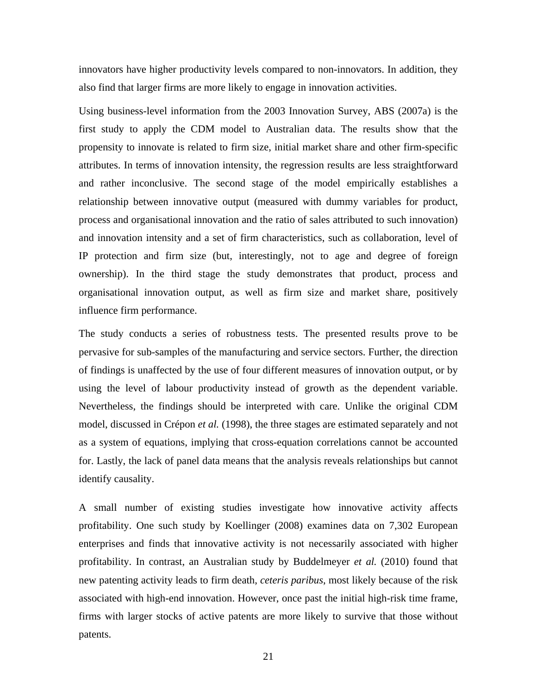innovators have higher productivity levels compared to non-innovators. In addition, they also find that larger firms are more likely to engage in innovation activities.

Using business-level information from the 2003 Innovation Survey, ABS (2007a) is the first study to apply the CDM model to Australian data. The results show that the propensity to innovate is related to firm size, initial market share and other firm-specific attributes. In terms of innovation intensity, the regression results are less straightforward and rather inconclusive. The second stage of the model empirically establishes a relationship between innovative output (measured with dummy variables for product, process and organisational innovation and the ratio of sales attributed to such innovation) and innovation intensity and a set of firm characteristics, such as collaboration, level of IP protection and firm size (but, interestingly, not to age and degree of foreign ownership). In the third stage the study demonstrates that product, process and organisational innovation output, as well as firm size and market share, positively influence firm performance.

The study conducts a series of robustness tests. The presented results prove to be pervasive for sub-samples of the manufacturing and service sectors. Further, the direction of findings is unaffected by the use of four different measures of innovation output, or by using the level of labour productivity instead of growth as the dependent variable. Nevertheless, the findings should be interpreted with care. Unlike the original CDM model, discussed in Crépon *et al.* (1998), the three stages are estimated separately and not as a system of equations, implying that cross-equation correlations cannot be accounted for. Lastly, the lack of panel data means that the analysis reveals relationships but cannot identify causality.

A small number of existing studies investigate how innovative activity affects profitability. One such study by Koellinger (2008) examines data on 7,302 European enterprises and finds that innovative activity is not necessarily associated with higher profitability. In contrast, an Australian study by Buddelmeyer *et al.* (2010) found that new patenting activity leads to firm death, *ceteris paribus*, most likely because of the risk associated with high-end innovation. However, once past the initial high-risk time frame, firms with larger stocks of active patents are more likely to survive that those without patents.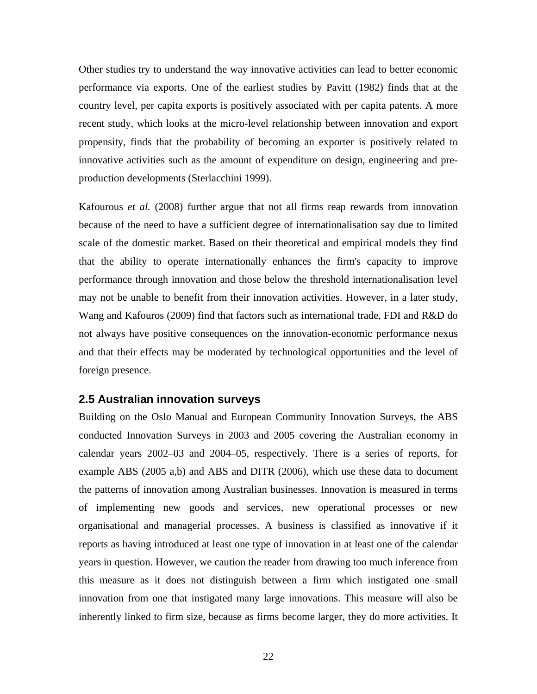Other studies try to understand the way innovative activities can lead to better economic performance via exports. One of the earliest studies by Pavitt (1982) finds that at the country level, per capita exports is positively associated with per capita patents. A more recent study, which looks at the micro-level relationship between innovation and export propensity, finds that the probability of becoming an exporter is positively related to innovative activities such as the amount of expenditure on design, engineering and preproduction developments (Sterlacchini 1999).

Kafourous *et al.* (2008) further argue that not all firms reap rewards from innovation because of the need to have a sufficient degree of internationalisation say due to limited scale of the domestic market. Based on their theoretical and empirical models they find that the ability to operate internationally enhances the firm's capacity to improve performance through innovation and those below the threshold internationalisation level may not be unable to benefit from their innovation activities. However, in a later study, Wang and Kafouros (2009) find that factors such as international trade, FDI and R&D do not always have positive consequences on the innovation-economic performance nexus and that their effects may be moderated by technological opportunities and the level of foreign presence.

### **2.5 Australian innovation surveys**

Building on the Oslo Manual and European Community Innovation Surveys, the ABS conducted Innovation Surveys in 2003 and 2005 covering the Australian economy in calendar years 2002–03 and 2004–05, respectively. There is a series of reports, for example ABS (2005 a,b) and ABS and DITR (2006), which use these data to document the patterns of innovation among Australian businesses. Innovation is measured in terms of implementing new goods and services, new operational processes or new organisational and managerial processes. A business is classified as innovative if it reports as having introduced at least one type of innovation in at least one of the calendar years in question. However, we caution the reader from drawing too much inference from this measure as it does not distinguish between a firm which instigated one small innovation from one that instigated many large innovations. This measure will also be inherently linked to firm size, because as firms become larger, they do more activities. It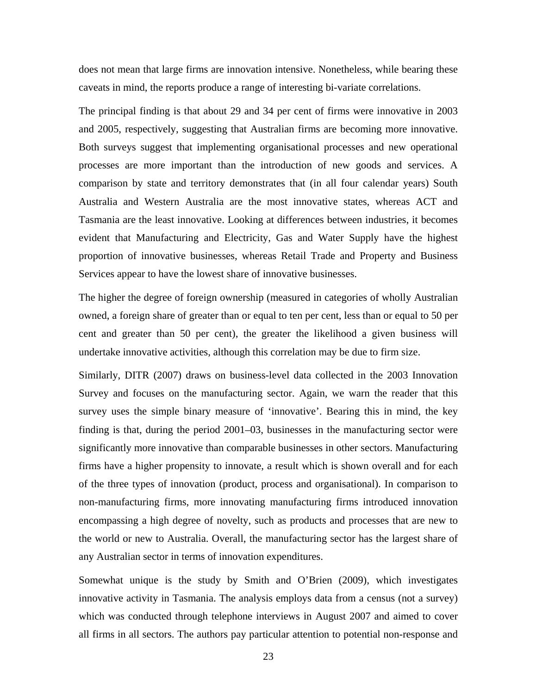does not mean that large firms are innovation intensive. Nonetheless, while bearing these caveats in mind, the reports produce a range of interesting bi-variate correlations.

The principal finding is that about 29 and 34 per cent of firms were innovative in 2003 and 2005, respectively, suggesting that Australian firms are becoming more innovative. Both surveys suggest that implementing organisational processes and new operational processes are more important than the introduction of new goods and services. A comparison by state and territory demonstrates that (in all four calendar years) South Australia and Western Australia are the most innovative states, whereas ACT and Tasmania are the least innovative. Looking at differences between industries, it becomes evident that Manufacturing and Electricity, Gas and Water Supply have the highest proportion of innovative businesses, whereas Retail Trade and Property and Business Services appear to have the lowest share of innovative businesses.

The higher the degree of foreign ownership (measured in categories of wholly Australian owned, a foreign share of greater than or equal to ten per cent, less than or equal to 50 per cent and greater than 50 per cent), the greater the likelihood a given business will undertake innovative activities, although this correlation may be due to firm size.

Similarly, DITR (2007) draws on business-level data collected in the 2003 Innovation Survey and focuses on the manufacturing sector. Again, we warn the reader that this survey uses the simple binary measure of 'innovative'. Bearing this in mind, the key finding is that, during the period 2001–03, businesses in the manufacturing sector were significantly more innovative than comparable businesses in other sectors. Manufacturing firms have a higher propensity to innovate, a result which is shown overall and for each of the three types of innovation (product, process and organisational). In comparison to non-manufacturing firms, more innovating manufacturing firms introduced innovation encompassing a high degree of novelty, such as products and processes that are new to the world or new to Australia. Overall, the manufacturing sector has the largest share of any Australian sector in terms of innovation expenditures.

Somewhat unique is the study by Smith and O'Brien (2009), which investigates innovative activity in Tasmania. The analysis employs data from a census (not a survey) which was conducted through telephone interviews in August 2007 and aimed to cover all firms in all sectors. The authors pay particular attention to potential non-response and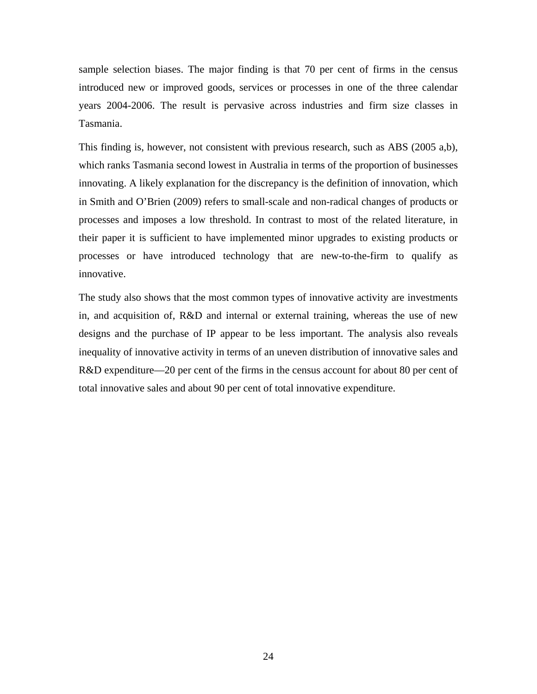sample selection biases. The major finding is that 70 per cent of firms in the census introduced new or improved goods, services or processes in one of the three calendar years 2004-2006. The result is pervasive across industries and firm size classes in Tasmania.

This finding is, however, not consistent with previous research, such as ABS (2005 a,b), which ranks Tasmania second lowest in Australia in terms of the proportion of businesses innovating. A likely explanation for the discrepancy is the definition of innovation, which in Smith and O'Brien (2009) refers to small-scale and non-radical changes of products or processes and imposes a low threshold. In contrast to most of the related literature, in their paper it is sufficient to have implemented minor upgrades to existing products or processes or have introduced technology that are new-to-the-firm to qualify as innovative.

The study also shows that the most common types of innovative activity are investments in, and acquisition of, R&D and internal or external training, whereas the use of new designs and the purchase of IP appear to be less important. The analysis also reveals inequality of innovative activity in terms of an uneven distribution of innovative sales and R&D expenditure—20 per cent of the firms in the census account for about 80 per cent of total innovative sales and about 90 per cent of total innovative expenditure.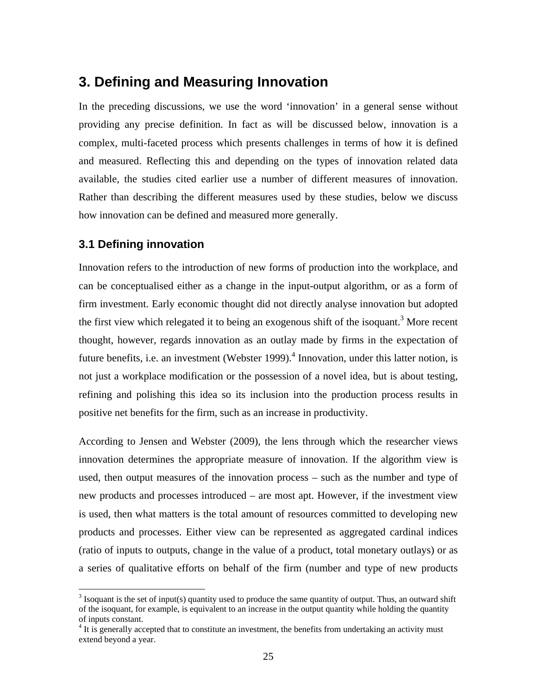# **3. Defining and Measuring Innovation**

In the preceding discussions, we use the word 'innovation' in a general sense without providing any precise definition. In fact as will be discussed below, innovation is a complex, multi-faceted process which presents challenges in terms of how it is defined and measured. Reflecting this and depending on the types of innovation related data available, the studies cited earlier use a number of different measures of innovation. Rather than describing the different measures used by these studies, below we discuss how innovation can be defined and measured more generally.

### **3.1 Defining innovation**

 $\overline{a}$ 

Innovation refers to the introduction of new forms of production into the workplace, and can be conceptualised either as a change in the input-output algorithm, or as a form of firm investment. Early economic thought did not directly analyse innovation but adopted the first view which relegated it to being an exogenous shift of the isoquant.<sup>3</sup> More recent thought, however, regards innovation as an outlay made by firms in the expectation of future benefits, i.e. an investment (Webster 1999).<sup>4</sup> Innovation, under this latter notion, is not just a workplace modification or the possession of a novel idea, but is about testing, refining and polishing this idea so its inclusion into the production process results in positive net benefits for the firm, such as an increase in productivity.

According to Jensen and Webster (2009), the lens through which the researcher views innovation determines the appropriate measure of innovation. If the algorithm view is used, then output measures of the innovation process – such as the number and type of new products and processes introduced – are most apt. However, if the investment view is used, then what matters is the total amount of resources committed to developing new products and processes. Either view can be represented as aggregated cardinal indices (ratio of inputs to outputs, change in the value of a product, total monetary outlays) or as a series of qualitative efforts on behalf of the firm (number and type of new products

 $3$  Isoquant is the set of input(s) quantity used to produce the same quantity of output. Thus, an outward shift of the isoquant, for example, is equivalent to an increase in the output quantity while holding the quantity of inputs constant.

<sup>&</sup>lt;sup>4</sup> It is generally accepted that to constitute an investment, the benefits from undertaking an activity must extend beyond a year.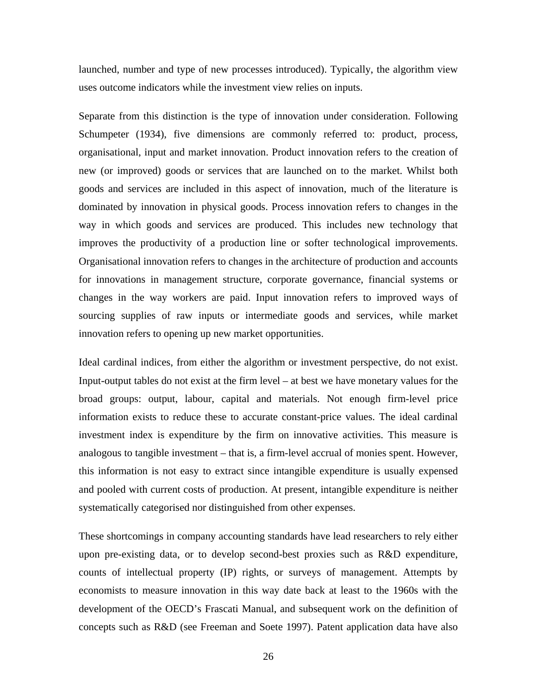launched, number and type of new processes introduced). Typically, the algorithm view uses outcome indicators while the investment view relies on inputs.

Separate from this distinction is the type of innovation under consideration. Following Schumpeter (1934), five dimensions are commonly referred to: product, process, organisational, input and market innovation. Product innovation refers to the creation of new (or improved) goods or services that are launched on to the market. Whilst both goods and services are included in this aspect of innovation, much of the literature is dominated by innovation in physical goods. Process innovation refers to changes in the way in which goods and services are produced. This includes new technology that improves the productivity of a production line or softer technological improvements. Organisational innovation refers to changes in the architecture of production and accounts for innovations in management structure, corporate governance, financial systems or changes in the way workers are paid. Input innovation refers to improved ways of sourcing supplies of raw inputs or intermediate goods and services, while market innovation refers to opening up new market opportunities.

Ideal cardinal indices, from either the algorithm or investment perspective, do not exist. Input-output tables do not exist at the firm level – at best we have monetary values for the broad groups: output, labour, capital and materials. Not enough firm-level price information exists to reduce these to accurate constant-price values. The ideal cardinal investment index is expenditure by the firm on innovative activities. This measure is analogous to tangible investment – that is, a firm-level accrual of monies spent. However, this information is not easy to extract since intangible expenditure is usually expensed and pooled with current costs of production. At present, intangible expenditure is neither systematically categorised nor distinguished from other expenses.

These shortcomings in company accounting standards have lead researchers to rely either upon pre-existing data, or to develop second-best proxies such as R&D expenditure, counts of intellectual property (IP) rights, or surveys of management. Attempts by economists to measure innovation in this way date back at least to the 1960s with the development of the OECD's Frascati Manual, and subsequent work on the definition of concepts such as R&D (see Freeman and Soete 1997). Patent application data have also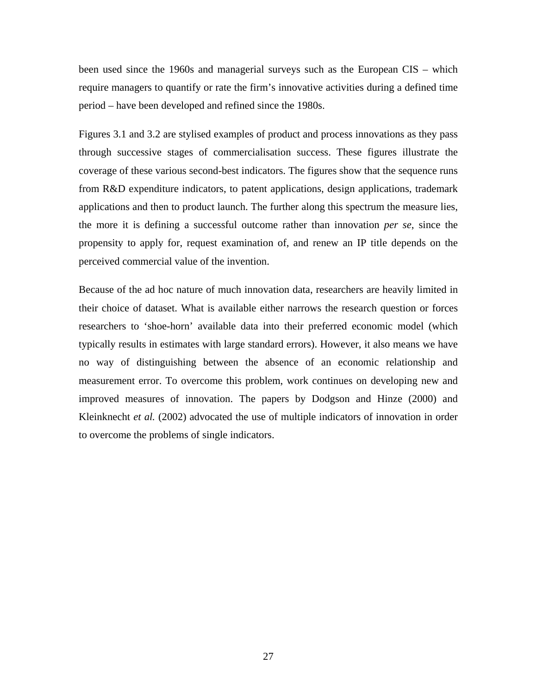been used since the 1960s and managerial surveys such as the European CIS – which require managers to quantify or rate the firm's innovative activities during a defined time period – have been developed and refined since the 1980s.

Figures 3.1 and 3.2 are stylised examples of product and process innovations as they pass through successive stages of commercialisation success. These figures illustrate the coverage of these various second-best indicators. The figures show that the sequence runs from R&D expenditure indicators, to patent applications, design applications, trademark applications and then to product launch. The further along this spectrum the measure lies, the more it is defining a successful outcome rather than innovation *per se*, since the propensity to apply for, request examination of, and renew an IP title depends on the perceived commercial value of the invention.

Because of the ad hoc nature of much innovation data, researchers are heavily limited in their choice of dataset. What is available either narrows the research question or forces researchers to 'shoe-horn' available data into their preferred economic model (which typically results in estimates with large standard errors). However, it also means we have no way of distinguishing between the absence of an economic relationship and measurement error. To overcome this problem, work continues on developing new and improved measures of innovation. The papers by Dodgson and Hinze (2000) and Kleinknecht *et al.* (2002) advocated the use of multiple indicators of innovation in order to overcome the problems of single indicators.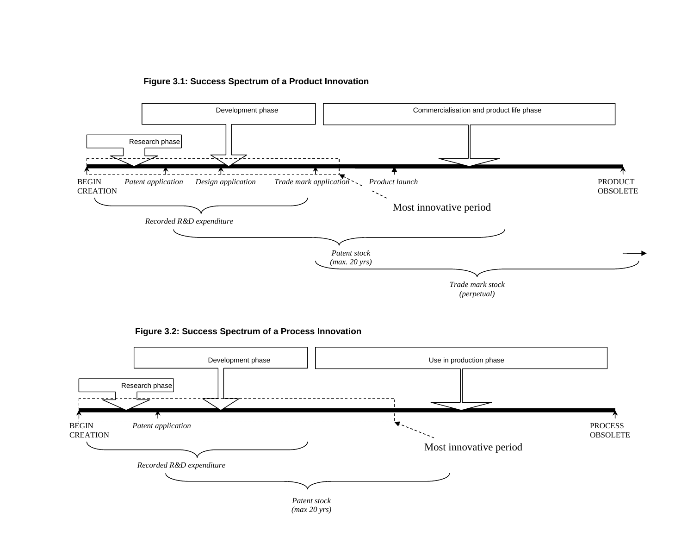





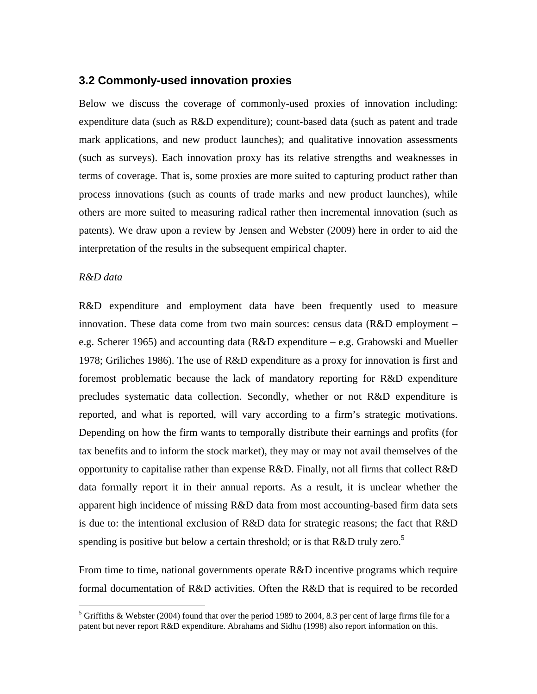### **3.2 Commonly-used innovation proxies**

Below we discuss the coverage of commonly-used proxies of innovation including: expenditure data (such as R&D expenditure); count-based data (such as patent and trade mark applications, and new product launches); and qualitative innovation assessments (such as surveys). Each innovation proxy has its relative strengths and weaknesses in terms of coverage. That is, some proxies are more suited to capturing product rather than process innovations (such as counts of trade marks and new product launches), while others are more suited to measuring radical rather then incremental innovation (such as patents). We draw upon a review by Jensen and Webster (2009) here in order to aid the interpretation of the results in the subsequent empirical chapter.

#### *R&D data*

 $\overline{a}$ 

R&D expenditure and employment data have been frequently used to measure innovation. These data come from two main sources: census data (R&D employment – e.g. Scherer 1965) and accounting data (R&D expenditure – e.g. Grabowski and Mueller 1978; Griliches 1986). The use of R&D expenditure as a proxy for innovation is first and foremost problematic because the lack of mandatory reporting for R&D expenditure precludes systematic data collection. Secondly, whether or not R&D expenditure is reported, and what is reported, will vary according to a firm's strategic motivations. Depending on how the firm wants to temporally distribute their earnings and profits (for tax benefits and to inform the stock market), they may or may not avail themselves of the opportunity to capitalise rather than expense R&D. Finally, not all firms that collect R&D data formally report it in their annual reports. As a result, it is unclear whether the apparent high incidence of missing R&D data from most accounting-based firm data sets is due to: the intentional exclusion of R&D data for strategic reasons; the fact that R&D spending is positive but below a certain threshold; or is that R&D truly zero.<sup>5</sup>

From time to time, national governments operate R&D incentive programs which require formal documentation of R&D activities. Often the R&D that is required to be recorded

 $<sup>5</sup>$  Griffiths & Webster (2004) found that over the period 1989 to 2004, 8.3 per cent of large firms file for a</sup> patent but never report R&D expenditure. Abrahams and Sidhu (1998) also report information on this.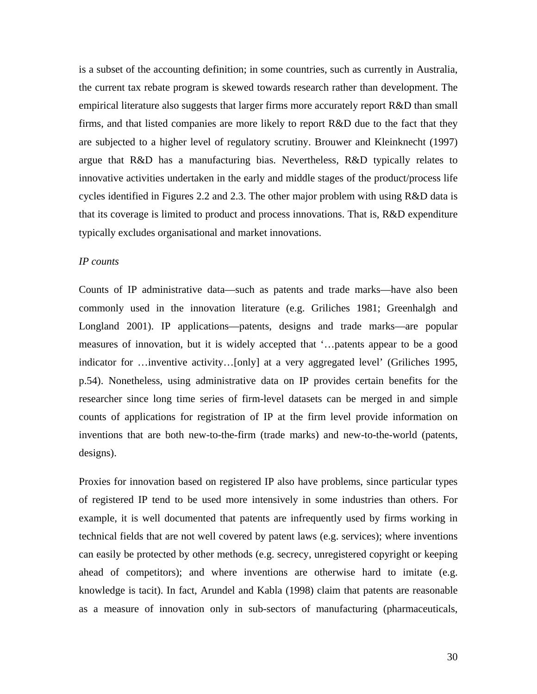is a subset of the accounting definition; in some countries, such as currently in Australia, the current tax rebate program is skewed towards research rather than development. The empirical literature also suggests that larger firms more accurately report R&D than small firms, and that listed companies are more likely to report R&D due to the fact that they are subjected to a higher level of regulatory scrutiny. Brouwer and Kleinknecht (1997) argue that R&D has a manufacturing bias. Nevertheless, R&D typically relates to innovative activities undertaken in the early and middle stages of the product/process life cycles identified in Figures 2.2 and 2.3. The other major problem with using R&D data is that its coverage is limited to product and process innovations. That is, R&D expenditure typically excludes organisational and market innovations.

### *IP counts*

Counts of IP administrative data—such as patents and trade marks—have also been commonly used in the innovation literature (e.g. Griliches 1981; Greenhalgh and Longland 2001). IP applications—patents, designs and trade marks—are popular measures of innovation, but it is widely accepted that '…patents appear to be a good indicator for …inventive activity…[only] at a very aggregated level' (Griliches 1995, p.54). Nonetheless, using administrative data on IP provides certain benefits for the researcher since long time series of firm-level datasets can be merged in and simple counts of applications for registration of IP at the firm level provide information on inventions that are both new-to-the-firm (trade marks) and new-to-the-world (patents, designs).

Proxies for innovation based on registered IP also have problems, since particular types of registered IP tend to be used more intensively in some industries than others. For example, it is well documented that patents are infrequently used by firms working in technical fields that are not well covered by patent laws (e.g. services); where inventions can easily be protected by other methods (e.g. secrecy, unregistered copyright or keeping ahead of competitors); and where inventions are otherwise hard to imitate (e.g. knowledge is tacit). In fact, Arundel and Kabla (1998) claim that patents are reasonable as a measure of innovation only in sub-sectors of manufacturing (pharmaceuticals,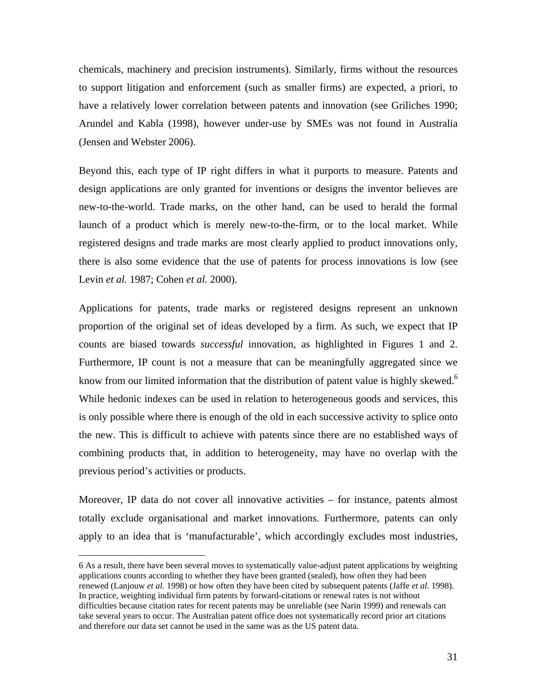chemicals, machinery and precision instruments). Similarly, firms without the resources to support litigation and enforcement (such as smaller firms) are expected, a priori, to have a relatively lower correlation between patents and innovation (see Griliches 1990; Arundel and Kabla (1998), however under-use by SMEs was not found in Australia (Jensen and Webster 2006).

Beyond this, each type of IP right differs in what it purports to measure. Patents and design applications are only granted for inventions or designs the inventor believes are new-to-the-world. Trade marks, on the other hand, can be used to herald the formal launch of a product which is merely new-to-the-firm, or to the local market. While registered designs and trade marks are most clearly applied to product innovations only, there is also some evidence that the use of patents for process innovations is low (see Levin *et al.* 1987; Cohen *et al.* 2000).

Applications for patents, trade marks or registered designs represent an unknown proportion of the original set of ideas developed by a firm. As such, we expect that IP counts are biased towards *successful* innovation, as highlighted in Figures 1 and 2. Furthermore, IP count is not a measure that can be meaningfully aggregated since we know from our limited information that the distribution of patent value is highly skewed.<sup>6</sup> While hedonic indexes can be used in relation to heterogeneous goods and services, this is only possible where there is enough of the old in each successive activity to splice onto the new. This is difficult to achieve with patents since there are no established ways of combining products that, in addition to heterogeneity, may have no overlap with the previous period's activities or products.

Moreover, IP data do not cover all innovative activities – for instance, patents almost totally exclude organisational and market innovations. Furthermore, patents can only apply to an idea that is 'manufacturable', which accordingly excludes most industries,

<u>.</u>

<sup>6</sup> As a result, there have been several moves to systematically value-adjust patent applications by weighting applications counts according to whether they have been granted (sealed), how often they had been renewed (Lanjouw *et al.* 1998) or how often they have been cited by subsequent patents (Jaffe *et al.* 1998). In practice, weighting individual firm patents by forward-citations or renewal rates is not without difficulties because citation rates for recent patents may be unreliable (see Narin 1999) and renewals can take several years to occur. The Australian patent office does not systematically record prior art citations and therefore our data set cannot be used in the same was as the US patent data*.*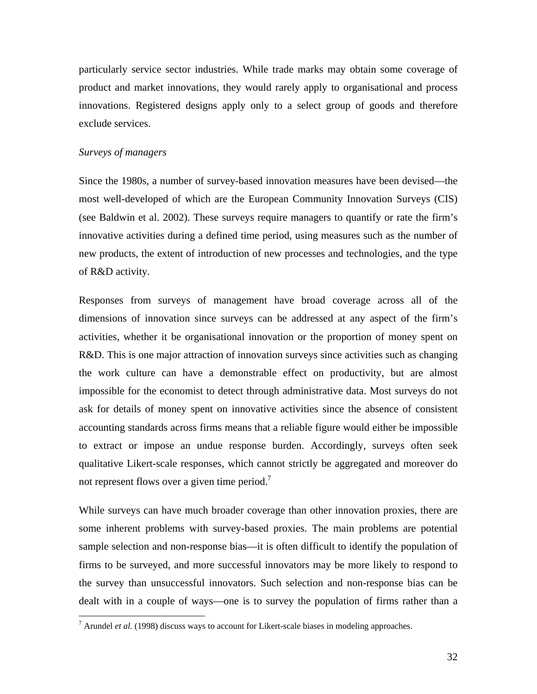particularly service sector industries. While trade marks may obtain some coverage of product and market innovations, they would rarely apply to organisational and process innovations. Registered designs apply only to a select group of goods and therefore exclude services.

#### *Surveys of managers*

Since the 1980s, a number of survey-based innovation measures have been devised—the most well-developed of which are the European Community Innovation Surveys (CIS) (see Baldwin et al. 2002). These surveys require managers to quantify or rate the firm's innovative activities during a defined time period, using measures such as the number of new products, the extent of introduction of new processes and technologies, and the type of R&D activity.

Responses from surveys of management have broad coverage across all of the dimensions of innovation since surveys can be addressed at any aspect of the firm's activities, whether it be organisational innovation or the proportion of money spent on R&D. This is one major attraction of innovation surveys since activities such as changing the work culture can have a demonstrable effect on productivity, but are almost impossible for the economist to detect through administrative data. Most surveys do not ask for details of money spent on innovative activities since the absence of consistent accounting standards across firms means that a reliable figure would either be impossible to extract or impose an undue response burden. Accordingly, surveys often seek qualitative Likert-scale responses, which cannot strictly be aggregated and moreover do not represent flows over a given time period.<sup>7</sup>

While surveys can have much broader coverage than other innovation proxies, there are some inherent problems with survey-based proxies. The main problems are potential sample selection and non-response bias—it is often difficult to identify the population of firms to be surveyed, and more successful innovators may be more likely to respond to the survey than unsuccessful innovators. Such selection and non-response bias can be dealt with in a couple of ways—one is to survey the population of firms rather than a

The Term and *allamet al.* (1998) discuss ways to account for Likert-scale biases in modeling approaches.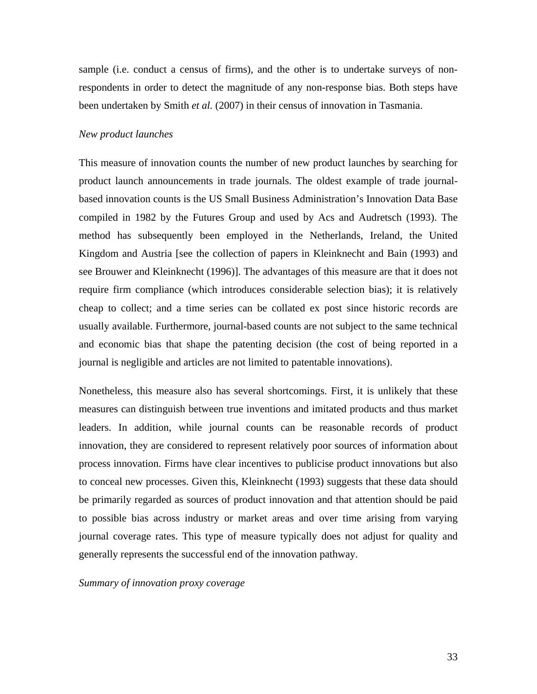sample (i.e. conduct a census of firms), and the other is to undertake surveys of nonrespondents in order to detect the magnitude of any non-response bias. Both steps have been undertaken by Smith *et al.* (2007) in their census of innovation in Tasmania.

### *New product launches*

This measure of innovation counts the number of new product launches by searching for product launch announcements in trade journals. The oldest example of trade journalbased innovation counts is the US Small Business Administration's Innovation Data Base compiled in 1982 by the Futures Group and used by Acs and Audretsch (1993). The method has subsequently been employed in the Netherlands, Ireland, the United Kingdom and Austria [see the collection of papers in Kleinknecht and Bain (1993) and see Brouwer and Kleinknecht (1996)]. The advantages of this measure are that it does not require firm compliance (which introduces considerable selection bias); it is relatively cheap to collect; and a time series can be collated ex post since historic records are usually available. Furthermore, journal-based counts are not subject to the same technical and economic bias that shape the patenting decision (the cost of being reported in a journal is negligible and articles are not limited to patentable innovations).

Nonetheless, this measure also has several shortcomings. First, it is unlikely that these measures can distinguish between true inventions and imitated products and thus market leaders. In addition, while journal counts can be reasonable records of product innovation, they are considered to represent relatively poor sources of information about process innovation. Firms have clear incentives to publicise product innovations but also to conceal new processes. Given this, Kleinknecht (1993) suggests that these data should be primarily regarded as sources of product innovation and that attention should be paid to possible bias across industry or market areas and over time arising from varying journal coverage rates. This type of measure typically does not adjust for quality and generally represents the successful end of the innovation pathway.

### *Summary of innovation proxy coverage*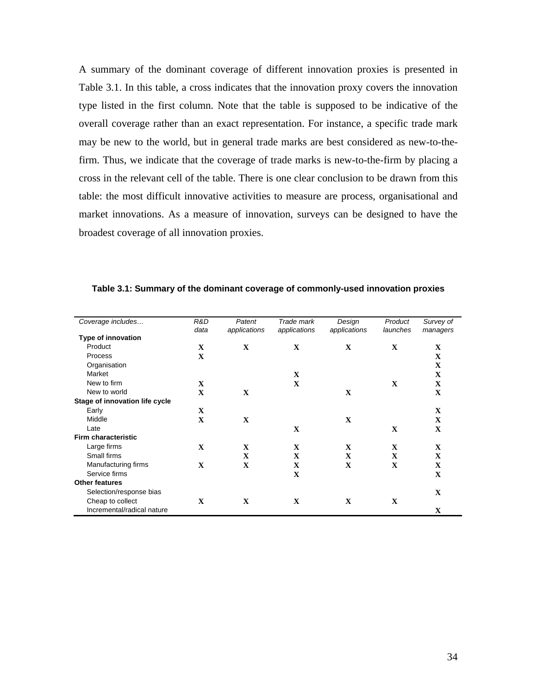A summary of the dominant coverage of different innovation proxies is presented in Table 3.1. In this table, a cross indicates that the innovation proxy covers the innovation type listed in the first column. Note that the table is supposed to be indicative of the overall coverage rather than an exact representation. For instance, a specific trade mark may be new to the world, but in general trade marks are best considered as new-to-thefirm. Thus, we indicate that the coverage of trade marks is new-to-the-firm by placing a cross in the relevant cell of the table. There is one clear conclusion to be drawn from this table: the most difficult innovative activities to measure are process, organisational and market innovations. As a measure of innovation, surveys can be designed to have the broadest coverage of all innovation proxies.

| Coverage includes              | R&D          | Patent       | Trade mark   | Design       | Product      | Survey of    |
|--------------------------------|--------------|--------------|--------------|--------------|--------------|--------------|
|                                | data         | applications | applications | applications | launches     | managers     |
| <b>Type of innovation</b>      |              |              |              |              |              |              |
| Product                        | X            | X            | $\mathbf X$  | X            | X            | X            |
| Process                        | $\mathbf{X}$ |              |              |              |              | X            |
| Organisation                   |              |              |              |              |              | $\mathbf{X}$ |
| Market                         |              |              | $\mathbf{X}$ |              |              | X            |
| New to firm                    | $\mathbf{X}$ |              | $\mathbf{X}$ |              | $\mathbf X$  | $\mathbf{X}$ |
| New to world                   | $\mathbf{X}$ | $\mathbf{X}$ |              | $\mathbf x$  |              | X            |
| Stage of innovation life cycle |              |              |              |              |              |              |
| Early                          | $\mathbf X$  |              |              |              |              | $\mathbf{X}$ |
| Middle                         | $\mathbf{X}$ | $\mathbf{X}$ |              | $\mathbf{X}$ |              | $\mathbf{X}$ |
| Late                           |              |              | $\mathbf{X}$ |              | $\mathbf X$  | $\mathbf{X}$ |
| Firm characteristic            |              |              |              |              |              |              |
| Large firms                    | $\mathbf{X}$ | X            | $\mathbf{X}$ | $\mathbf x$  | $\mathbf X$  | X            |
| Small firms                    |              | $\mathbf{X}$ | $\mathbf X$  | $\mathbf x$  | $\mathbf{X}$ | $\mathbf{X}$ |
| Manufacturing firms            | $\mathbf{X}$ | $\mathbf{X}$ | $\mathbf X$  | X            | $\mathbf X$  | $\mathbf X$  |
| Service firms                  |              |              | $\mathbf{X}$ |              |              | X            |
| <b>Other features</b>          |              |              |              |              |              |              |
| Selection/response bias        |              |              |              |              |              | X            |
| Cheap to collect               | $\mathbf{X}$ | $\mathbf{X}$ | $\mathbf{X}$ | X            | $\mathbf X$  |              |
| Incremental/radical nature     |              |              |              |              |              | X            |

**Table 3.1: Summary of the dominant coverage of commonly-used innovation proxies**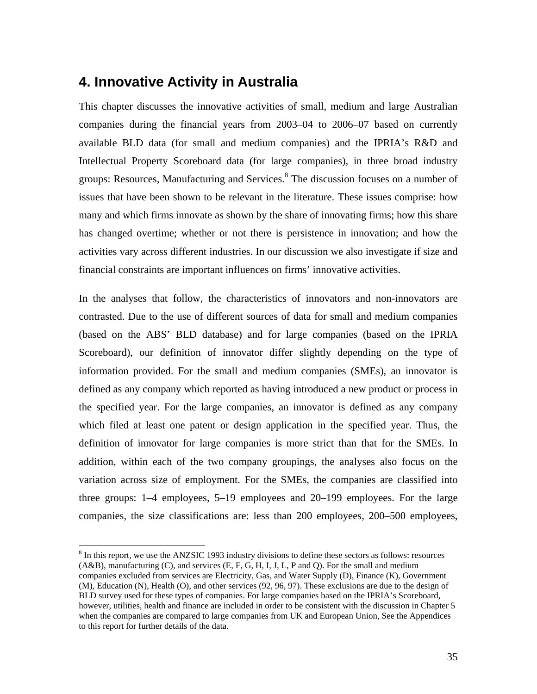# **4. Innovative Activity in Australia**

This chapter discusses the innovative activities of small, medium and large Australian companies during the financial years from 2003–04 to 2006–07 based on currently available BLD data (for small and medium companies) and the IPRIA's R&D and Intellectual Property Scoreboard data (for large companies), in three broad industry groups: Resources, Manufacturing and Services.<sup>8</sup> The discussion focuses on a number of issues that have been shown to be relevant in the literature. These issues comprise: how many and which firms innovate as shown by the share of innovating firms; how this share has changed overtime; whether or not there is persistence in innovation; and how the activities vary across different industries. In our discussion we also investigate if size and financial constraints are important influences on firms' innovative activities.

In the analyses that follow, the characteristics of innovators and non-innovators are contrasted. Due to the use of different sources of data for small and medium companies (based on the ABS' BLD database) and for large companies (based on the IPRIA Scoreboard), our definition of innovator differ slightly depending on the type of information provided. For the small and medium companies (SMEs), an innovator is defined as any company which reported as having introduced a new product or process in the specified year. For the large companies, an innovator is defined as any company which filed at least one patent or design application in the specified year. Thus, the definition of innovator for large companies is more strict than that for the SMEs. In addition, within each of the two company groupings, the analyses also focus on the variation across size of employment. For the SMEs, the companies are classified into three groups: 1–4 employees, 5–19 employees and 20–199 employees. For the large companies, the size classifications are: less than 200 employees, 200–500 employees,

1

 $8 \text{ In this report, we use the ANZSIC 1993 industry divisions to define these sectors as follows: resources.}$ (A&B), manufacturing (C), and services (E, F, G, H, I, J, L, P and Q). For the small and medium companies excluded from services are Electricity, Gas, and Water Supply (D), Finance (K), Government (M), Education (N), Health (O), and other services (92, 96, 97). These exclusions are due to the design of BLD survey used for these types of companies. For large companies based on the IPRIA's Scoreboard, however, utilities, health and finance are included in order to be consistent with the discussion in Chapter 5 when the companies are compared to large companies from UK and European Union, See the Appendices to this report for further details of the data.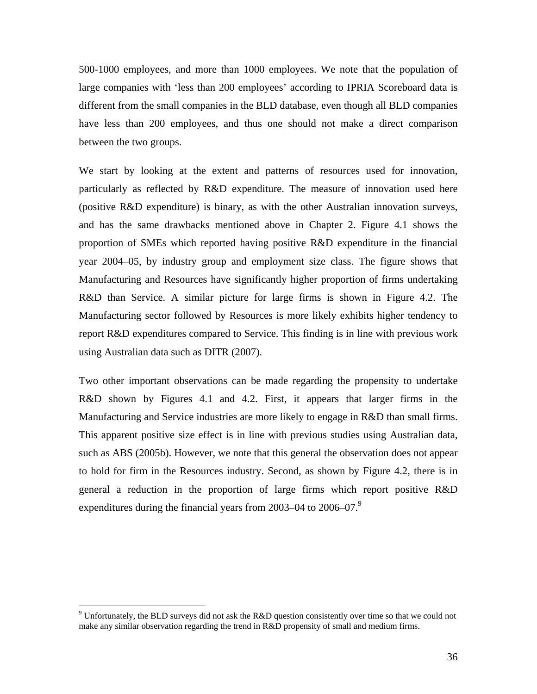500-1000 employees, and more than 1000 employees. We note that the population of large companies with 'less than 200 employees' according to IPRIA Scoreboard data is different from the small companies in the BLD database, even though all BLD companies have less than 200 employees, and thus one should not make a direct comparison between the two groups.

We start by looking at the extent and patterns of resources used for innovation, particularly as reflected by R&D expenditure. The measure of innovation used here (positive R&D expenditure) is binary, as with the other Australian innovation surveys, and has the same drawbacks mentioned above in Chapter 2. Figure 4.1 shows the proportion of SMEs which reported having positive R&D expenditure in the financial year 2004–05, by industry group and employment size class. The figure shows that Manufacturing and Resources have significantly higher proportion of firms undertaking R&D than Service. A similar picture for large firms is shown in Figure 4.2. The Manufacturing sector followed by Resources is more likely exhibits higher tendency to report R&D expenditures compared to Service. This finding is in line with previous work using Australian data such as DITR (2007).

Two other important observations can be made regarding the propensity to undertake R&D shown by Figures 4.1 and 4.2. First, it appears that larger firms in the Manufacturing and Service industries are more likely to engage in R&D than small firms. This apparent positive size effect is in line with previous studies using Australian data, such as ABS (2005b). However, we note that this general the observation does not appear to hold for firm in the Resources industry. Second, as shown by Figure 4.2, there is in general a reduction in the proportion of large firms which report positive R&D expenditures during the financial years from 2003–04 to 2006–07.<sup>9</sup>

 $\overline{a}$ 

<sup>&</sup>lt;sup>9</sup> Unfortunately, the BLD surveys did not ask the R&D question consistently over time so that we could not make any similar observation regarding the trend in R&D propensity of small and medium firms.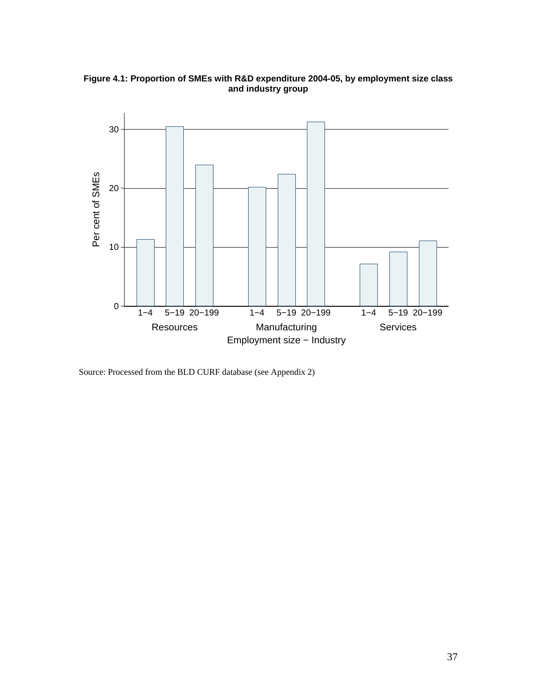



Source: Processed from the BLD CURF database (see Appendix 2)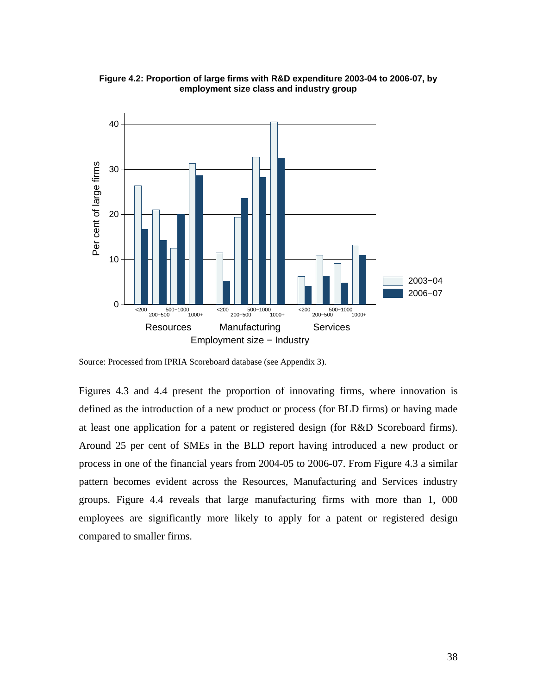

**Figure 4.2: Proportion of large firms with R&D expenditure 2003-04 to 2006-07, by employment size class and industry group** 

Figures 4.3 and 4.4 present the proportion of innovating firms, where innovation is defined as the introduction of a new product or process (for BLD firms) or having made at least one application for a patent or registered design (for R&D Scoreboard firms). Around 25 per cent of SMEs in the BLD report having introduced a new product or process in one of the financial years from 2004-05 to 2006-07. From Figure 4.3 a similar pattern becomes evident across the Resources, Manufacturing and Services industry groups. Figure 4.4 reveals that large manufacturing firms with more than 1, 000 employees are significantly more likely to apply for a patent or registered design compared to smaller firms.

Source: Processed from IPRIA Scoreboard database (see Appendix 3).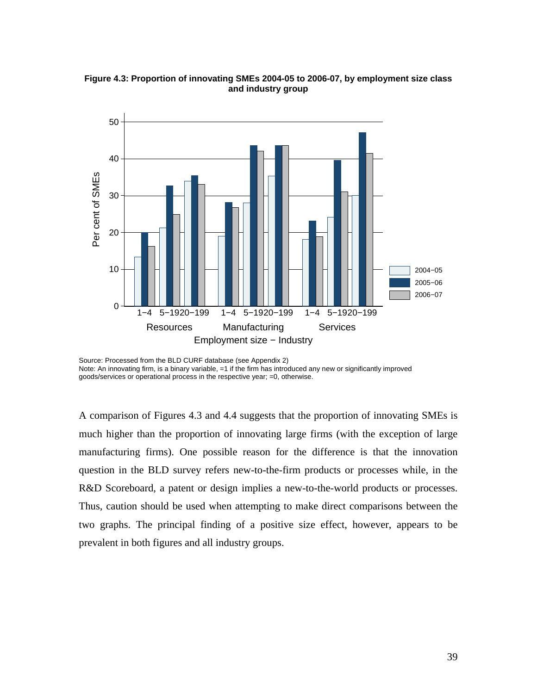

**Figure 4.3: Proportion of innovating SMEs 2004-05 to 2006-07, by employment size class and industry group** 

A comparison of Figures 4.3 and 4.4 suggests that the proportion of innovating SMEs is much higher than the proportion of innovating large firms (with the exception of large manufacturing firms). One possible reason for the difference is that the innovation question in the BLD survey refers new-to-the-firm products or processes while, in the R&D Scoreboard, a patent or design implies a new-to-the-world products or processes. Thus, caution should be used when attempting to make direct comparisons between the two graphs. The principal finding of a positive size effect, however, appears to be prevalent in both figures and all industry groups.

Source: Processed from the BLD CURF database (see Appendix 2) Note: An innovating firm, is a binary variable, =1 if the firm has introduced any new or significantly improved goods/services or operational process in the respective year; =0, otherwise.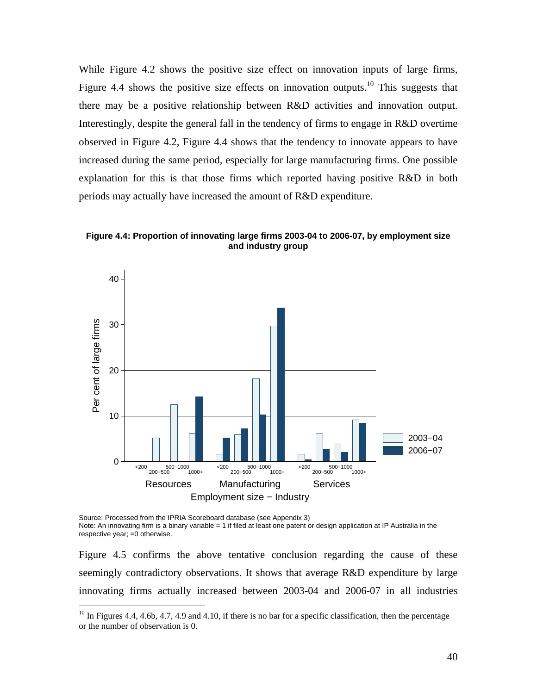While Figure 4.2 shows the positive size effect on innovation inputs of large firms, Figure 4.4 shows the positive size effects on innovation outputs.<sup>10</sup> This suggests that there may be a positive relationship between R&D activities and innovation output. Interestingly, despite the general fall in the tendency of firms to engage in R&D overtime observed in Figure 4.2, Figure 4.4 shows that the tendency to innovate appears to have increased during the same period, especially for large manufacturing firms. One possible explanation for this is that those firms which reported having positive R&D in both periods may actually have increased the amount of R&D expenditure.

**Figure 4.4: Proportion of innovating large firms 2003-04 to 2006-07, by employment size and industry group** 



Source: Processed from the IPRIA Scoreboard database (see Appendix 3) Note: An innovating firm is a binary variable = 1 if filed at least one patent or design application at IP Australia in the respective year; =0 otherwise.

Figure 4.5 confirms the above tentative conclusion regarding the cause of these seemingly contradictory observations. It shows that average R&D expenditure by large innovating firms actually increased between 2003-04 and 2006-07 in all industries

 $\overline{a}$ 

 $10$  In Figures 4.4, 4.6b, 4.7, 4.9 and 4.10, if there is no bar for a specific classification, then the percentage or the number of observation is 0.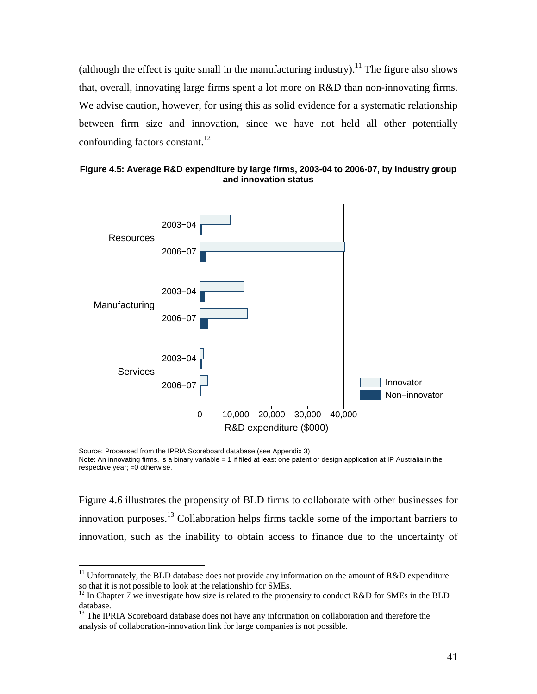(although the effect is quite small in the manufacturing industry).<sup>11</sup> The figure also shows that, overall, innovating large firms spent a lot more on R&D than non-innovating firms. We advise caution, however, for using this as solid evidence for a systematic relationship between firm size and innovation, since we have not held all other potentially confounding factors constant.<sup>12</sup>





Source: Processed from the IPRIA Scoreboard database (see Appendix 3) Note: An innovating firms, is a binary variable = 1 if filed at least one patent or design application at IP Australia in the respective year; =0 otherwise.

Figure 4.6 illustrates the propensity of BLD firms to collaborate with other businesses for innovation purposes.<sup>13</sup> Collaboration helps firms tackle some of the important barriers to innovation, such as the inability to obtain access to finance due to the uncertainty of

1

<sup>&</sup>lt;sup>11</sup> Unfortunately, the BLD database does not provide any information on the amount of R&D expenditure so that it is not possible to look at the relationship for SMEs.

<sup>&</sup>lt;sup>12</sup> In Chapter 7 we investigate how size is related to the propensity to conduct R&D for SMEs in the BLD database.

<sup>&</sup>lt;sup>13</sup> The IPRIA Scoreboard database does not have any information on collaboration and therefore the analysis of collaboration-innovation link for large companies is not possible.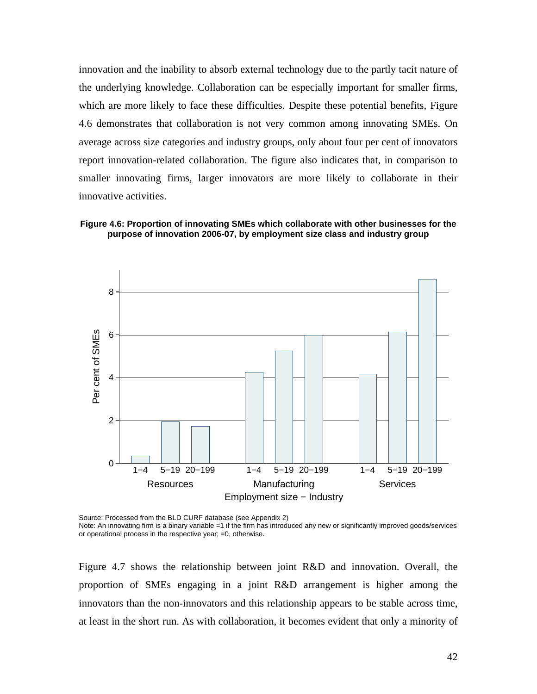innovation and the inability to absorb external technology due to the partly tacit nature of the underlying knowledge. Collaboration can be especially important for smaller firms, which are more likely to face these difficulties. Despite these potential benefits, Figure 4.6 demonstrates that collaboration is not very common among innovating SMEs. On average across size categories and industry groups, only about four per cent of innovators report innovation-related collaboration. The figure also indicates that, in comparison to smaller innovating firms, larger innovators are more likely to collaborate in their innovative activities.

**Figure 4.6: Proportion of innovating SMEs which collaborate with other businesses for the purpose of innovation 2006-07, by employment size class and industry group** 



Source: Processed from the BLD CURF database (see Appendix 2)

Note: An innovating firm is a binary variable =1 if the firm has introduced any new or significantly improved goods/services or operational process in the respective year; =0, otherwise.

Figure 4.7 shows the relationship between joint R&D and innovation. Overall, the proportion of SMEs engaging in a joint R&D arrangement is higher among the innovators than the non-innovators and this relationship appears to be stable across time, at least in the short run. As with collaboration, it becomes evident that only a minority of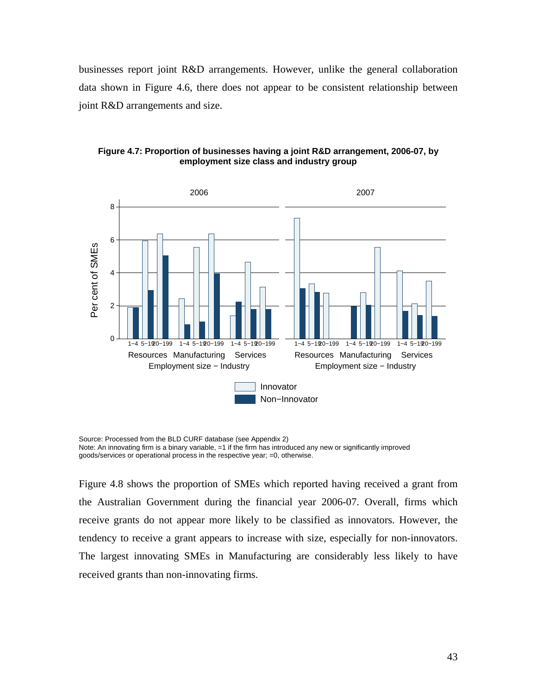businesses report joint R&D arrangements. However, unlike the general collaboration data shown in Figure 4.6, there does not appear to be consistent relationship between joint R&D arrangements and size.



**Figure 4.7: Proportion of businesses having a joint R&D arrangement, 2006-07, by employment size class and industry group** 

Source: Processed from the BLD CURF database (see Appendix 2) Note: An innovating firm is a binary variable, =1 if the firm has introduced any new or significantly improved goods/services or operational process in the respective year; =0, otherwise.

Figure 4.8 shows the proportion of SMEs which reported having received a grant from the Australian Government during the financial year 2006-07. Overall, firms which receive grants do not appear more likely to be classified as innovators. However, the tendency to receive a grant appears to increase with size, especially for non-innovators. The largest innovating SMEs in Manufacturing are considerably less likely to have received grants than non-innovating firms.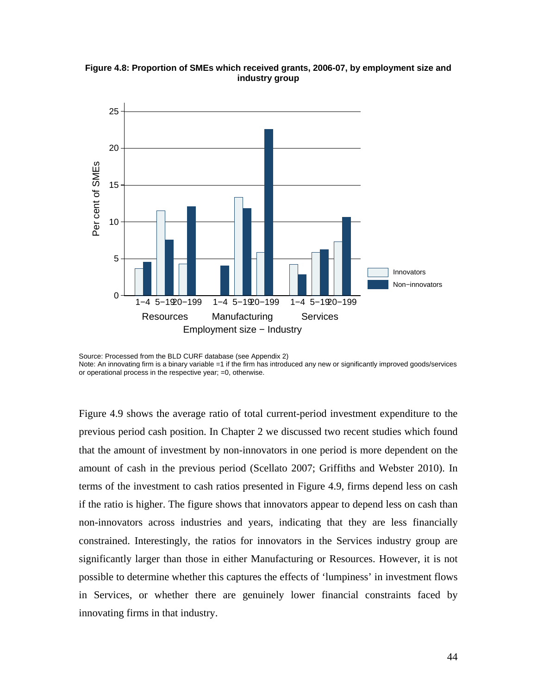

**Figure 4.8: Proportion of SMEs which received grants, 2006-07, by employment size and industry group** 

Figure 4.9 shows the average ratio of total current-period investment expenditure to the previous period cash position. In Chapter 2 we discussed two recent studies which found that the amount of investment by non-innovators in one period is more dependent on the amount of cash in the previous period (Scellato 2007; Griffiths and Webster 2010). In terms of the investment to cash ratios presented in Figure 4.9, firms depend less on cash if the ratio is higher. The figure shows that innovators appear to depend less on cash than non-innovators across industries and years, indicating that they are less financially constrained. Interestingly, the ratios for innovators in the Services industry group are significantly larger than those in either Manufacturing or Resources. However, it is not possible to determine whether this captures the effects of 'lumpiness' in investment flows in Services, or whether there are genuinely lower financial constraints faced by innovating firms in that industry.

Source: Processed from the BLD CURF database (see Appendix 2) Note: An innovating firm is a binary variable =1 if the firm has introduced any new or significantly improved goods/services or operational process in the respective year; =0, otherwise.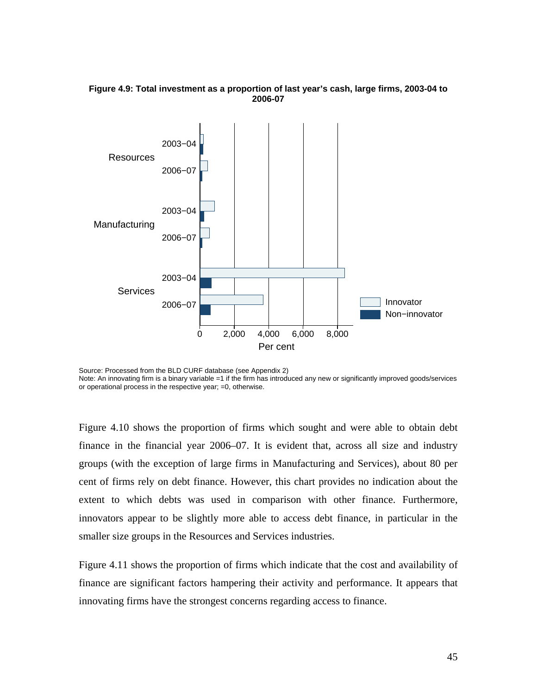



Source: Processed from the BLD CURF database (see Appendix 2) Note: An innovating firm is a binary variable =1 if the firm has introduced any new or significantly improved goods/services or operational process in the respective year; =0, otherwise.

Figure 4.10 shows the proportion of firms which sought and were able to obtain debt finance in the financial year 2006–07. It is evident that, across all size and industry groups (with the exception of large firms in Manufacturing and Services), about 80 per cent of firms rely on debt finance. However, this chart provides no indication about the extent to which debts was used in comparison with other finance. Furthermore, innovators appear to be slightly more able to access debt finance, in particular in the smaller size groups in the Resources and Services industries.

Figure 4.11 shows the proportion of firms which indicate that the cost and availability of finance are significant factors hampering their activity and performance. It appears that innovating firms have the strongest concerns regarding access to finance.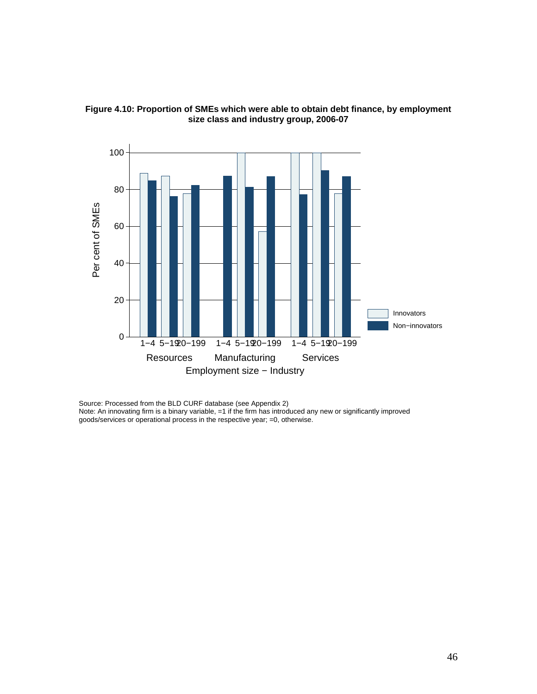

**Figure 4.10: Proportion of SMEs which were able to obtain debt finance, by employment size class and industry group, 2006-07** 

Source: Processed from the BLD CURF database (see Appendix 2) Note: An innovating firm is a binary variable, =1 if the firm has introduced any new or significantly improved goods/services or operational process in the respective year; =0, otherwise.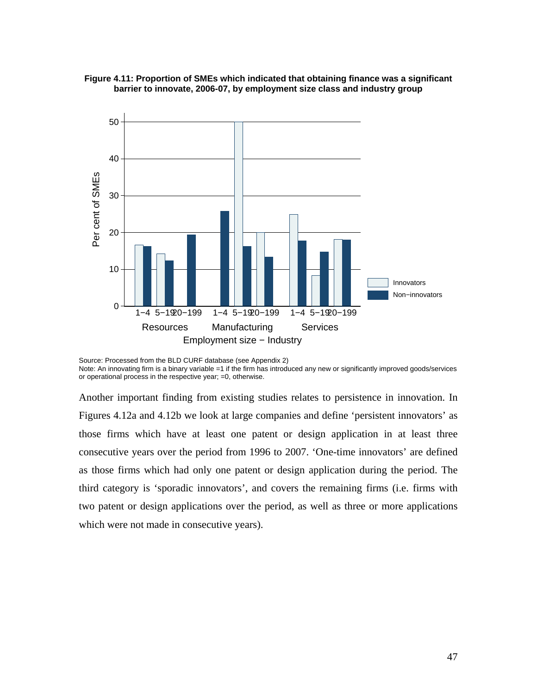



Source: Processed from the BLD CURF database (see Appendix 2)

Another important finding from existing studies relates to persistence in innovation. In Figures 4.12a and 4.12b we look at large companies and define 'persistent innovators' as those firms which have at least one patent or design application in at least three consecutive years over the period from 1996 to 2007. 'One-time innovators' are defined as those firms which had only one patent or design application during the period. The third category is 'sporadic innovators', and covers the remaining firms (i.e. firms with two patent or design applications over the period, as well as three or more applications which were not made in consecutive years).

Note: An innovating firm is a binary variable =1 if the firm has introduced any new or significantly improved goods/services or operational process in the respective year; =0, otherwise.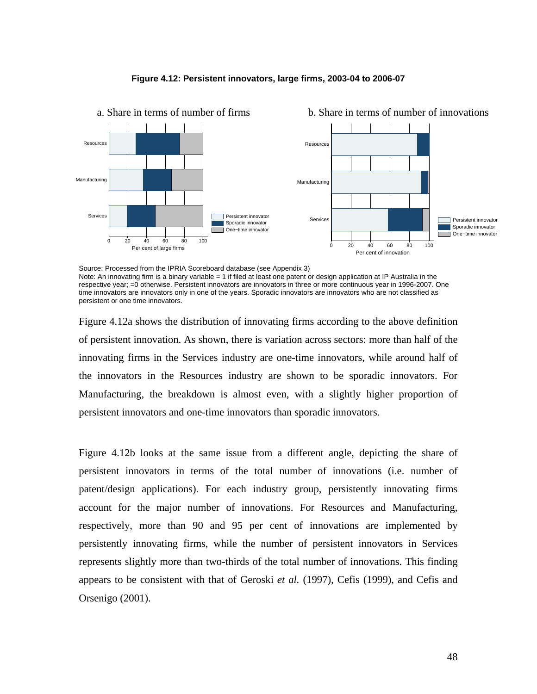

#### **Figure 4.12: Persistent innovators, large firms, 2003-04 to 2006-07**

Source: Processed from the IPRIA Scoreboard database (see Appendix 3) Note: An innovating firm is a binary variable = 1 if filed at least one patent or design application at IP Australia in the respective year; =0 otherwise. Persistent innovators are innovators in three or more continuous year in 1996-2007. One time innovators are innovators only in one of the years. Sporadic innovators are innovators who are not classified as persistent or one time innovators.

Figure 4.12a shows the distribution of innovating firms according to the above definition of persistent innovation. As shown, there is variation across sectors: more than half of the innovating firms in the Services industry are one-time innovators, while around half of the innovators in the Resources industry are shown to be sporadic innovators. For Manufacturing, the breakdown is almost even, with a slightly higher proportion of persistent innovators and one-time innovators than sporadic innovators.

Figure 4.12b looks at the same issue from a different angle, depicting the share of persistent innovators in terms of the total number of innovations (i.e. number of patent/design applications). For each industry group, persistently innovating firms account for the major number of innovations. For Resources and Manufacturing, respectively, more than 90 and 95 per cent of innovations are implemented by persistently innovating firms, while the number of persistent innovators in Services represents slightly more than two-thirds of the total number of innovations. This finding appears to be consistent with that of Geroski *et al.* (1997), Cefis (1999), and Cefis and Orsenigo (2001).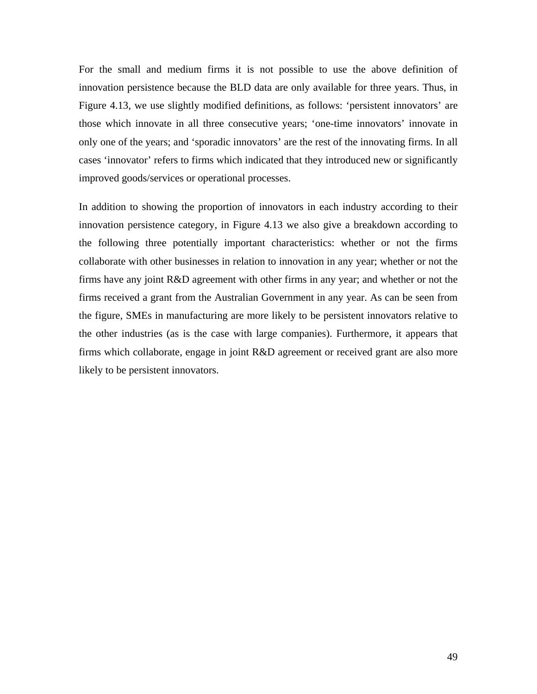For the small and medium firms it is not possible to use the above definition of innovation persistence because the BLD data are only available for three years. Thus, in Figure 4.13, we use slightly modified definitions, as follows: 'persistent innovators' are those which innovate in all three consecutive years; 'one-time innovators' innovate in only one of the years; and 'sporadic innovators' are the rest of the innovating firms. In all cases 'innovator' refers to firms which indicated that they introduced new or significantly improved goods/services or operational processes.

In addition to showing the proportion of innovators in each industry according to their innovation persistence category, in Figure 4.13 we also give a breakdown according to the following three potentially important characteristics: whether or not the firms collaborate with other businesses in relation to innovation in any year; whether or not the firms have any joint R&D agreement with other firms in any year; and whether or not the firms received a grant from the Australian Government in any year. As can be seen from the figure, SMEs in manufacturing are more likely to be persistent innovators relative to the other industries (as is the case with large companies). Furthermore, it appears that firms which collaborate, engage in joint R&D agreement or received grant are also more likely to be persistent innovators.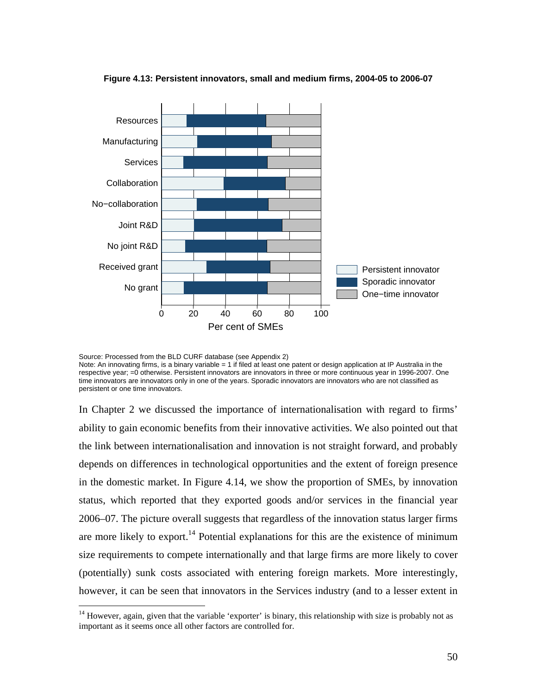

### **Figure 4.13: Persistent innovators, small and medium firms, 2004-05 to 2006-07**

 $\overline{a}$ 

Note: An innovating firms, is a binary variable = 1 if filed at least one patent or design application at IP Australia in the respective year; =0 otherwise. Persistent innovators are innovators in three or more continuous year in 1996-2007. One time innovators are innovators only in one of the years. Sporadic innovators are innovators who are not classified as persistent or one time innovators.

In Chapter 2 we discussed the importance of internationalisation with regard to firms' ability to gain economic benefits from their innovative activities. We also pointed out that the link between internationalisation and innovation is not straight forward, and probably depends on differences in technological opportunities and the extent of foreign presence in the domestic market. In Figure 4.14, we show the proportion of SMEs, by innovation status, which reported that they exported goods and/or services in the financial year 2006–07. The picture overall suggests that regardless of the innovation status larger firms are more likely to export.<sup>14</sup> Potential explanations for this are the existence of minimum size requirements to compete internationally and that large firms are more likely to cover (potentially) sunk costs associated with entering foreign markets. More interestingly, however, it can be seen that innovators in the Services industry (and to a lesser extent in

Source: Processed from the BLD CURF database (see Appendix 2)

<sup>&</sup>lt;sup>14</sup> However, again, given that the variable 'exporter' is binary, this relationship with size is probably not as important as it seems once all other factors are controlled for.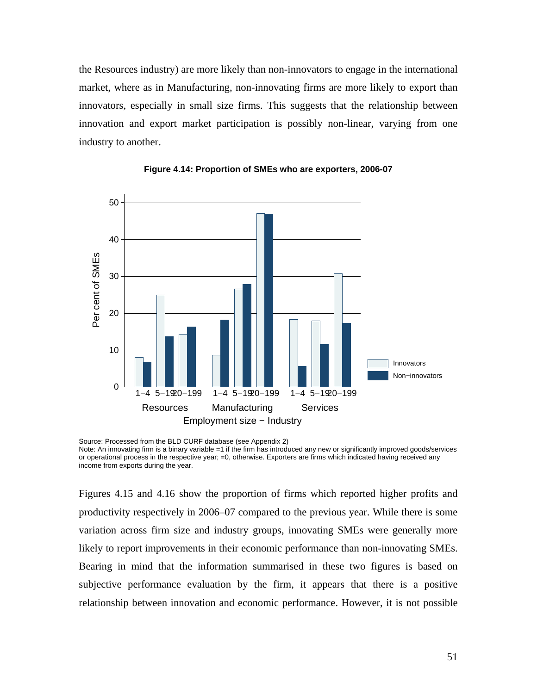the Resources industry) are more likely than non-innovators to engage in the international market, where as in Manufacturing, non-innovating firms are more likely to export than innovators, especially in small size firms. This suggests that the relationship between innovation and export market participation is possibly non-linear, varying from one industry to another.



#### **Figure 4.14: Proportion of SMEs who are exporters, 2006-07**

Source: Processed from the BLD CURF database (see Appendix 2) Note: An innovating firm is a binary variable =1 if the firm has introduced any new or significantly improved goods/services or operational process in the respective year; =0, otherwise. Exporters are firms which indicated having received any income from exports during the year.

Figures 4.15 and 4.16 show the proportion of firms which reported higher profits and productivity respectively in 2006–07 compared to the previous year. While there is some variation across firm size and industry groups, innovating SMEs were generally more likely to report improvements in their economic performance than non-innovating SMEs. Bearing in mind that the information summarised in these two figures is based on subjective performance evaluation by the firm, it appears that there is a positive relationship between innovation and economic performance. However, it is not possible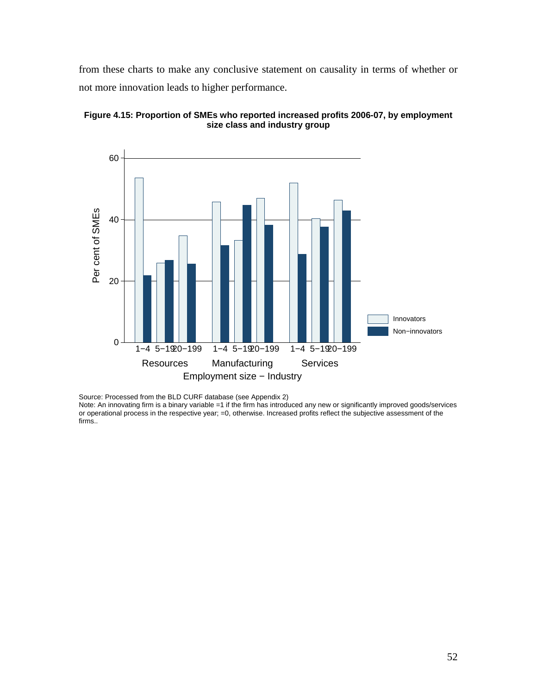from these charts to make any conclusive statement on causality in terms of whether or not more innovation leads to higher performance.





Source: Processed from the BLD CURF database (see Appendix 2)

Note: An innovating firm is a binary variable =1 if the firm has introduced any new or significantly improved goods/services or operational process in the respective year; =0, otherwise. Increased profits reflect the subjective assessment of the firms..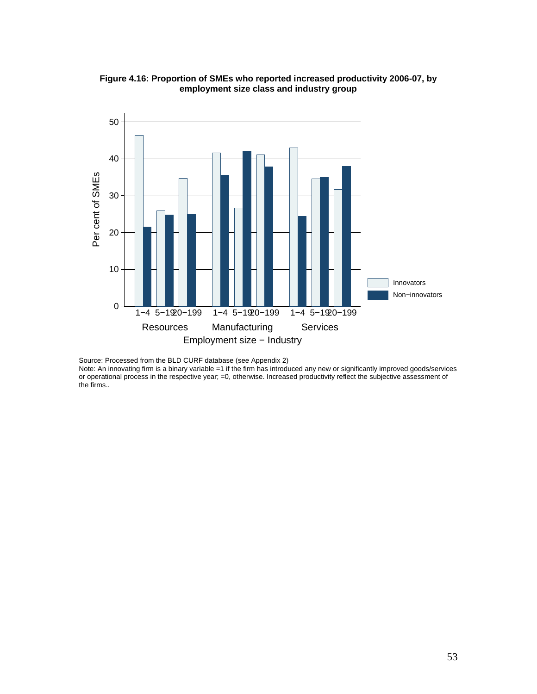

**Figure 4.16: Proportion of SMEs who reported increased productivity 2006-07, by employment size class and industry group** 

Source: Processed from the BLD CURF database (see Appendix 2)

Note: An innovating firm is a binary variable =1 if the firm has introduced any new or significantly improved goods/services or operational process in the respective year; =0, otherwise. Increased productivity reflect the subjective assessment of the firms..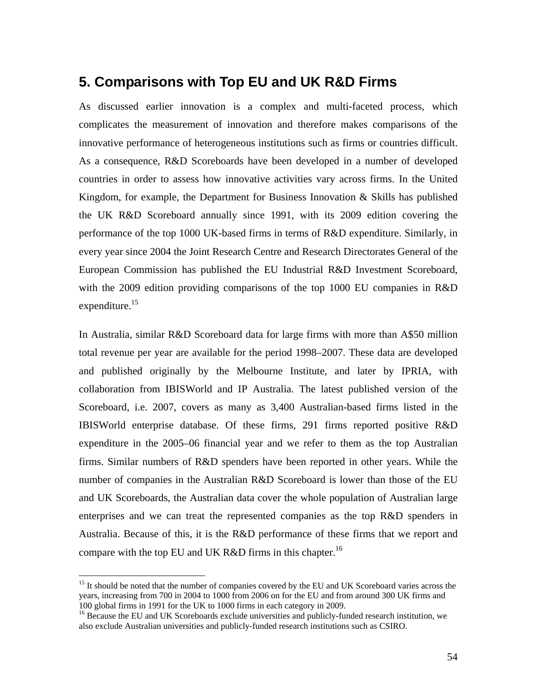## **5. Comparisons with Top EU and UK R&D Firms**

As discussed earlier innovation is a complex and multi-faceted process, which complicates the measurement of innovation and therefore makes comparisons of the innovative performance of heterogeneous institutions such as firms or countries difficult. As a consequence, R&D Scoreboards have been developed in a number of developed countries in order to assess how innovative activities vary across firms. In the United Kingdom, for example, the Department for Business Innovation & Skills has published the UK R&D Scoreboard annually since 1991, with its 2009 edition covering the performance of the top 1000 UK-based firms in terms of R&D expenditure. Similarly, in every year since 2004 the Joint Research Centre and Research Directorates General of the European Commission has published the EU Industrial R&D Investment Scoreboard, with the 2009 edition providing comparisons of the top 1000 EU companies in R&D expenditure.<sup>15</sup>

In Australia, similar R&D Scoreboard data for large firms with more than A\$50 million total revenue per year are available for the period 1998–2007. These data are developed and published originally by the Melbourne Institute, and later by IPRIA, with collaboration from IBISWorld and IP Australia. The latest published version of the Scoreboard, i.e. 2007, covers as many as 3,400 Australian-based firms listed in the IBISWorld enterprise database. Of these firms, 291 firms reported positive R&D expenditure in the 2005–06 financial year and we refer to them as the top Australian firms. Similar numbers of R&D spenders have been reported in other years. While the number of companies in the Australian R&D Scoreboard is lower than those of the EU and UK Scoreboards, the Australian data cover the whole population of Australian large enterprises and we can treat the represented companies as the top R&D spenders in Australia. Because of this, it is the R&D performance of these firms that we report and compare with the top EU and UK R&D firms in this chapter.<sup>16</sup>

 $\overline{a}$ 

<sup>&</sup>lt;sup>15</sup> It should be noted that the number of companies covered by the EU and UK Scoreboard varies across the years, increasing from 700 in 2004 to 1000 from 2006 on for the EU and from around 300 UK firms and 100 global firms in 1991 for the UK to 1000 firms in each category in 2009.<br><sup>16</sup> Because the EU and UK Scoreboards exclude universities and publicly-funded research institution, we

also exclude Australian universities and publicly-funded research institutions such as CSIRO.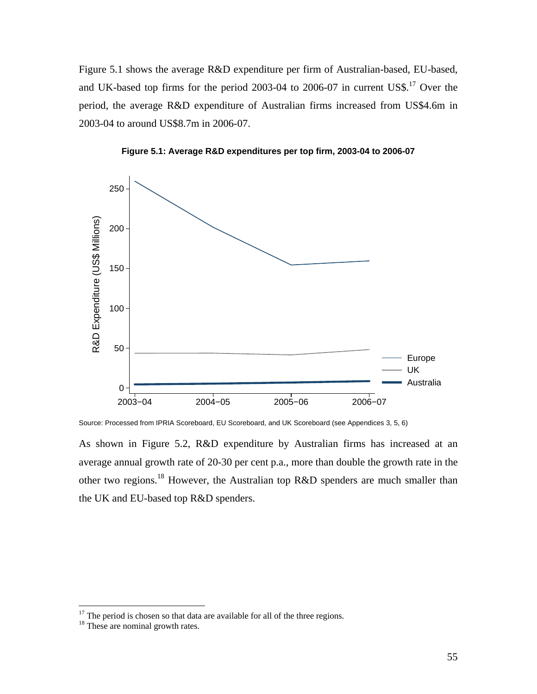Figure 5.1 shows the average R&D expenditure per firm of Australian-based, EU-based, and UK-based top firms for the period 2003-04 to 2006-07 in current US\$.17 Over the period, the average R&D expenditure of Australian firms increased from US\$4.6m in 2003-04 to around US\$8.7m in 2006-07.



**Figure 5.1: Average R&D expenditures per top firm, 2003-04 to 2006-07** 

As shown in Figure 5.2, R&D expenditure by Australian firms has increased at an average annual growth rate of 20-30 per cent p.a., more than double the growth rate in the other two regions.<sup>18</sup> However, the Australian top R&D spenders are much smaller than the UK and EU-based top R&D spenders.

1

Source: Processed from IPRIA Scoreboard, EU Scoreboard, and UK Scoreboard (see Appendices 3, 5, 6)

<sup>&</sup>lt;sup>17</sup> The period is chosen so that data are available for all of the three regions.  $18$  These are nominal growth rates.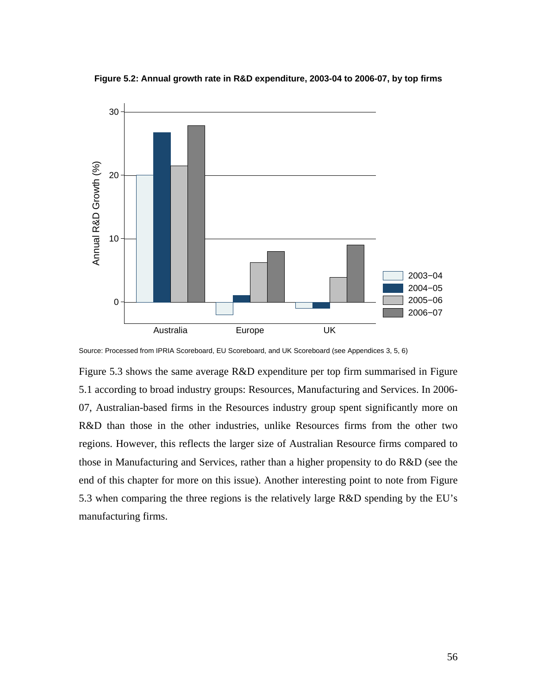**Figure 5.2: Annual growth rate in R&D expenditure, 2003-04 to 2006-07, by top firms** 



Source: Processed from IPRIA Scoreboard, EU Scoreboard, and UK Scoreboard (see Appendices 3, 5, 6)

Figure 5.3 shows the same average R&D expenditure per top firm summarised in Figure 5.1 according to broad industry groups: Resources, Manufacturing and Services. In 2006- 07, Australian-based firms in the Resources industry group spent significantly more on R&D than those in the other industries, unlike Resources firms from the other two regions. However, this reflects the larger size of Australian Resource firms compared to those in Manufacturing and Services, rather than a higher propensity to do R&D (see the end of this chapter for more on this issue). Another interesting point to note from Figure 5.3 when comparing the three regions is the relatively large R&D spending by the EU's manufacturing firms.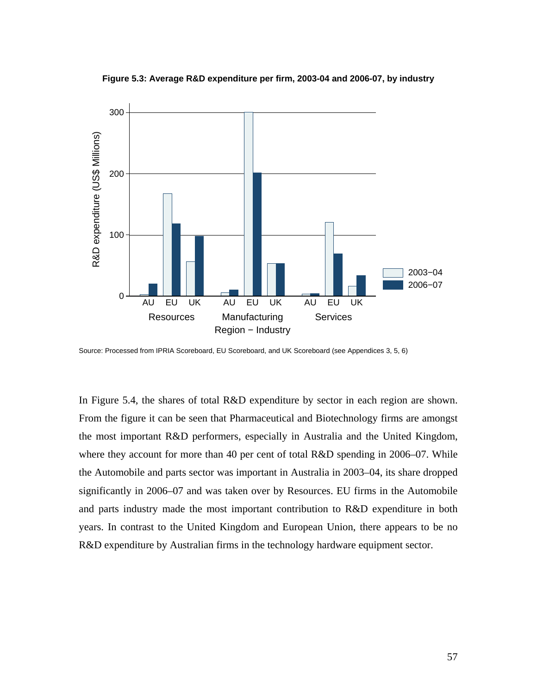**Figure 5.3: Average R&D expenditure per firm, 2003-04 and 2006-07, by industry** 



Source: Processed from IPRIA Scoreboard, EU Scoreboard, and UK Scoreboard (see Appendices 3, 5, 6)

In Figure 5.4, the shares of total R&D expenditure by sector in each region are shown. From the figure it can be seen that Pharmaceutical and Biotechnology firms are amongst the most important R&D performers, especially in Australia and the United Kingdom, where they account for more than 40 per cent of total R&D spending in 2006–07. While the Automobile and parts sector was important in Australia in 2003–04, its share dropped significantly in 2006–07 and was taken over by Resources. EU firms in the Automobile and parts industry made the most important contribution to R&D expenditure in both years. In contrast to the United Kingdom and European Union, there appears to be no R&D expenditure by Australian firms in the technology hardware equipment sector.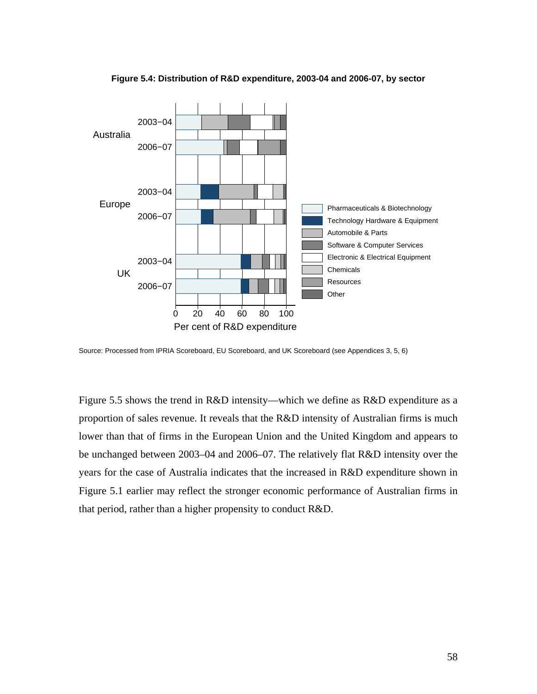

**Figure 5.4: Distribution of R&D expenditure, 2003-04 and 2006-07, by sector** 

Source: Processed from IPRIA Scoreboard, EU Scoreboard, and UK Scoreboard (see Appendices 3, 5, 6)

Figure 5.5 shows the trend in R&D intensity—which we define as R&D expenditure as a proportion of sales revenue. It reveals that the R&D intensity of Australian firms is much lower than that of firms in the European Union and the United Kingdom and appears to be unchanged between 2003–04 and 2006–07. The relatively flat R&D intensity over the years for the case of Australia indicates that the increased in R&D expenditure shown in Figure 5.1 earlier may reflect the stronger economic performance of Australian firms in that period, rather than a higher propensity to conduct R&D.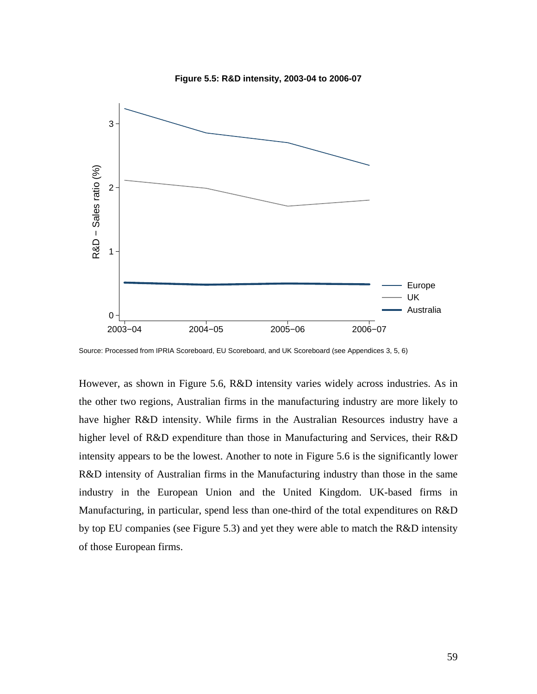

**Figure 5.5: R&D intensity, 2003-04 to 2006-07** 

Source: Processed from IPRIA Scoreboard, EU Scoreboard, and UK Scoreboard (see Appendices 3, 5, 6)

However, as shown in Figure 5.6, R&D intensity varies widely across industries. As in the other two regions, Australian firms in the manufacturing industry are more likely to have higher R&D intensity. While firms in the Australian Resources industry have a higher level of R&D expenditure than those in Manufacturing and Services, their R&D intensity appears to be the lowest. Another to note in Figure 5.6 is the significantly lower R&D intensity of Australian firms in the Manufacturing industry than those in the same industry in the European Union and the United Kingdom. UK-based firms in Manufacturing, in particular, spend less than one-third of the total expenditures on R&D by top EU companies (see Figure 5.3) and yet they were able to match the R&D intensity of those European firms.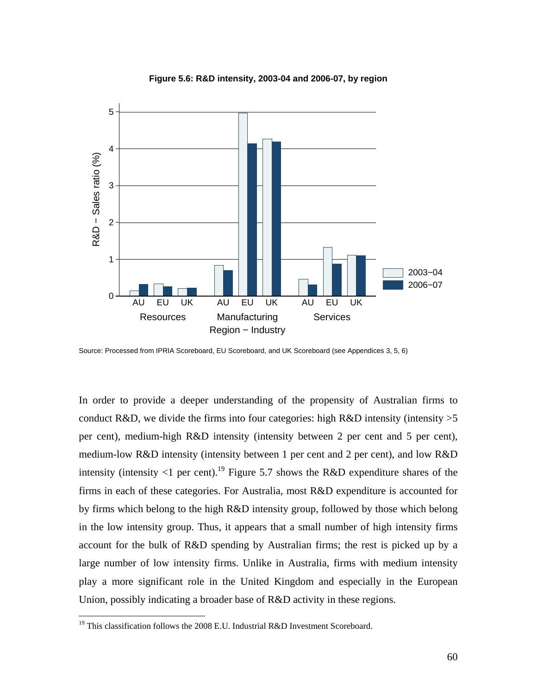

**Figure 5.6: R&D intensity, 2003-04 and 2006-07, by region** 

Source: Processed from IPRIA Scoreboard, EU Scoreboard, and UK Scoreboard (see Appendices 3, 5, 6)

In order to provide a deeper understanding of the propensity of Australian firms to conduct R&D, we divide the firms into four categories: high R&D intensity (intensity  $>5$ per cent), medium-high R&D intensity (intensity between 2 per cent and 5 per cent), medium-low R&D intensity (intensity between 1 per cent and 2 per cent), and low R&D intensity (intensity  $\langle 1 \rangle$  per cent).<sup>19</sup> Figure 5.7 shows the R&D expenditure shares of the firms in each of these categories. For Australia, most R&D expenditure is accounted for by firms which belong to the high R&D intensity group, followed by those which belong in the low intensity group. Thus, it appears that a small number of high intensity firms account for the bulk of R&D spending by Australian firms; the rest is picked up by a large number of low intensity firms. Unlike in Australia, firms with medium intensity play a more significant role in the United Kingdom and especially in the European Union, possibly indicating a broader base of R&D activity in these regions.

<u>.</u>

<sup>&</sup>lt;sup>19</sup> This classification follows the 2008 E.U. Industrial R&D Investment Scoreboard.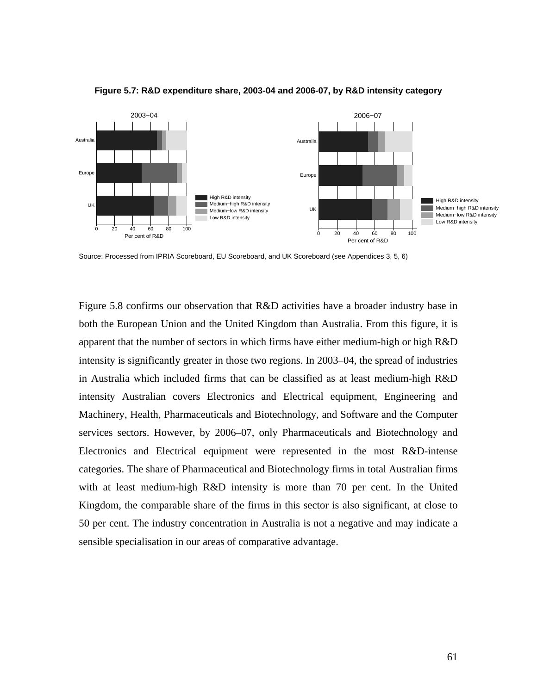

**Figure 5.7: R&D expenditure share, 2003-04 and 2006-07, by R&D intensity category** 

Source: Processed from IPRIA Scoreboard, EU Scoreboard, and UK Scoreboard (see Appendices 3, 5, 6)

Figure 5.8 confirms our observation that R&D activities have a broader industry base in both the European Union and the United Kingdom than Australia. From this figure, it is apparent that the number of sectors in which firms have either medium-high or high R&D intensity is significantly greater in those two regions. In 2003–04, the spread of industries in Australia which included firms that can be classified as at least medium-high R&D intensity Australian covers Electronics and Electrical equipment, Engineering and Machinery, Health, Pharmaceuticals and Biotechnology, and Software and the Computer services sectors. However, by 2006–07, only Pharmaceuticals and Biotechnology and Electronics and Electrical equipment were represented in the most R&D-intense categories. The share of Pharmaceutical and Biotechnology firms in total Australian firms with at least medium-high R&D intensity is more than 70 per cent. In the United Kingdom, the comparable share of the firms in this sector is also significant, at close to 50 per cent. The industry concentration in Australia is not a negative and may indicate a sensible specialisation in our areas of comparative advantage.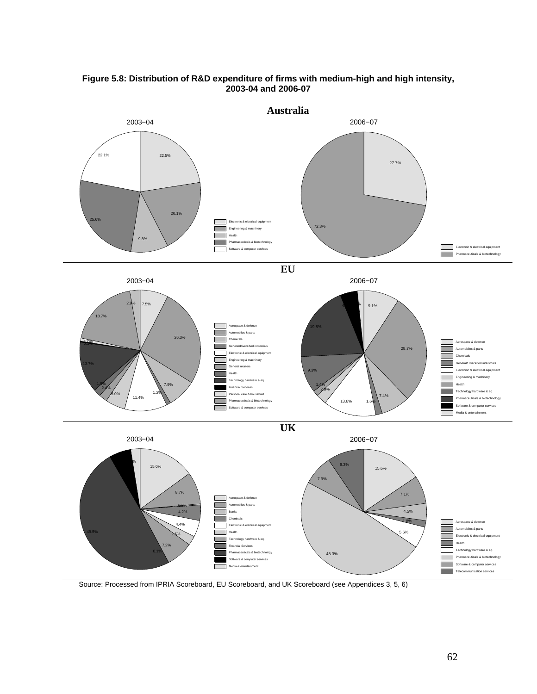

## **Figure 5.8: Distribution of R&D expenditure of firms with medium-high and high intensity, 2003-04 and 2006-07**

Source: Processed from IPRIA Scoreboard, EU Scoreboard, and UK Scoreboard (see Appendices 3, 5, 6)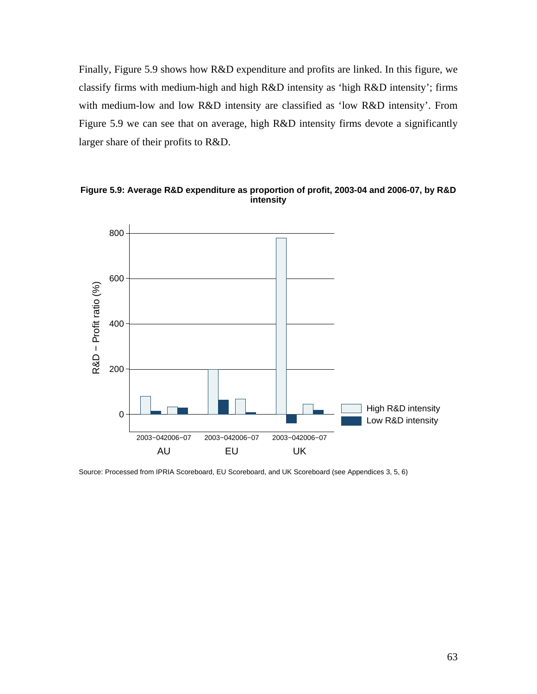Finally, Figure 5.9 shows how R&D expenditure and profits are linked. In this figure, we classify firms with medium-high and high R&D intensity as 'high R&D intensity'; firms with medium-low and low R&D intensity are classified as 'low R&D intensity'. From Figure 5.9 we can see that on average, high R&D intensity firms devote a significantly larger share of their profits to R&D.



**Figure 5.9: Average R&D expenditure as proportion of profit, 2003-04 and 2006-07, by R&D intensity** 

Source: Processed from IPRIA Scoreboard, EU Scoreboard, and UK Scoreboard (see Appendices 3, 5, 6)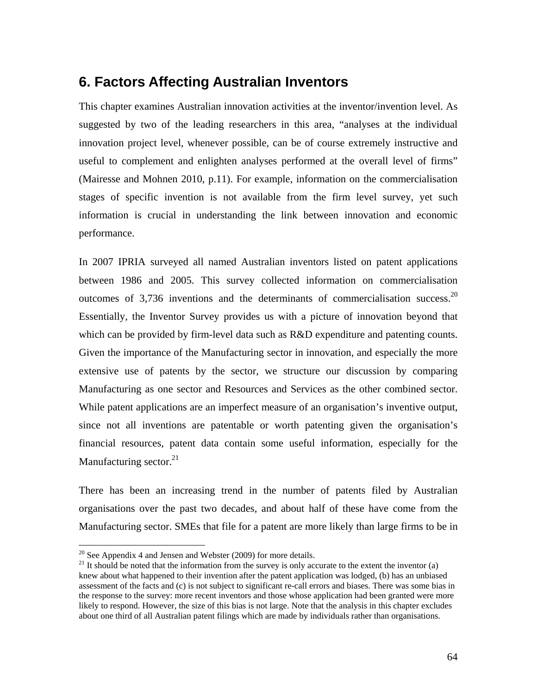# **6. Factors Affecting Australian Inventors**

This chapter examines Australian innovation activities at the inventor/invention level. As suggested by two of the leading researchers in this area, "analyses at the individual innovation project level, whenever possible, can be of course extremely instructive and useful to complement and enlighten analyses performed at the overall level of firms" (Mairesse and Mohnen 2010, p.11). For example, information on the commercialisation stages of specific invention is not available from the firm level survey, yet such information is crucial in understanding the link between innovation and economic performance.

In 2007 IPRIA surveyed all named Australian inventors listed on patent applications between 1986 and 2005. This survey collected information on commercialisation outcomes of  $3,736$  inventions and the determinants of commercialisation success.<sup>20</sup> Essentially, the Inventor Survey provides us with a picture of innovation beyond that which can be provided by firm-level data such as R&D expenditure and patenting counts. Given the importance of the Manufacturing sector in innovation, and especially the more extensive use of patents by the sector, we structure our discussion by comparing Manufacturing as one sector and Resources and Services as the other combined sector. While patent applications are an imperfect measure of an organisation's inventive output, since not all inventions are patentable or worth patenting given the organisation's financial resources, patent data contain some useful information, especially for the Manufacturing sector. $21$ 

There has been an increasing trend in the number of patents filed by Australian organisations over the past two decades, and about half of these have come from the Manufacturing sector. SMEs that file for a patent are more likely than large firms to be in

 $\overline{a}$ 

 $20$  See Appendix 4 and Jensen and Webster (2009) for more details.

 $21$  It should be noted that the information from the survey is only accurate to the extent the inventor (a) knew about what happened to their invention after the patent application was lodged, (b) has an unbiased assessment of the facts and (c) is not subject to significant re-call errors and biases. There was some bias in the response to the survey: more recent inventors and those whose application had been granted were more likely to respond. However, the size of this bias is not large. Note that the analysis in this chapter excludes about one third of all Australian patent filings which are made by individuals rather than organisations.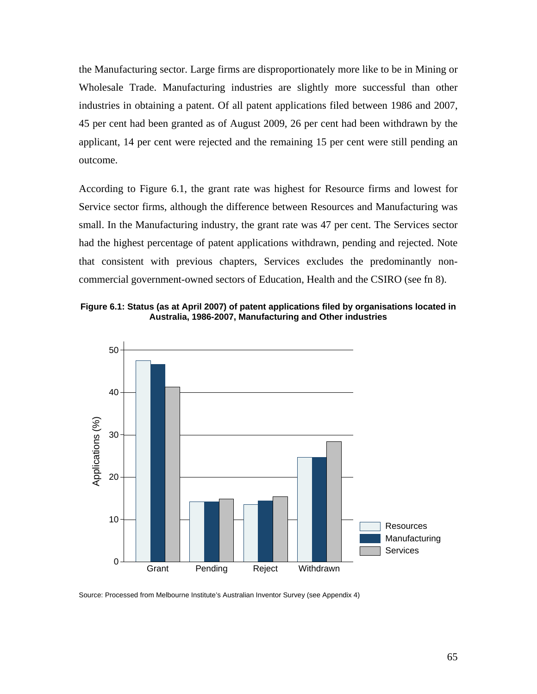the Manufacturing sector. Large firms are disproportionately more like to be in Mining or Wholesale Trade. Manufacturing industries are slightly more successful than other industries in obtaining a patent. Of all patent applications filed between 1986 and 2007, 45 per cent had been granted as of August 2009, 26 per cent had been withdrawn by the applicant, 14 per cent were rejected and the remaining 15 per cent were still pending an outcome.

According to Figure 6.1, the grant rate was highest for Resource firms and lowest for Service sector firms, although the difference between Resources and Manufacturing was small. In the Manufacturing industry, the grant rate was 47 per cent. The Services sector had the highest percentage of patent applications withdrawn, pending and rejected. Note that consistent with previous chapters, Services excludes the predominantly noncommercial government-owned sectors of Education, Health and the CSIRO (see fn 8).





Source: Processed from Melbourne Institute's Australian Inventor Survey (see Appendix 4)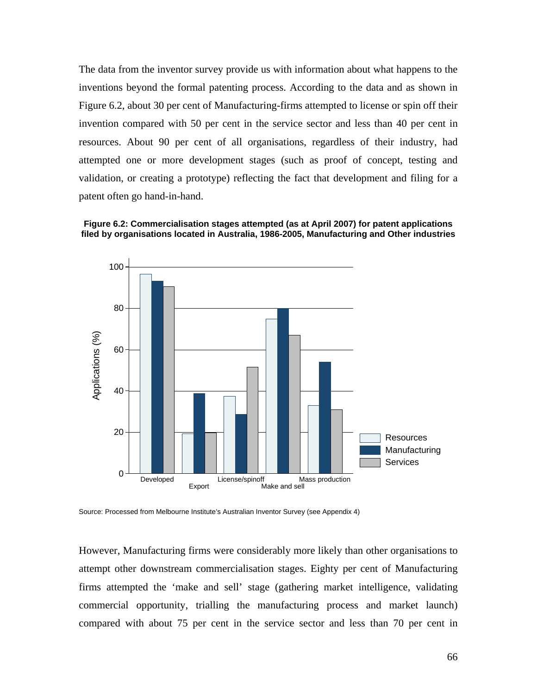The data from the inventor survey provide us with information about what happens to the inventions beyond the formal patenting process. According to the data and as shown in Figure 6.2, about 30 per cent of Manufacturing-firms attempted to license or spin off their invention compared with 50 per cent in the service sector and less than 40 per cent in resources. About 90 per cent of all organisations, regardless of their industry, had attempted one or more development stages (such as proof of concept, testing and validation, or creating a prototype) reflecting the fact that development and filing for a patent often go hand-in-hand.





Source: Processed from Melbourne Institute's Australian Inventor Survey (see Appendix 4)

However, Manufacturing firms were considerably more likely than other organisations to attempt other downstream commercialisation stages. Eighty per cent of Manufacturing firms attempted the 'make and sell' stage (gathering market intelligence, validating commercial opportunity, trialling the manufacturing process and market launch) compared with about 75 per cent in the service sector and less than 70 per cent in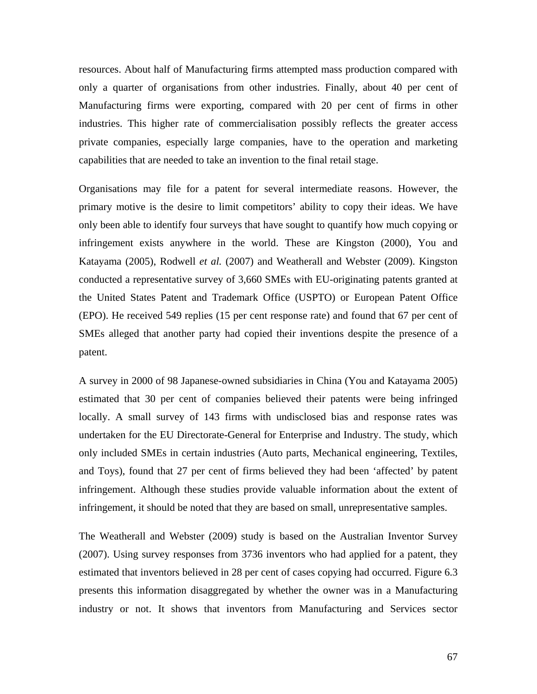resources. About half of Manufacturing firms attempted mass production compared with only a quarter of organisations from other industries. Finally, about 40 per cent of Manufacturing firms were exporting, compared with 20 per cent of firms in other industries. This higher rate of commercialisation possibly reflects the greater access private companies, especially large companies, have to the operation and marketing capabilities that are needed to take an invention to the final retail stage.

Organisations may file for a patent for several intermediate reasons. However, the primary motive is the desire to limit competitors' ability to copy their ideas. We have only been able to identify four surveys that have sought to quantify how much copying or infringement exists anywhere in the world. These are Kingston (2000), You and Katayama (2005), Rodwell *et al.* (2007) and Weatherall and Webster (2009). Kingston conducted a representative survey of 3,660 SMEs with EU-originating patents granted at the United States Patent and Trademark Office (USPTO) or European Patent Office (EPO). He received 549 replies (15 per cent response rate) and found that 67 per cent of SMEs alleged that another party had copied their inventions despite the presence of a patent.

A survey in 2000 of 98 Japanese-owned subsidiaries in China (You and Katayama 2005) estimated that 30 per cent of companies believed their patents were being infringed locally. A small survey of 143 firms with undisclosed bias and response rates was undertaken for the EU Directorate-General for Enterprise and Industry. The study, which only included SMEs in certain industries (Auto parts, Mechanical engineering, Textiles, and Toys), found that 27 per cent of firms believed they had been 'affected' by patent infringement. Although these studies provide valuable information about the extent of infringement, it should be noted that they are based on small, unrepresentative samples.

The Weatherall and Webster (2009) study is based on the Australian Inventor Survey (2007). Using survey responses from 3736 inventors who had applied for a patent, they estimated that inventors believed in 28 per cent of cases copying had occurred. Figure 6.3 presents this information disaggregated by whether the owner was in a Manufacturing industry or not. It shows that inventors from Manufacturing and Services sector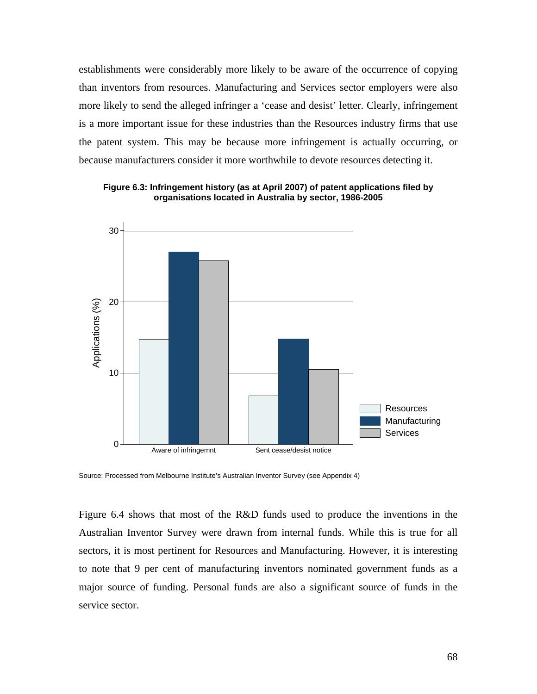establishments were considerably more likely to be aware of the occurrence of copying than inventors from resources. Manufacturing and Services sector employers were also more likely to send the alleged infringer a 'cease and desist' letter. Clearly, infringement is a more important issue for these industries than the Resources industry firms that use the patent system. This may be because more infringement is actually occurring, or because manufacturers consider it more worthwhile to devote resources detecting it.



**Figure 6.3: Infringement history (as at April 2007) of patent applications filed by organisations located in Australia by sector, 1986-2005** 

Source: Processed from Melbourne Institute's Australian Inventor Survey (see Appendix 4)

Figure 6.4 shows that most of the R&D funds used to produce the inventions in the Australian Inventor Survey were drawn from internal funds. While this is true for all sectors, it is most pertinent for Resources and Manufacturing. However, it is interesting to note that 9 per cent of manufacturing inventors nominated government funds as a major source of funding. Personal funds are also a significant source of funds in the service sector.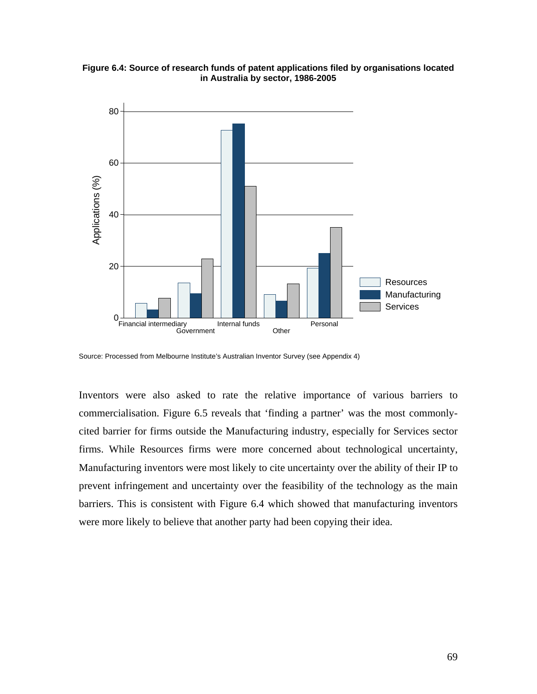



Source: Processed from Melbourne Institute's Australian Inventor Survey (see Appendix 4)

Inventors were also asked to rate the relative importance of various barriers to commercialisation. Figure 6.5 reveals that 'finding a partner' was the most commonlycited barrier for firms outside the Manufacturing industry, especially for Services sector firms. While Resources firms were more concerned about technological uncertainty, Manufacturing inventors were most likely to cite uncertainty over the ability of their IP to prevent infringement and uncertainty over the feasibility of the technology as the main barriers. This is consistent with Figure 6.4 which showed that manufacturing inventors were more likely to believe that another party had been copying their idea.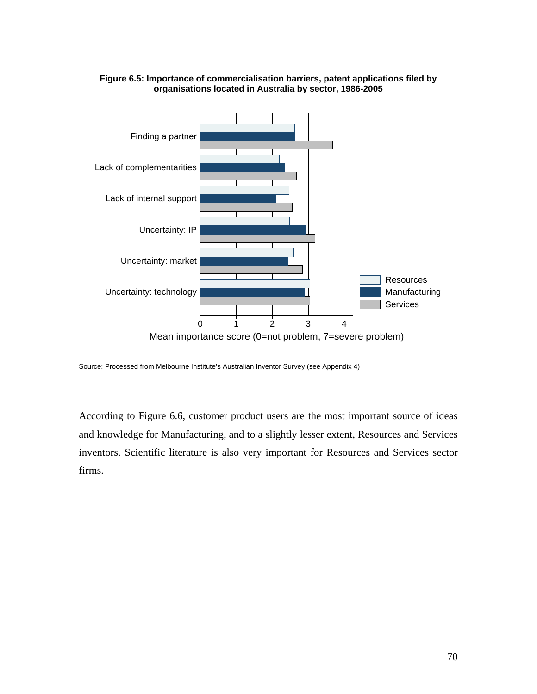

## **Figure 6.5: Importance of commercialisation barriers, patent applications filed by organisations located in Australia by sector, 1986-2005**

Source: Processed from Melbourne Institute's Australian Inventor Survey (see Appendix 4)

According to Figure 6.6, customer product users are the most important source of ideas and knowledge for Manufacturing, and to a slightly lesser extent, Resources and Services inventors. Scientific literature is also very important for Resources and Services sector firms.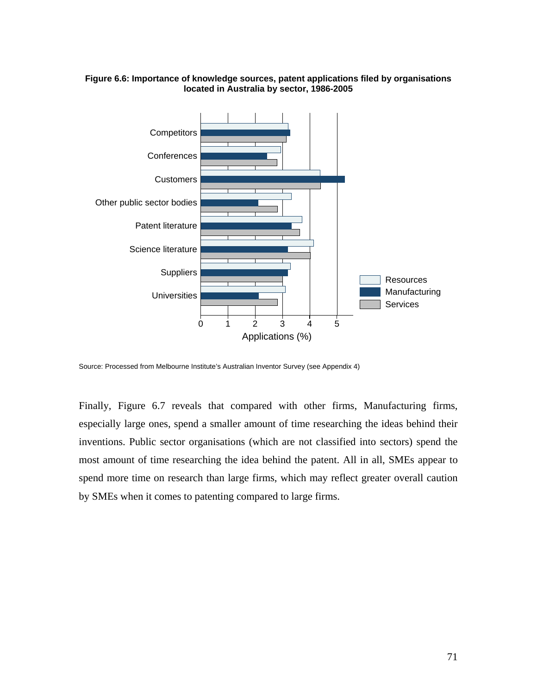



Source: Processed from Melbourne Institute's Australian Inventor Survey (see Appendix 4)

Finally, Figure 6.7 reveals that compared with other firms, Manufacturing firms, especially large ones, spend a smaller amount of time researching the ideas behind their inventions. Public sector organisations (which are not classified into sectors) spend the most amount of time researching the idea behind the patent. All in all, SMEs appear to spend more time on research than large firms, which may reflect greater overall caution by SMEs when it comes to patenting compared to large firms.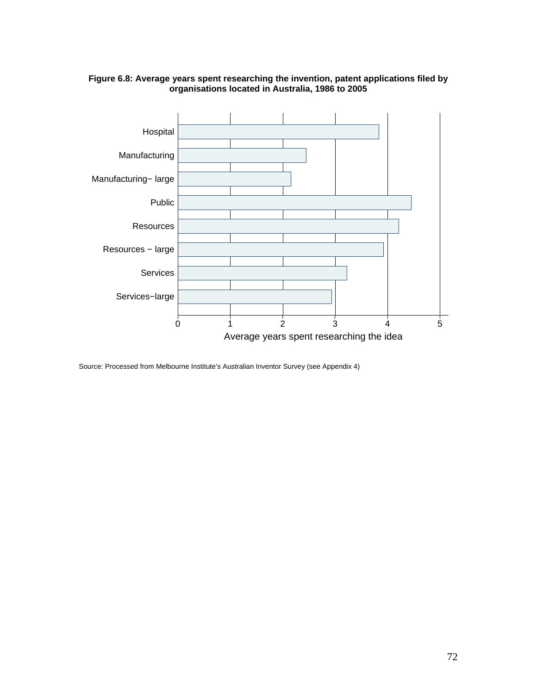

## **Figure 6.8: Average years spent researching the invention, patent applications filed by organisations located in Australia, 1986 to 2005**

Source: Processed from Melbourne Institute's Australian Inventor Survey (see Appendix 4)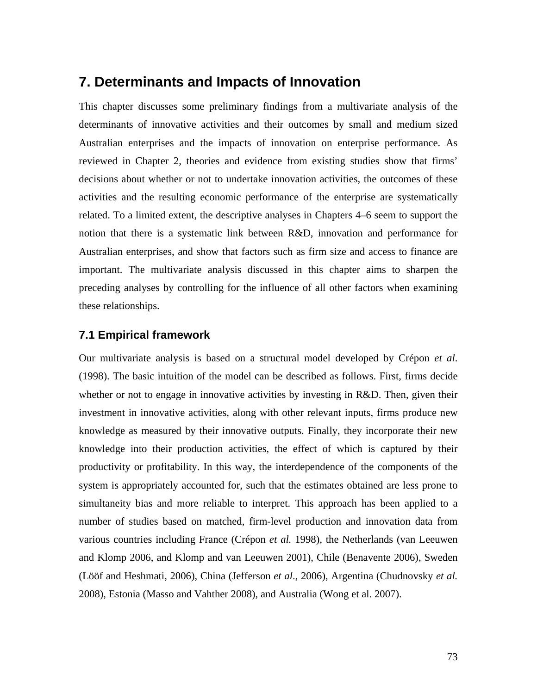## **7. Determinants and Impacts of Innovation**

This chapter discusses some preliminary findings from a multivariate analysis of the determinants of innovative activities and their outcomes by small and medium sized Australian enterprises and the impacts of innovation on enterprise performance. As reviewed in Chapter 2, theories and evidence from existing studies show that firms' decisions about whether or not to undertake innovation activities, the outcomes of these activities and the resulting economic performance of the enterprise are systematically related. To a limited extent, the descriptive analyses in Chapters 4–6 seem to support the notion that there is a systematic link between R&D, innovation and performance for Australian enterprises, and show that factors such as firm size and access to finance are important. The multivariate analysis discussed in this chapter aims to sharpen the preceding analyses by controlling for the influence of all other factors when examining these relationships.

### **7.1 Empirical framework**

Our multivariate analysis is based on a structural model developed by Crépon *et al*. (1998). The basic intuition of the model can be described as follows. First, firms decide whether or not to engage in innovative activities by investing in R&D. Then, given their investment in innovative activities, along with other relevant inputs, firms produce new knowledge as measured by their innovative outputs. Finally, they incorporate their new knowledge into their production activities, the effect of which is captured by their productivity or profitability. In this way, the interdependence of the components of the system is appropriately accounted for, such that the estimates obtained are less prone to simultaneity bias and more reliable to interpret. This approach has been applied to a number of studies based on matched, firm-level production and innovation data from various countries including France (Crépon *et al.* 1998), the Netherlands (van Leeuwen and Klomp 2006, and Klomp and van Leeuwen 2001), Chile (Benavente 2006), Sweden (Lööf and Heshmati, 2006), China (Jefferson *et al*., 2006), Argentina (Chudnovsky *et al.* 2008), Estonia (Masso and Vahther 2008), and Australia (Wong et al. 2007).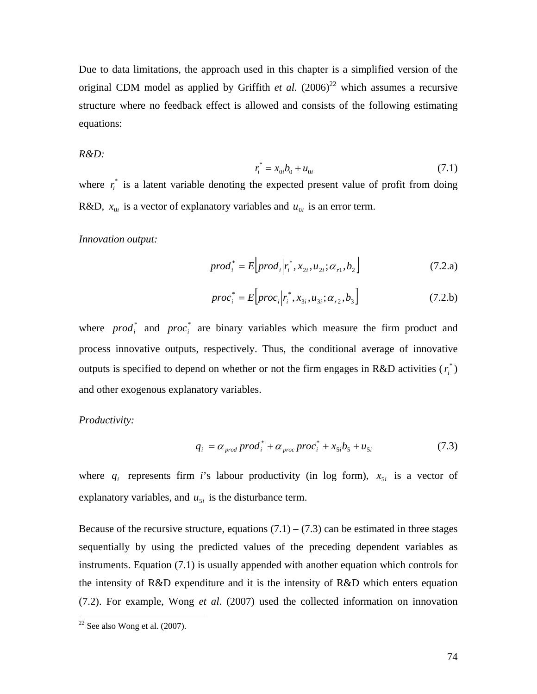Due to data limitations, the approach used in this chapter is a simplified version of the original CDM model as applied by Griffith *et al.*  $(2006)^{22}$  which assumes a recursive structure where no feedback effect is allowed and consists of the following estimating equations:

*R&D:* 

$$
r_i^* = x_{0i}b_0 + u_{0i} \tag{7.1}
$$

where  $r_i^*$  is a latent variable denoting the expected present value of profit from doing R&D,  $x_{0i}$  is a vector of explanatory variables and  $u_{0i}$  is an error term.

*Innovation output:* 

$$
prod_i^* = E[prod_i | r_i^*, x_{2i}, u_{2i}; \alpha_{r1}, b_2]
$$
 (7.2.2)

$$
proc_i^* = E\Big[proc_i\Big| r_i^*, x_{3i}, u_{3i}; \alpha_{r2}, b_3 \Big]
$$
 (7.2.b)

where  $prod_i^*$  and  $proc_i^*$  are binary variables which measure the firm product and process innovative outputs, respectively. Thus, the conditional average of innovative outputs is specified to depend on whether or not the firm engages in  $R&D$  activities  $(r_i^*)$ and other exogenous explanatory variables.

#### *Productivity:*

$$
q_i = \alpha_{prod} \,prod_i^* + \alpha_{proc} \,proc_i^* + x_{si}b_s + u_{si} \tag{7.3}
$$

where  $q_i$  represents firm *i*'s labour productivity (in log form),  $x_{5i}$  is a vector of explanatory variables, and  $u_{5i}$  is the disturbance term.

Because of the recursive structure, equations  $(7.1) - (7.3)$  can be estimated in three stages sequentially by using the predicted values of the preceding dependent variables as instruments. Equation (7.1) is usually appended with another equation which controls for the intensity of R&D expenditure and it is the intensity of R&D which enters equation (7.2). For example, Wong *et al*. (2007) used the collected information on innovation

 $22$  See also Wong et al. (2007).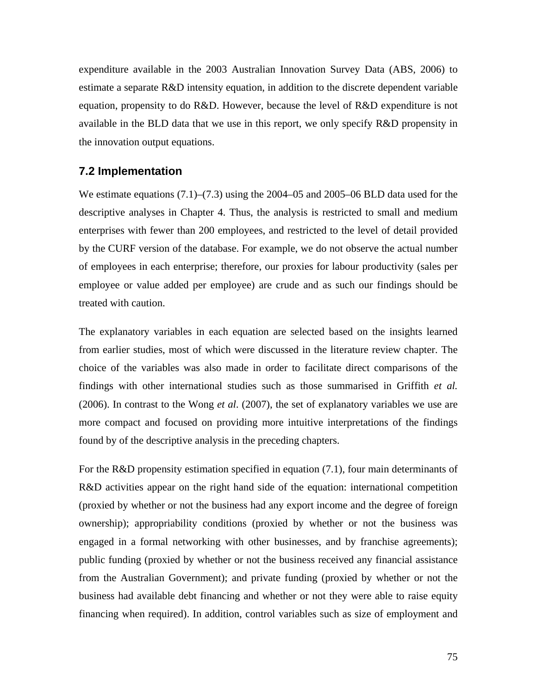expenditure available in the 2003 Australian Innovation Survey Data (ABS, 2006) to estimate a separate R&D intensity equation, in addition to the discrete dependent variable equation, propensity to do R&D. However, because the level of R&D expenditure is not available in the BLD data that we use in this report, we only specify R&D propensity in the innovation output equations.

### **7.2 Implementation**

We estimate equations (7.1)–(7.3) using the 2004–05 and 2005–06 BLD data used for the descriptive analyses in Chapter 4. Thus, the analysis is restricted to small and medium enterprises with fewer than 200 employees, and restricted to the level of detail provided by the CURF version of the database. For example, we do not observe the actual number of employees in each enterprise; therefore, our proxies for labour productivity (sales per employee or value added per employee) are crude and as such our findings should be treated with caution.

The explanatory variables in each equation are selected based on the insights learned from earlier studies, most of which were discussed in the literature review chapter. The choice of the variables was also made in order to facilitate direct comparisons of the findings with other international studies such as those summarised in Griffith *et al.* (2006). In contrast to the Wong *et al*. (2007), the set of explanatory variables we use are more compact and focused on providing more intuitive interpretations of the findings found by of the descriptive analysis in the preceding chapters.

For the R&D propensity estimation specified in equation (7.1), four main determinants of R&D activities appear on the right hand side of the equation: international competition (proxied by whether or not the business had any export income and the degree of foreign ownership); appropriability conditions (proxied by whether or not the business was engaged in a formal networking with other businesses, and by franchise agreements); public funding (proxied by whether or not the business received any financial assistance from the Australian Government); and private funding (proxied by whether or not the business had available debt financing and whether or not they were able to raise equity financing when required). In addition, control variables such as size of employment and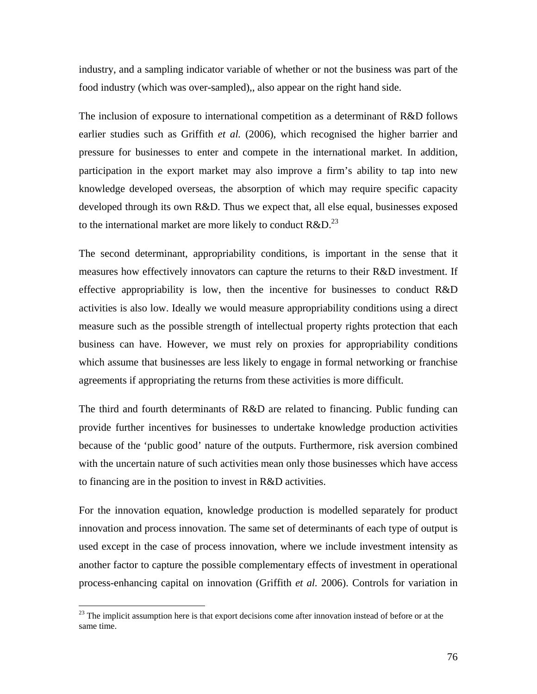industry, and a sampling indicator variable of whether or not the business was part of the food industry (which was over-sampled),, also appear on the right hand side.

The inclusion of exposure to international competition as a determinant of R&D follows earlier studies such as Griffith *et al.* (2006), which recognised the higher barrier and pressure for businesses to enter and compete in the international market. In addition, participation in the export market may also improve a firm's ability to tap into new knowledge developed overseas, the absorption of which may require specific capacity developed through its own R&D. Thus we expect that, all else equal, businesses exposed to the international market are more likely to conduct  $R&D.<sup>23</sup>$ 

The second determinant, appropriability conditions, is important in the sense that it measures how effectively innovators can capture the returns to their R&D investment. If effective appropriability is low, then the incentive for businesses to conduct R&D activities is also low. Ideally we would measure appropriability conditions using a direct measure such as the possible strength of intellectual property rights protection that each business can have. However, we must rely on proxies for appropriability conditions which assume that businesses are less likely to engage in formal networking or franchise agreements if appropriating the returns from these activities is more difficult.

The third and fourth determinants of R&D are related to financing. Public funding can provide further incentives for businesses to undertake knowledge production activities because of the 'public good' nature of the outputs. Furthermore, risk aversion combined with the uncertain nature of such activities mean only those businesses which have access to financing are in the position to invest in R&D activities.

For the innovation equation, knowledge production is modelled separately for product innovation and process innovation. The same set of determinants of each type of output is used except in the case of process innovation, where we include investment intensity as another factor to capture the possible complementary effects of investment in operational process-enhancing capital on innovation (Griffith *et al.* 2006). Controls for variation in

 $23$  The implicit assumption here is that export decisions come after innovation instead of before or at the same time.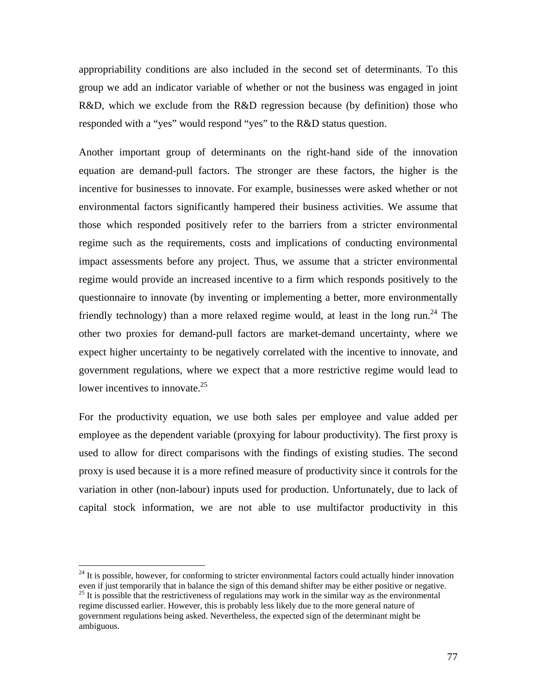appropriability conditions are also included in the second set of determinants. To this group we add an indicator variable of whether or not the business was engaged in joint R&D, which we exclude from the R&D regression because (by definition) those who responded with a "yes" would respond "yes" to the R&D status question.

Another important group of determinants on the right-hand side of the innovation equation are demand-pull factors. The stronger are these factors, the higher is the incentive for businesses to innovate. For example, businesses were asked whether or not environmental factors significantly hampered their business activities. We assume that those which responded positively refer to the barriers from a stricter environmental regime such as the requirements, costs and implications of conducting environmental impact assessments before any project. Thus, we assume that a stricter environmental regime would provide an increased incentive to a firm which responds positively to the questionnaire to innovate (by inventing or implementing a better, more environmentally friendly technology) than a more relaxed regime would, at least in the long run.<sup>24</sup> The other two proxies for demand-pull factors are market-demand uncertainty, where we expect higher uncertainty to be negatively correlated with the incentive to innovate, and government regulations, where we expect that a more restrictive regime would lead to lower incentives to innovate.<sup>25</sup>

For the productivity equation, we use both sales per employee and value added per employee as the dependent variable (proxying for labour productivity). The first proxy is used to allow for direct comparisons with the findings of existing studies. The second proxy is used because it is a more refined measure of productivity since it controls for the variation in other (non-labour) inputs used for production. Unfortunately, due to lack of capital stock information, we are not able to use multifactor productivity in this

 $^{24}$  It is possible, however, for conforming to stricter environmental factors could actually hinder innovation even if just temporarily that in balance the sign of this demand shifter may be either positive or negative. 25 It is possible that the restrictiveness of regulations may work in the similar way as the environmental

regime discussed earlier. However, this is probably less likely due to the more general nature of government regulations being asked. Nevertheless, the expected sign of the determinant might be ambiguous.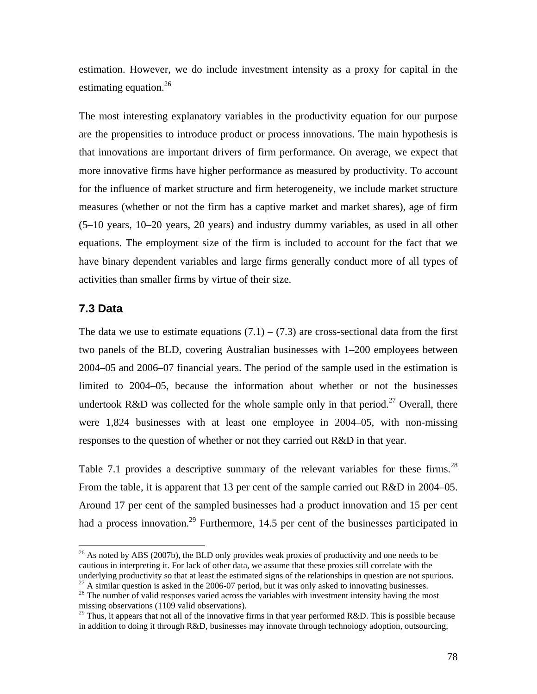estimation. However, we do include investment intensity as a proxy for capital in the estimating equation.<sup>26</sup>

The most interesting explanatory variables in the productivity equation for our purpose are the propensities to introduce product or process innovations. The main hypothesis is that innovations are important drivers of firm performance. On average, we expect that more innovative firms have higher performance as measured by productivity. To account for the influence of market structure and firm heterogeneity, we include market structure measures (whether or not the firm has a captive market and market shares), age of firm (5–10 years, 10–20 years, 20 years) and industry dummy variables, as used in all other equations. The employment size of the firm is included to account for the fact that we have binary dependent variables and large firms generally conduct more of all types of activities than smaller firms by virtue of their size.

### **7.3 Data**

1

The data we use to estimate equations  $(7.1) - (7.3)$  are cross-sectional data from the first two panels of the BLD, covering Australian businesses with 1–200 employees between 2004–05 and 2006–07 financial years. The period of the sample used in the estimation is limited to 2004–05, because the information about whether or not the businesses undertook R&D was collected for the whole sample only in that period.<sup>27</sup> Overall, there were 1,824 businesses with at least one employee in 2004–05, with non-missing responses to the question of whether or not they carried out R&D in that year.

Table 7.1 provides a descriptive summary of the relevant variables for these firms.<sup>28</sup> From the table, it is apparent that 13 per cent of the sample carried out R&D in 2004–05. Around 17 per cent of the sampled businesses had a product innovation and 15 per cent had a process innovation.<sup>29</sup> Furthermore, 14.5 per cent of the businesses participated in

 $^{26}$  As noted by ABS (2007b), the BLD only provides weak proxies of productivity and one needs to be cautious in interpreting it. For lack of other data, we assume that these proxies still correlate with the underlying productivity so that at least the estimated signs of the relationships in question are not spurious.  $27$  A similar question is asked in the 2006-07 period, but it was only asked to innovating businesses.

<sup>&</sup>lt;sup>28</sup> The number of valid responses varied across the variables with investment intensity having the most missing observations (1109 valid observations).

 $^{29}$  Thus, it appears that not all of the innovative firms in that year performed R&D. This is possible because in addition to doing it through R&D, businesses may innovate through technology adoption, outsourcing,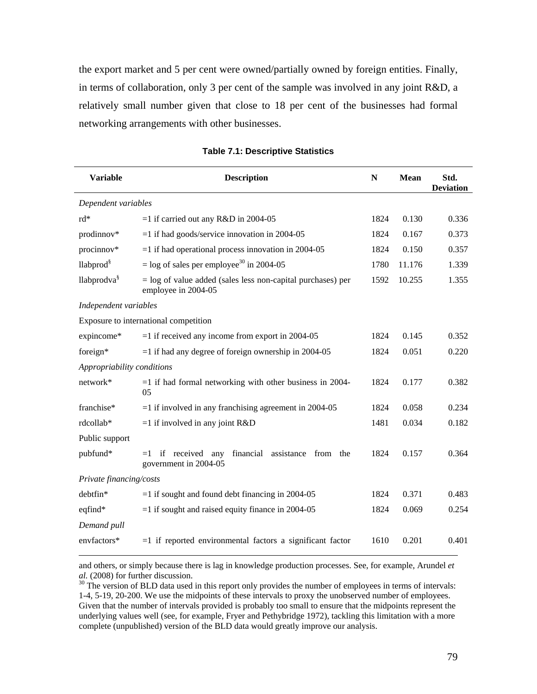the export market and 5 per cent were owned/partially owned by foreign entities. Finally, in terms of collaboration, only 3 per cent of the sample was involved in any joint R&D, a relatively small number given that close to 18 per cent of the businesses had formal networking arrangements with other businesses.

| <b>Variable</b>            | <b>Description</b>                                                                   | N    | <b>Mean</b> | Std.<br><b>Deviation</b> |
|----------------------------|--------------------------------------------------------------------------------------|------|-------------|--------------------------|
| Dependent variables        |                                                                                      |      |             |                          |
| $rd*$                      | $=1$ if carried out any R&D in 2004-05                                               | 1824 | 0.130       | 0.336                    |
| prodinnov*                 | $=1$ if had goods/service innovation in 2004-05                                      | 1824 | 0.167       | 0.373                    |
| procinnov*                 | $=$ 1 if had operational process innovation in 2004-05                               | 1824 | 0.150       | 0.357                    |
| llabprod $\delta$          | $=$ log of sales per employee <sup>30</sup> in 2004-05                               | 1780 | 11.176      | 1.339                    |
| llabprodva <sup>§</sup>    | $=$ log of value added (sales less non-capital purchases) per<br>employee in 2004-05 | 1592 | 10.255      | 1.355                    |
| Independent variables      |                                                                                      |      |             |                          |
|                            | Exposure to international competition                                                |      |             |                          |
| expincome*                 | $=$ 1 if received any income from export in 2004-05                                  | 1824 | 0.145       | 0.352                    |
| foreign*                   | $=$ 1 if had any degree of foreign ownership in 2004-05                              | 1824 | 0.051       | 0.220                    |
| Appropriability conditions |                                                                                      |      |             |                          |
| network*                   | $=$ 1 if had formal networking with other business in 2004-<br>05                    | 1824 | 0.177       | 0.382                    |
| franchise*                 | $=1$ if involved in any franchising agreement in 2004-05                             | 1824 | 0.058       | 0.234                    |
| rdcollab*                  | $=1$ if involved in any joint R&D                                                    | 1481 | 0.034       | 0.182                    |
| Public support             |                                                                                      |      |             |                          |
| pubfund*                   | financial assistance from the<br>if received any<br>$=1$<br>government in 2004-05    | 1824 | 0.157       | 0.364                    |
| Private financing/costs    |                                                                                      |      |             |                          |
| debtfin*                   | $=1$ if sought and found debt financing in 2004-05                                   | 1824 | 0.371       | 0.483                    |
| eqfind*                    | $=1$ if sought and raised equity finance in 2004-05                                  | 1824 | 0.069       | 0.254                    |
| Demand pull                |                                                                                      |      |             |                          |
| envfactors*                | $=1$ if reported environmental factors a significant factor                          | 1610 | 0.201       | 0.401                    |

#### **Table 7.1: Descriptive Statistics**

and others, or simply because there is lag in knowledge production processes. See, for example, Arundel *et* 

<sup>30</sup> The version of BLD data used in this report only provides the number of employees in terms of intervals: 1-4, 5-19, 20-200. We use the midpoints of these intervals to proxy the unobserved number of employees. Given that the number of intervals provided is probably too small to ensure that the midpoints represent the underlying values well (see, for example, Fryer and Pethybridge 1972), tackling this limitation with a more complete (unpublished) version of the BLD data would greatly improve our analysis.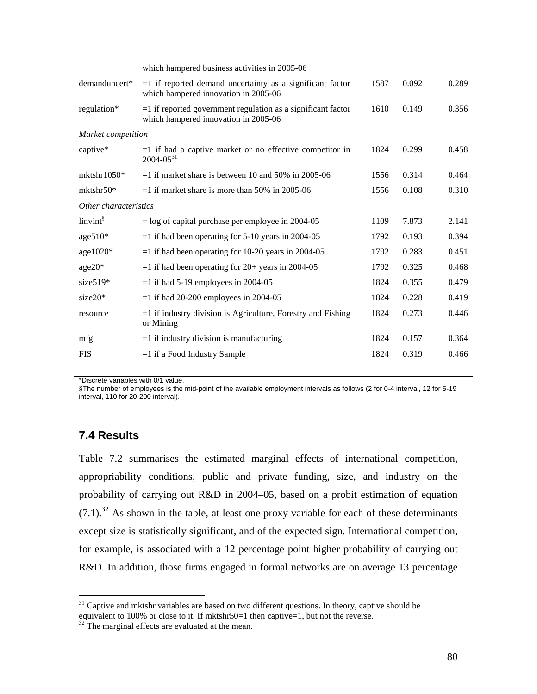|                       | which hampered business activities in 2005-06                                                           |      |       |       |
|-----------------------|---------------------------------------------------------------------------------------------------------|------|-------|-------|
| demanduncert*         | $=1$ if reported demand uncertainty as a significant factor<br>which hampered innovation in 2005-06     | 1587 | 0.092 | 0.289 |
| regulation*           | $=$ 1 if reported government regulation as a significant factor<br>which hampered innovation in 2005-06 | 1610 | 0.149 | 0.356 |
| Market competition    |                                                                                                         |      |       |       |
| captive*              | $=1$ if had a captive market or no effective competitor in<br>$2004 - 05^{31}$                          | 1824 | 0.299 | 0.458 |
| mktshr $1050*$        | $=1$ if market share is between 10 and 50% in 2005-06                                                   | 1556 | 0.314 | 0.464 |
| $mktshr50*$           | $=$ 1 if market share is more than 50% in 2005-06                                                       | 1556 | 0.108 | 0.310 |
| Other characteristics |                                                                                                         |      |       |       |
| linvint <sup>§</sup>  | $=$ log of capital purchase per employee in 2004-05                                                     | 1109 | 7.873 | 2.141 |
| age $510*$            | $=$ 1 if had been operating for 5-10 years in 2004-05                                                   | 1792 | 0.193 | 0.394 |
| age $1020*$           | $=1$ if had been operating for 10-20 years in 2004-05                                                   | 1792 | 0.283 | 0.451 |
| $age20*$              | $=$ 1 if had been operating for 20+ years in 2004-05                                                    | 1792 | 0.325 | 0.468 |
| size $519*$           | $=1$ if had 5-19 employees in 2004-05                                                                   | 1824 | 0.355 | 0.479 |
| $size20*$             | $=1$ if had 20-200 employees in 2004-05                                                                 | 1824 | 0.228 | 0.419 |
| resource              | $=$ 1 if industry division is Agriculture, Forestry and Fishing<br>or Mining                            | 1824 | 0.273 | 0.446 |
| mfg                   | $=$ 1 if industry division is manufacturing                                                             | 1824 | 0.157 | 0.364 |
| <b>FIS</b>            | $=1$ if a Food Industry Sample                                                                          | 1824 | 0.319 | 0.466 |
|                       |                                                                                                         |      |       |       |

\*Discrete variables with 0/1 value.

§The number of employees is the mid-point of the available employment intervals as follows (2 for 0-4 interval, 12 for 5-19 interval, 110 for 20-200 interval).

## **7.4 Results**

1

Table 7.2 summarises the estimated marginal effects of international competition, appropriability conditions, public and private funding, size, and industry on the probability of carrying out R&D in 2004–05, based on a probit estimation of equation  $(7.1).$ <sup>32</sup> As shown in the table, at least one proxy variable for each of these determinants except size is statistically significant, and of the expected sign. International competition, for example, is associated with a 12 percentage point higher probability of carrying out R&D. In addition, those firms engaged in formal networks are on average 13 percentage

 $31$  Captive and mktshr variables are based on two different questions. In theory, captive should be equivalent to 100% or close to it. If mktshr50=1 then captive=1, but not the reverse.

 $32$ <sup>2</sup>The marginal effects are evaluated at the mean.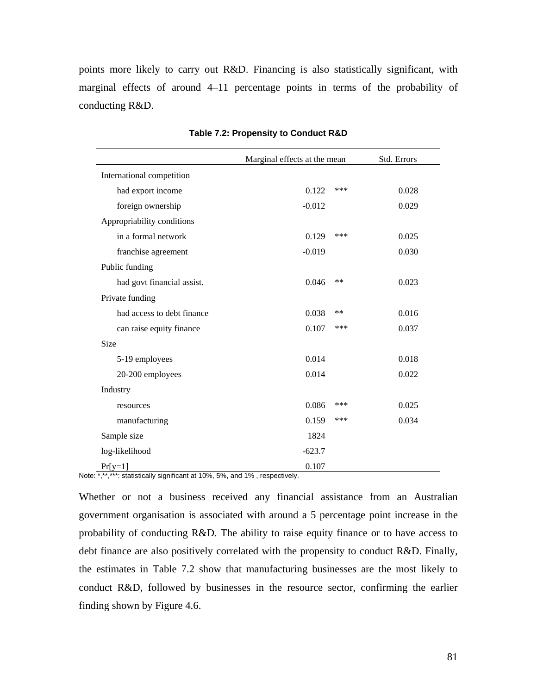points more likely to carry out R&D. Financing is also statistically significant, with marginal effects of around 4–11 percentage points in terms of the probability of conducting R&D.

|                            | Marginal effects at the mean |      | Std. Errors |
|----------------------------|------------------------------|------|-------------|
| International competition  |                              |      |             |
| had export income          | 0.122                        | ***  | 0.028       |
| foreign ownership          | $-0.012$                     |      | 0.029       |
| Appropriability conditions |                              |      |             |
| in a formal network        | 0.129                        | ***  | 0.025       |
| franchise agreement        | $-0.019$                     |      | 0.030       |
| Public funding             |                              |      |             |
| had govt financial assist. | 0.046                        | $**$ | 0.023       |
| Private funding            |                              |      |             |
| had access to debt finance | 0.038                        | **   | 0.016       |
| can raise equity finance   | 0.107                        | ***  | 0.037       |
| Size                       |                              |      |             |
| 5-19 employees             | 0.014                        |      | 0.018       |
| 20-200 employees           | 0.014                        |      | 0.022       |
| Industry                   |                              |      |             |
| resources                  | 0.086                        | ***  | 0.025       |
| manufacturing              | 0.159                        | ***  | 0.034       |
| Sample size                | 1824                         |      |             |
| log-likelihood             | $-623.7$                     |      |             |
| $Pr[y=1]$                  | 0.107                        |      |             |

**Table 7.2: Propensity to Conduct R&D** 

Note: \*,\*\*,\*\*\*: statistically significant at 10%, 5%, and 1% , respectively.

Whether or not a business received any financial assistance from an Australian government organisation is associated with around a 5 percentage point increase in the probability of conducting R&D. The ability to raise equity finance or to have access to debt finance are also positively correlated with the propensity to conduct R&D. Finally, the estimates in Table 7.2 show that manufacturing businesses are the most likely to conduct R&D, followed by businesses in the resource sector, confirming the earlier finding shown by Figure 4.6.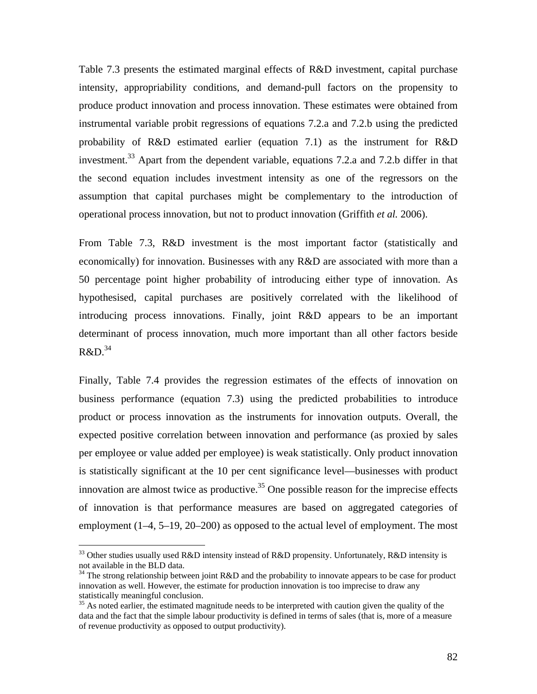Table 7.3 presents the estimated marginal effects of R&D investment, capital purchase intensity, appropriability conditions, and demand-pull factors on the propensity to produce product innovation and process innovation. These estimates were obtained from instrumental variable probit regressions of equations 7.2.a and 7.2.b using the predicted probability of R&D estimated earlier (equation 7.1) as the instrument for R&D investment.<sup>33</sup> Apart from the dependent variable, equations 7.2.a and 7.2.b differ in that the second equation includes investment intensity as one of the regressors on the assumption that capital purchases might be complementary to the introduction of operational process innovation, but not to product innovation (Griffith *et al.* 2006).

From Table 7.3, R&D investment is the most important factor (statistically and economically) for innovation. Businesses with any R&D are associated with more than a 50 percentage point higher probability of introducing either type of innovation. As hypothesised, capital purchases are positively correlated with the likelihood of introducing process innovations. Finally, joint R&D appears to be an important determinant of process innovation, much more important than all other factors beside  $R&D.<sup>34</sup>$ 

Finally, Table 7.4 provides the regression estimates of the effects of innovation on business performance (equation 7.3) using the predicted probabilities to introduce product or process innovation as the instruments for innovation outputs. Overall, the expected positive correlation between innovation and performance (as proxied by sales per employee or value added per employee) is weak statistically. Only product innovation is statistically significant at the 10 per cent significance level—businesses with product innovation are almost twice as productive.<sup>35</sup> One possible reason for the imprecise effects of innovation is that performance measures are based on aggregated categories of employment (1–4, 5–19, 20–200) as opposed to the actual level of employment. The most

<sup>&</sup>lt;sup>33</sup> Other studies usually used R&D intensity instead of R&D propensity. Unfortunately, R&D intensity is not available in the BLD data.

<sup>&</sup>lt;sup>34</sup> The strong relationship between joint  $R&D$  and the probability to innovate appears to be case for product innovation as well. However, the estimate for production innovation is too imprecise to draw any statistically meaningful conclusion.

<sup>&</sup>lt;sup>35</sup> As noted earlier, the estimated magnitude needs to be interpreted with caution given the quality of the data and the fact that the simple labour productivity is defined in terms of sales (that is, more of a measure of revenue productivity as opposed to output productivity).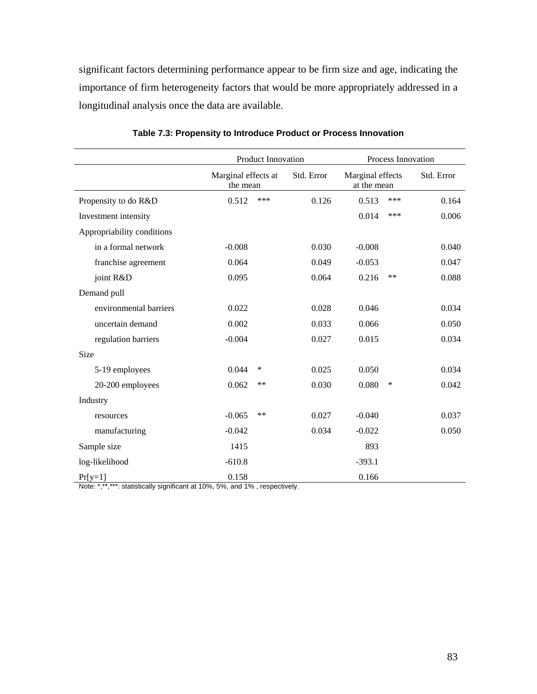significant factors determining performance appear to be firm size and age, indicating the importance of firm heterogeneity factors that would be more appropriately addressed in a longitudinal analysis once the data are available.

|                            | Product Innovation              |        | Process Innovation |                                 |      |            |
|----------------------------|---------------------------------|--------|--------------------|---------------------------------|------|------------|
|                            | Marginal effects at<br>the mean |        | Std. Error         | Marginal effects<br>at the mean |      | Std. Error |
| Propensity to do R&D       | 0.512                           | ***    | 0.126              | 0.513                           | ***  | 0.164      |
| Investment intensity       |                                 |        |                    | 0.014                           | ***  | 0.006      |
| Appropriability conditions |                                 |        |                    |                                 |      |            |
| in a formal network        | $-0.008$                        |        | 0.030              | $-0.008$                        |      | 0.040      |
| franchise agreement        | 0.064                           |        | 0.049              | $-0.053$                        |      | 0.047      |
| joint R&D                  | 0.095                           |        | 0.064              | 0.216                           | $**$ | 0.088      |
| Demand pull                |                                 |        |                    |                                 |      |            |
| environmental barriers     | 0.022                           |        | 0.028              | 0.046                           |      | 0.034      |
| uncertain demand           | 0.002                           |        | 0.033              | 0.066                           |      | 0.050      |
| regulation barriers        | $-0.004$                        |        | 0.027              | 0.015                           |      | 0.034      |
| Size                       |                                 |        |                    |                                 |      |            |
| 5-19 employees             | 0.044                           | $\ast$ | 0.025              | 0.050                           |      | 0.034      |
| 20-200 employees           | 0.062                           | $***$  | 0.030              | 0.080                           | ∗    | 0.042      |
| Industry                   |                                 |        |                    |                                 |      |            |
| resources                  | $-0.065$                        | $**$   | 0.027              | $-0.040$                        |      | 0.037      |
| manufacturing              | $-0.042$                        |        | 0.034              | $-0.022$                        |      | 0.050      |
| Sample size                | 1415                            |        |                    | 893                             |      |            |
| log-likelihood             | $-610.8$                        |        |                    | $-393.1$                        |      |            |
| $Pr[y=1]$                  | 0.158                           |        |                    | 0.166                           |      |            |

| Table 7.3: Propensity to Introduce Product or Process Innovation |  |  |  |  |  |  |  |
|------------------------------------------------------------------|--|--|--|--|--|--|--|
|------------------------------------------------------------------|--|--|--|--|--|--|--|

Note: \*,\*\*,\*\*\*: statistically significant at 10%, 5%, and 1% , respectively.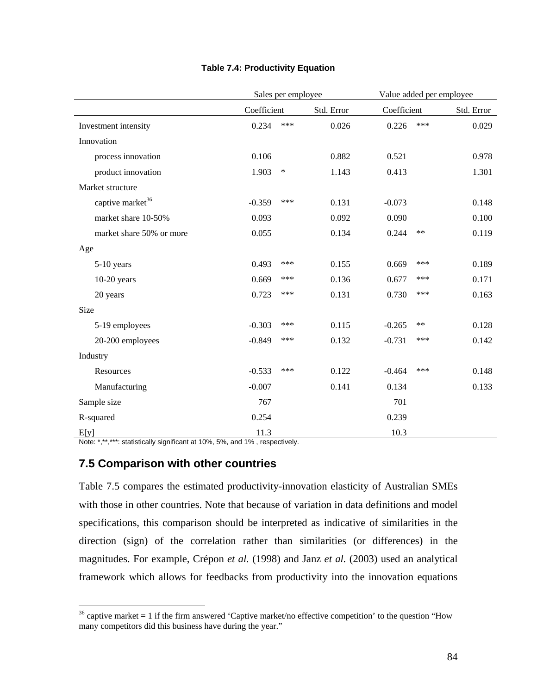|                              |             | Sales per employee |            |             |       | Value added per employee |
|------------------------------|-------------|--------------------|------------|-------------|-------|--------------------------|
|                              | Coefficient |                    | Std. Error | Coefficient |       | Std. Error               |
| Investment intensity         | 0.234       | ***                | 0.026      | 0.226       | ***   | 0.029                    |
| Innovation                   |             |                    |            |             |       |                          |
| process innovation           | 0.106       |                    | 0.882      | 0.521       |       | 0.978                    |
| product innovation           | 1.903       | $\ast$             | 1.143      | 0.413       |       | 1.301                    |
| Market structure             |             |                    |            |             |       |                          |
| captive market <sup>36</sup> | $-0.359$    | ***                | 0.131      | $-0.073$    |       | 0.148                    |
| market share 10-50%          | 0.093       |                    | 0.092      | 0.090       |       | 0.100                    |
| market share 50% or more     | 0.055       |                    | 0.134      | 0.244       | $***$ | 0.119                    |
| Age                          |             |                    |            |             |       |                          |
| $5-10$ years                 | 0.493       | ***                | 0.155      | 0.669       | ***   | 0.189                    |
| $10-20$ years                | 0.669       | ***                | 0.136      | 0.677       | ***   | 0.171                    |
| 20 years                     | 0.723       | ***                | 0.131      | 0.730       | ***   | 0.163                    |
| Size                         |             |                    |            |             |       |                          |
| 5-19 employees               | $-0.303$    | ***                | 0.115      | $-0.265$    | $***$ | 0.128                    |
| 20-200 employees             | $-0.849$    | ***                | 0.132      | $-0.731$    | ***   | 0.142                    |
| Industry                     |             |                    |            |             |       |                          |
| Resources                    | $-0.533$    | ***                | 0.122      | $-0.464$    | ***   | 0.148                    |
| Manufacturing                | $-0.007$    |                    | 0.141      | 0.134       |       | 0.133                    |
| Sample size                  | 767         |                    |            | 701         |       |                          |
| R-squared                    | 0.254       |                    |            | 0.239       |       |                          |
| E[y]                         | 11.3        |                    |            | 10.3        |       |                          |

#### **Table 7.4: Productivity Equation**

Note: \*,\*\*,\*\*\*: statistically significant at 10%, 5%, and 1% , respectively.

## **7.5 Comparison with other countries**

1

Table 7.5 compares the estimated productivity-innovation elasticity of Australian SMEs with those in other countries. Note that because of variation in data definitions and model specifications, this comparison should be interpreted as indicative of similarities in the direction (sign) of the correlation rather than similarities (or differences) in the magnitudes. For example, Crépon *et al.* (1998) and Janz *et al.* (2003) used an analytical framework which allows for feedbacks from productivity into the innovation equations

<sup>&</sup>lt;sup>36</sup> captive market = 1 if the firm answered 'Captive market/no effective competition' to the question "How" many competitors did this business have during the year."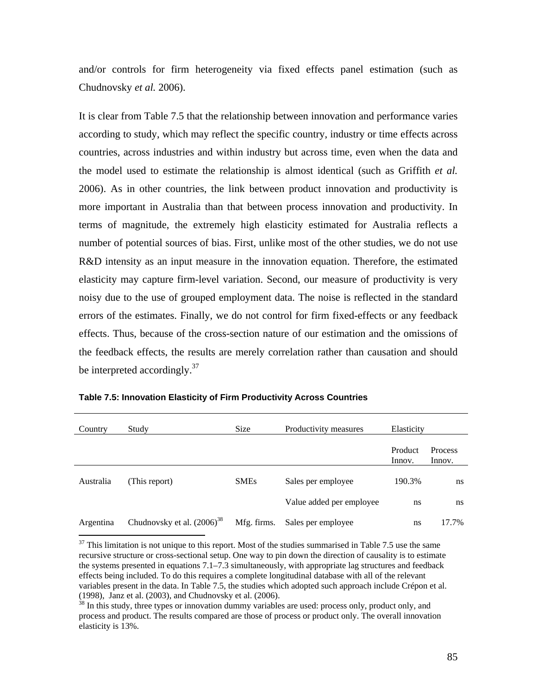and/or controls for firm heterogeneity via fixed effects panel estimation (such as Chudnovsky *et al.* 2006).

It is clear from Table 7.5 that the relationship between innovation and performance varies according to study, which may reflect the specific country, industry or time effects across countries, across industries and within industry but across time, even when the data and the model used to estimate the relationship is almost identical (such as Griffith *et al.* 2006). As in other countries, the link between product innovation and productivity is more important in Australia than that between process innovation and productivity. In terms of magnitude, the extremely high elasticity estimated for Australia reflects a number of potential sources of bias. First, unlike most of the other studies, we do not use R&D intensity as an input measure in the innovation equation. Therefore, the estimated elasticity may capture firm-level variation. Second, our measure of productivity is very noisy due to the use of grouped employment data. The noise is reflected in the standard errors of the estimates. Finally, we do not control for firm fixed-effects or any feedback effects. Thus, because of the cross-section nature of our estimation and the omissions of the feedback effects, the results are merely correlation rather than causation and should be interpreted accordingly.<sup>37</sup>

| Country   | Study                           | <b>Size</b> | Productivity measures    | Elasticity        |                          |
|-----------|---------------------------------|-------------|--------------------------|-------------------|--------------------------|
|           |                                 |             |                          | Product<br>Innov. | <b>Process</b><br>Innov. |
| Australia | (This report)                   | <b>SMEs</b> | Sales per employee       | 190.3%            | $\mathbf{n}$ s           |
|           |                                 |             | Value added per employee | <sub>ns</sub>     | ns                       |
| Argentina | Chudnovsky et al. $(2006)^{38}$ | Mfg. firms. | Sales per employee       | <sub>ns</sub>     | 17.7%                    |
|           |                                 |             |                          |                   |                          |

| Table 7.5: Innovation Elasticity of Firm Productivity Across Countries |  |  |  |  |
|------------------------------------------------------------------------|--|--|--|--|
|------------------------------------------------------------------------|--|--|--|--|

 $37$  This limitation is not unique to this report. Most of the studies summarised in Table 7.5 use the same recursive structure or cross-sectional setup. One way to pin down the direction of causality is to estimate the systems presented in equations 7.1–7.3 simultaneously, with appropriate lag structures and feedback effects being included. To do this requires a complete longitudinal database with all of the relevant variables present in the data. In Table 7.5, the studies which adopted such approach include Crépon et al. (1998), Janz et al. (2003), and Chudnovsky et al. (2006).

<sup>&</sup>lt;sup>38</sup> In this study, three types or innovation dummy variables are used: process only, product only, and process and product. The results compared are those of process or product only. The overall innovation elasticity is 13%.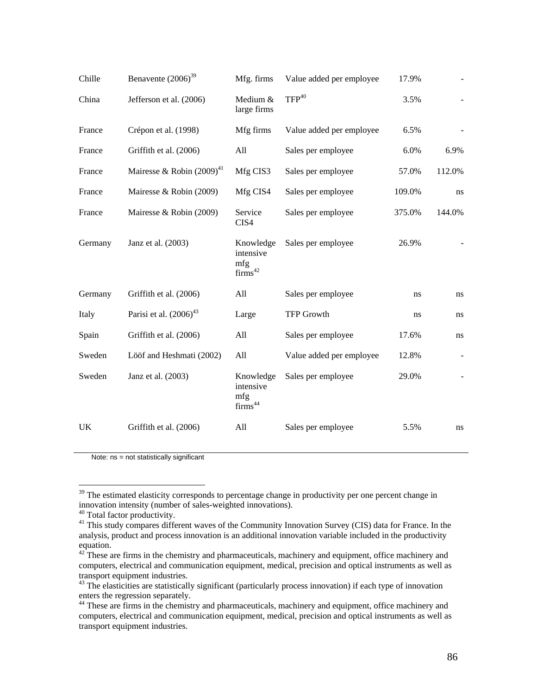| Chille  | Benavente (2006) <sup>39</sup> | Mfg. firms                                                           | Value added per employee | 17.9%  |        |
|---------|--------------------------------|----------------------------------------------------------------------|--------------------------|--------|--------|
| China   | Jefferson et al. (2006)        | Medium &<br>large firms                                              | $TFP^{40}$               | 3.5%   |        |
| France  | Crépon et al. (1998)           | Mfg firms                                                            | Value added per employee | 6.5%   |        |
| France  | Griffith et al. (2006)         | All                                                                  | Sales per employee       | 6.0%   | 6.9%   |
| France  | Mairesse & Robin $(2009)^{41}$ | Mfg CIS3                                                             | Sales per employee       | 57.0%  | 112.0% |
| France  | Mairesse & Robin (2009)        | Mfg CIS4                                                             | Sales per employee       | 109.0% | ns     |
| France  | Mairesse & Robin (2009)        | Service<br>CIS4                                                      | Sales per employee       | 375.0% | 144.0% |
| Germany | Janz et al. (2003)             | Knowledge<br>intensive<br>$mfg$<br>$\widetilde{\mathrm{firms}}^{42}$ | Sales per employee       | 26.9%  |        |
| Germany | Griffith et al. (2006)         | All                                                                  | Sales per employee       | ns     | ns     |
| Italy   | Parisi et al. $(2006)^{43}$    | Large                                                                | <b>TFP Growth</b>        | ns     | ns     |
| Spain   | Griffith et al. (2006)         | All                                                                  | Sales per employee       | 17.6%  | ns     |
| Sweden  | Lööf and Heshmati (2002)       | All                                                                  | Value added per employee | 12.8%  |        |
| Sweden  | Janz et al. (2003)             | Knowledge<br>intensive<br>mfg<br>firms <sup>44</sup>                 | Sales per employee       | 29.0%  |        |
| UK      | Griffith et al. (2006)         | All                                                                  | Sales per employee       | 5.5%   | ns     |

Note: ns = not statistically significant

 $39$  The estimated elasticity corresponds to percentage change in productivity per one percent change in innovation intensity (number of sales-weighted innovations).

<sup>&</sup>lt;sup>40</sup> Total factor productivity.

<sup>&</sup>lt;sup>41</sup> This study compares different waves of the Community Innovation Survey (CIS) data for France. In the analysis, product and process innovation is an additional innovation variable included in the productivity equation.

<sup>&</sup>lt;sup>42</sup> These are firms in the chemistry and pharmaceuticals, machinery and equipment, office machinery and computers, electrical and communication equipment, medical, precision and optical instruments as well as transport equipment industries.

<sup>&</sup>lt;sup>43</sup> The elasticities are statistically significant (particularly process innovation) if each type of innovation enters the regression separately.

<sup>&</sup>lt;sup>44</sup> These are firms in the chemistry and pharmaceuticals, machinery and equipment, office machinery and computers, electrical and communication equipment, medical, precision and optical instruments as well as transport equipment industries.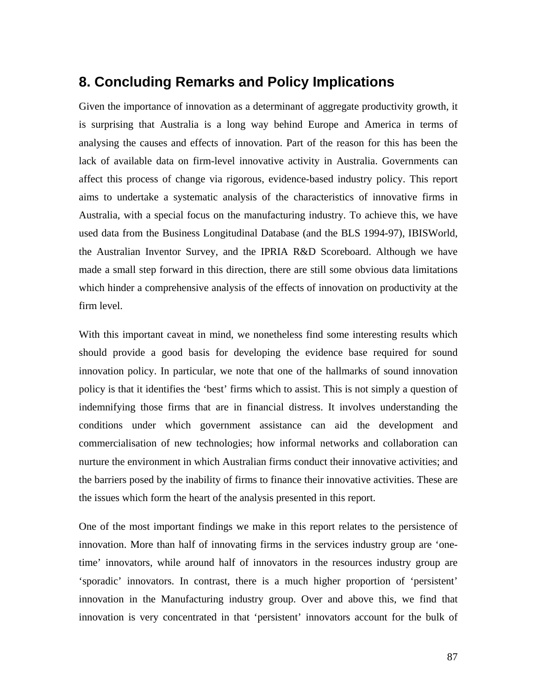## **8. Concluding Remarks and Policy Implications**

Given the importance of innovation as a determinant of aggregate productivity growth, it is surprising that Australia is a long way behind Europe and America in terms of analysing the causes and effects of innovation. Part of the reason for this has been the lack of available data on firm-level innovative activity in Australia. Governments can affect this process of change via rigorous, evidence-based industry policy. This report aims to undertake a systematic analysis of the characteristics of innovative firms in Australia, with a special focus on the manufacturing industry. To achieve this, we have used data from the Business Longitudinal Database (and the BLS 1994-97), IBISWorld, the Australian Inventor Survey, and the IPRIA R&D Scoreboard. Although we have made a small step forward in this direction, there are still some obvious data limitations which hinder a comprehensive analysis of the effects of innovation on productivity at the firm level.

With this important caveat in mind, we nonetheless find some interesting results which should provide a good basis for developing the evidence base required for sound innovation policy. In particular, we note that one of the hallmarks of sound innovation policy is that it identifies the 'best' firms which to assist. This is not simply a question of indemnifying those firms that are in financial distress. It involves understanding the conditions under which government assistance can aid the development and commercialisation of new technologies; how informal networks and collaboration can nurture the environment in which Australian firms conduct their innovative activities; and the barriers posed by the inability of firms to finance their innovative activities. These are the issues which form the heart of the analysis presented in this report.

One of the most important findings we make in this report relates to the persistence of innovation. More than half of innovating firms in the services industry group are 'onetime' innovators, while around half of innovators in the resources industry group are 'sporadic' innovators. In contrast, there is a much higher proportion of 'persistent' innovation in the Manufacturing industry group. Over and above this, we find that innovation is very concentrated in that 'persistent' innovators account for the bulk of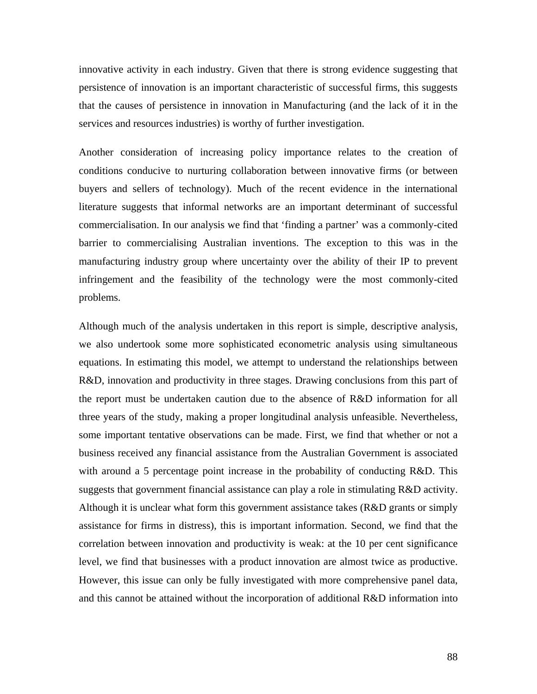innovative activity in each industry. Given that there is strong evidence suggesting that persistence of innovation is an important characteristic of successful firms, this suggests that the causes of persistence in innovation in Manufacturing (and the lack of it in the services and resources industries) is worthy of further investigation.

Another consideration of increasing policy importance relates to the creation of conditions conducive to nurturing collaboration between innovative firms (or between buyers and sellers of technology). Much of the recent evidence in the international literature suggests that informal networks are an important determinant of successful commercialisation. In our analysis we find that 'finding a partner' was a commonly-cited barrier to commercialising Australian inventions. The exception to this was in the manufacturing industry group where uncertainty over the ability of their IP to prevent infringement and the feasibility of the technology were the most commonly-cited problems.

Although much of the analysis undertaken in this report is simple, descriptive analysis, we also undertook some more sophisticated econometric analysis using simultaneous equations. In estimating this model, we attempt to understand the relationships between R&D, innovation and productivity in three stages. Drawing conclusions from this part of the report must be undertaken caution due to the absence of R&D information for all three years of the study, making a proper longitudinal analysis unfeasible. Nevertheless, some important tentative observations can be made. First, we find that whether or not a business received any financial assistance from the Australian Government is associated with around a 5 percentage point increase in the probability of conducting R&D. This suggests that government financial assistance can play a role in stimulating R&D activity. Although it is unclear what form this government assistance takes (R&D grants or simply assistance for firms in distress), this is important information. Second, we find that the correlation between innovation and productivity is weak: at the 10 per cent significance level, we find that businesses with a product innovation are almost twice as productive. However, this issue can only be fully investigated with more comprehensive panel data, and this cannot be attained without the incorporation of additional R&D information into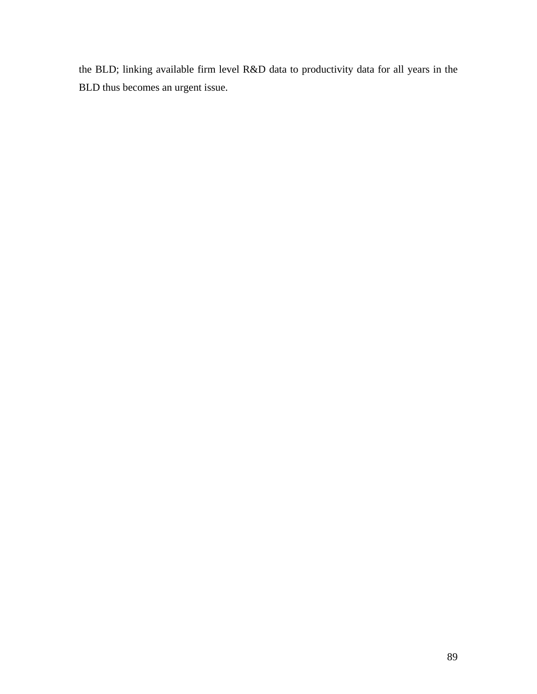the BLD; linking available firm level R&D data to productivity data for all years in the BLD thus becomes an urgent issue.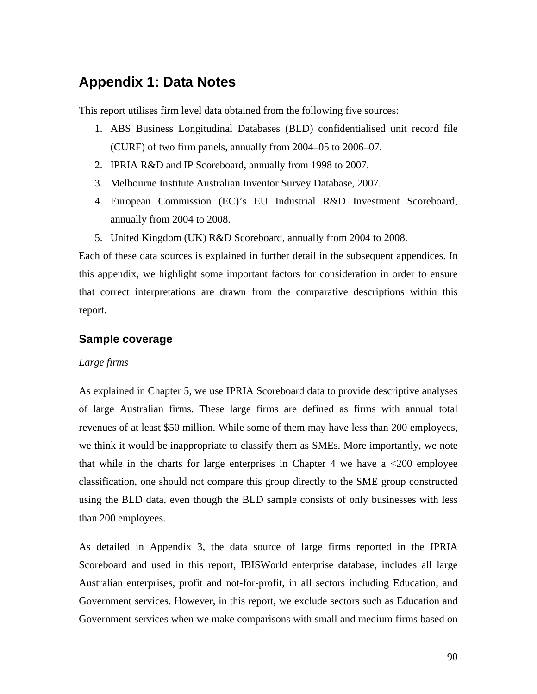# **Appendix 1: Data Notes**

This report utilises firm level data obtained from the following five sources:

- 1. ABS Business Longitudinal Databases (BLD) confidentialised unit record file (CURF) of two firm panels, annually from 2004–05 to 2006–07.
- 2. IPRIA R&D and IP Scoreboard, annually from 1998 to 2007.
- 3. Melbourne Institute Australian Inventor Survey Database, 2007.
- 4. European Commission (EC)'s EU Industrial R&D Investment Scoreboard, annually from 2004 to 2008.
- 5. United Kingdom (UK) R&D Scoreboard, annually from 2004 to 2008.

Each of these data sources is explained in further detail in the subsequent appendices. In this appendix, we highlight some important factors for consideration in order to ensure that correct interpretations are drawn from the comparative descriptions within this report.

### **Sample coverage**

#### *Large firms*

As explained in Chapter 5, we use IPRIA Scoreboard data to provide descriptive analyses of large Australian firms. These large firms are defined as firms with annual total revenues of at least \$50 million. While some of them may have less than 200 employees, we think it would be inappropriate to classify them as SMEs. More importantly, we note that while in the charts for large enterprises in Chapter 4 we have a  $\langle 200 \rangle$  employee classification, one should not compare this group directly to the SME group constructed using the BLD data, even though the BLD sample consists of only businesses with less than 200 employees.

As detailed in Appendix 3, the data source of large firms reported in the IPRIA Scoreboard and used in this report, IBISWorld enterprise database, includes all large Australian enterprises, profit and not-for-profit, in all sectors including Education, and Government services. However, in this report, we exclude sectors such as Education and Government services when we make comparisons with small and medium firms based on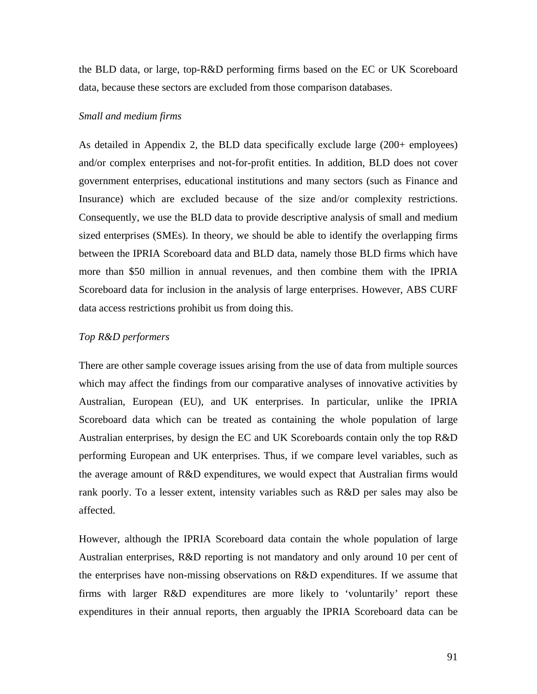the BLD data, or large, top-R&D performing firms based on the EC or UK Scoreboard data, because these sectors are excluded from those comparison databases.

#### *Small and medium firms*

As detailed in Appendix 2, the BLD data specifically exclude large (200+ employees) and/or complex enterprises and not-for-profit entities. In addition, BLD does not cover government enterprises, educational institutions and many sectors (such as Finance and Insurance) which are excluded because of the size and/or complexity restrictions. Consequently, we use the BLD data to provide descriptive analysis of small and medium sized enterprises (SMEs). In theory, we should be able to identify the overlapping firms between the IPRIA Scoreboard data and BLD data, namely those BLD firms which have more than \$50 million in annual revenues, and then combine them with the IPRIA Scoreboard data for inclusion in the analysis of large enterprises. However, ABS CURF data access restrictions prohibit us from doing this.

#### *Top R&D performers*

There are other sample coverage issues arising from the use of data from multiple sources which may affect the findings from our comparative analyses of innovative activities by Australian, European (EU), and UK enterprises. In particular, unlike the IPRIA Scoreboard data which can be treated as containing the whole population of large Australian enterprises, by design the EC and UK Scoreboards contain only the top R&D performing European and UK enterprises. Thus, if we compare level variables, such as the average amount of R&D expenditures, we would expect that Australian firms would rank poorly. To a lesser extent, intensity variables such as R&D per sales may also be affected.

However, although the IPRIA Scoreboard data contain the whole population of large Australian enterprises, R&D reporting is not mandatory and only around 10 per cent of the enterprises have non-missing observations on R&D expenditures. If we assume that firms with larger R&D expenditures are more likely to 'voluntarily' report these expenditures in their annual reports, then arguably the IPRIA Scoreboard data can be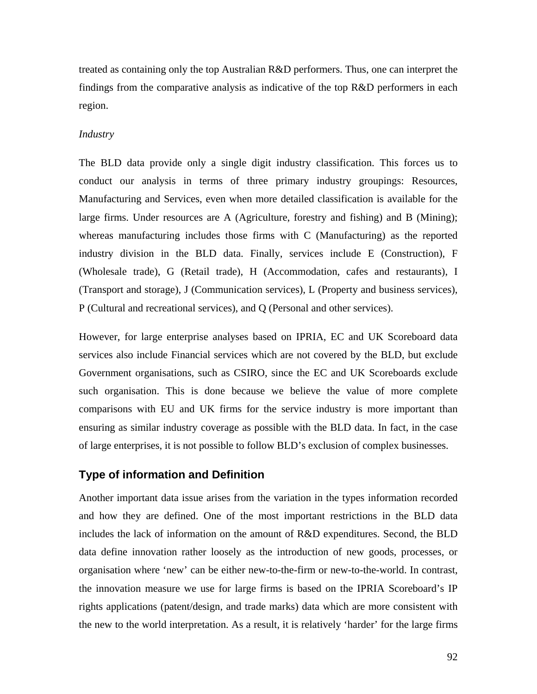treated as containing only the top Australian R&D performers. Thus, one can interpret the findings from the comparative analysis as indicative of the top R&D performers in each region.

#### *Industry*

The BLD data provide only a single digit industry classification. This forces us to conduct our analysis in terms of three primary industry groupings: Resources, Manufacturing and Services, even when more detailed classification is available for the large firms. Under resources are A (Agriculture, forestry and fishing) and B (Mining); whereas manufacturing includes those firms with C (Manufacturing) as the reported industry division in the BLD data. Finally, services include E (Construction), F (Wholesale trade), G (Retail trade), H (Accommodation, cafes and restaurants), I (Transport and storage), J (Communication services), L (Property and business services), P (Cultural and recreational services), and Q (Personal and other services).

However, for large enterprise analyses based on IPRIA, EC and UK Scoreboard data services also include Financial services which are not covered by the BLD, but exclude Government organisations, such as CSIRO, since the EC and UK Scoreboards exclude such organisation. This is done because we believe the value of more complete comparisons with EU and UK firms for the service industry is more important than ensuring as similar industry coverage as possible with the BLD data. In fact, in the case of large enterprises, it is not possible to follow BLD's exclusion of complex businesses.

### **Type of information and Definition**

Another important data issue arises from the variation in the types information recorded and how they are defined. One of the most important restrictions in the BLD data includes the lack of information on the amount of R&D expenditures. Second, the BLD data define innovation rather loosely as the introduction of new goods, processes, or organisation where 'new' can be either new-to-the-firm or new-to-the-world. In contrast, the innovation measure we use for large firms is based on the IPRIA Scoreboard's IP rights applications (patent/design, and trade marks) data which are more consistent with the new to the world interpretation. As a result, it is relatively 'harder' for the large firms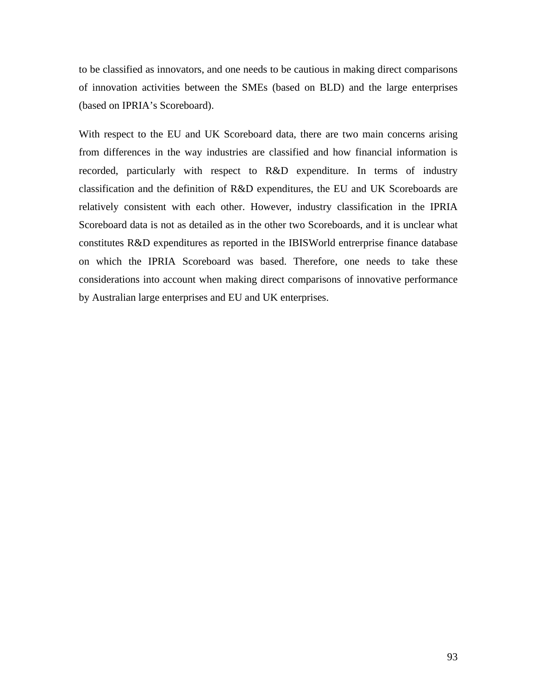to be classified as innovators, and one needs to be cautious in making direct comparisons of innovation activities between the SMEs (based on BLD) and the large enterprises (based on IPRIA's Scoreboard).

With respect to the EU and UK Scoreboard data, there are two main concerns arising from differences in the way industries are classified and how financial information is recorded, particularly with respect to R&D expenditure. In terms of industry classification and the definition of R&D expenditures, the EU and UK Scoreboards are relatively consistent with each other. However, industry classification in the IPRIA Scoreboard data is not as detailed as in the other two Scoreboards, and it is unclear what constitutes R&D expenditures as reported in the IBISWorld entrerprise finance database on which the IPRIA Scoreboard was based. Therefore, one needs to take these considerations into account when making direct comparisons of innovative performance by Australian large enterprises and EU and UK enterprises.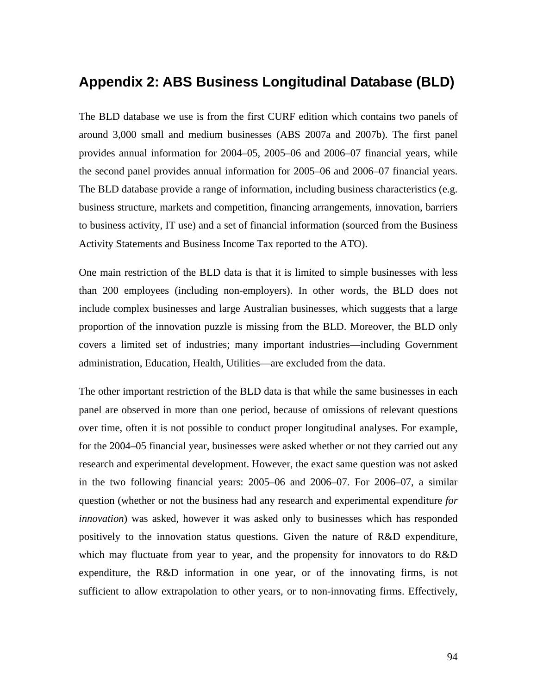## **Appendix 2: ABS Business Longitudinal Database (BLD)**

The BLD database we use is from the first CURF edition which contains two panels of around 3,000 small and medium businesses (ABS 2007a and 2007b). The first panel provides annual information for 2004–05, 2005–06 and 2006–07 financial years, while the second panel provides annual information for 2005–06 and 2006–07 financial years. The BLD database provide a range of information, including business characteristics (e.g. business structure, markets and competition, financing arrangements, innovation, barriers to business activity, IT use) and a set of financial information (sourced from the Business Activity Statements and Business Income Tax reported to the ATO).

One main restriction of the BLD data is that it is limited to simple businesses with less than 200 employees (including non-employers). In other words, the BLD does not include complex businesses and large Australian businesses, which suggests that a large proportion of the innovation puzzle is missing from the BLD. Moreover, the BLD only covers a limited set of industries; many important industries—including Government administration, Education, Health, Utilities—are excluded from the data.

The other important restriction of the BLD data is that while the same businesses in each panel are observed in more than one period, because of omissions of relevant questions over time, often it is not possible to conduct proper longitudinal analyses. For example, for the 2004–05 financial year, businesses were asked whether or not they carried out any research and experimental development. However, the exact same question was not asked in the two following financial years: 2005–06 and 2006–07. For 2006–07, a similar question (whether or not the business had any research and experimental expenditure *for innovation*) was asked, however it was asked only to businesses which has responded positively to the innovation status questions. Given the nature of R&D expenditure, which may fluctuate from year to year, and the propensity for innovators to do R&D expenditure, the R&D information in one year, or of the innovating firms, is not sufficient to allow extrapolation to other years, or to non-innovating firms. Effectively,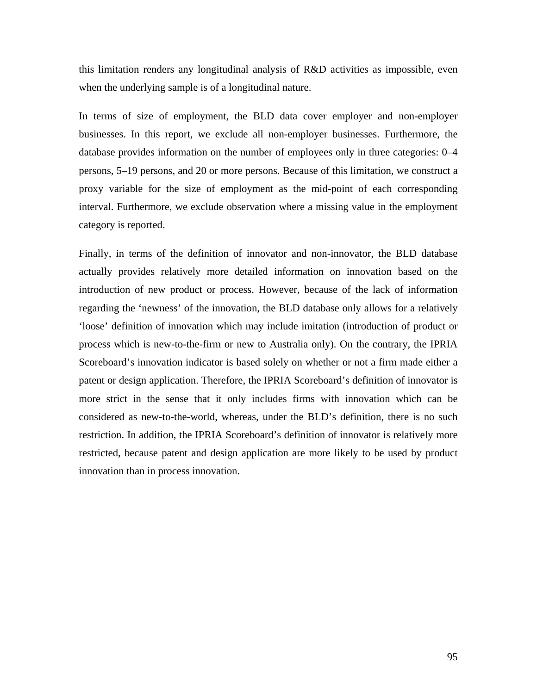this limitation renders any longitudinal analysis of R&D activities as impossible, even when the underlying sample is of a longitudinal nature.

In terms of size of employment, the BLD data cover employer and non-employer businesses. In this report, we exclude all non-employer businesses. Furthermore, the database provides information on the number of employees only in three categories: 0–4 persons, 5–19 persons, and 20 or more persons. Because of this limitation, we construct a proxy variable for the size of employment as the mid-point of each corresponding interval. Furthermore, we exclude observation where a missing value in the employment category is reported.

Finally, in terms of the definition of innovator and non-innovator, the BLD database actually provides relatively more detailed information on innovation based on the introduction of new product or process. However, because of the lack of information regarding the 'newness' of the innovation, the BLD database only allows for a relatively 'loose' definition of innovation which may include imitation (introduction of product or process which is new-to-the-firm or new to Australia only). On the contrary, the IPRIA Scoreboard's innovation indicator is based solely on whether or not a firm made either a patent or design application. Therefore, the IPRIA Scoreboard's definition of innovator is more strict in the sense that it only includes firms with innovation which can be considered as new-to-the-world, whereas, under the BLD's definition, there is no such restriction. In addition, the IPRIA Scoreboard's definition of innovator is relatively more restricted, because patent and design application are more likely to be used by product innovation than in process innovation.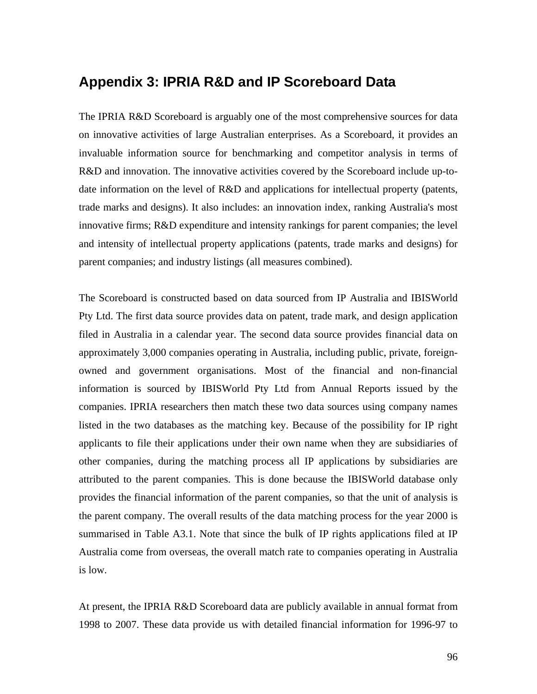# **Appendix 3: IPRIA R&D and IP Scoreboard Data**

The IPRIA R&D Scoreboard is arguably one of the most comprehensive sources for data on innovative activities of large Australian enterprises. As a Scoreboard, it provides an invaluable information source for benchmarking and competitor analysis in terms of R&D and innovation. The innovative activities covered by the Scoreboard include up-todate information on the level of R&D and applications for intellectual property (patents, trade marks and designs). It also includes: an innovation index, ranking Australia's most innovative firms; R&D expenditure and intensity rankings for parent companies; the level and intensity of intellectual property applications (patents, trade marks and designs) for parent companies; and industry listings (all measures combined).

The Scoreboard is constructed based on data sourced from IP Australia and IBISWorld Pty Ltd. The first data source provides data on patent, trade mark, and design application filed in Australia in a calendar year. The second data source provides financial data on approximately 3,000 companies operating in Australia, including public, private, foreignowned and government organisations. Most of the financial and non-financial information is sourced by IBISWorld Pty Ltd from Annual Reports issued by the companies. IPRIA researchers then match these two data sources using company names listed in the two databases as the matching key. Because of the possibility for IP right applicants to file their applications under their own name when they are subsidiaries of other companies, during the matching process all IP applications by subsidiaries are attributed to the parent companies. This is done because the IBISWorld database only provides the financial information of the parent companies, so that the unit of analysis is the parent company. The overall results of the data matching process for the year 2000 is summarised in Table A3.1. Note that since the bulk of IP rights applications filed at IP Australia come from overseas, the overall match rate to companies operating in Australia is low.

At present, the IPRIA R&D Scoreboard data are publicly available in annual format from 1998 to 2007. These data provide us with detailed financial information for 1996-97 to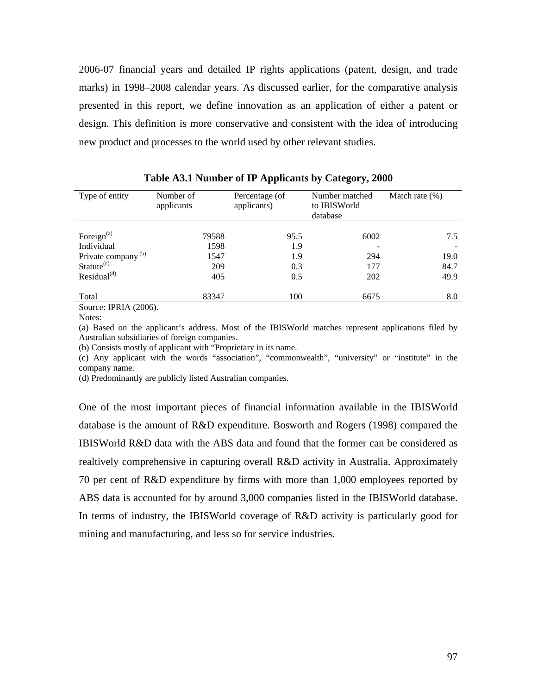2006-07 financial years and detailed IP rights applications (patent, design, and trade marks) in 1998–2008 calendar years. As discussed earlier, for the comparative analysis presented in this report, we define innovation as an application of either a patent or design. This definition is more conservative and consistent with the idea of introducing new product and processes to the world used by other relevant studies.

| Type of entity                 | Number of<br>applicants | Percentage (of<br>applicants) | Number matched<br>to IBISWorld | Match rate $(\%)$ |
|--------------------------------|-------------------------|-------------------------------|--------------------------------|-------------------|
|                                |                         |                               | database                       |                   |
| Foreign $(a)$                  | 79588                   | 95.5                          | 6002                           | 7.5               |
| Individual                     | 1598                    | 1.9                           |                                |                   |
| Private company <sup>(b)</sup> | 1547                    | 1.9                           | 294                            | 19.0              |
| Static <sup>(c)</sup>          | 209                     | 0.3                           | 177                            | 84.7              |
| $Residual^{(d)}$               | 405                     | 0.5                           | 202                            | 49.9              |
| Total                          | 83347                   | 100                           | 6675                           | 8.0               |
| $         -$                   |                         |                               |                                |                   |

**Table A3.1 Number of IP Applicants by Category, 2000** 

Source: IPRIA (2006).

Notes:

(a) Based on the applicant's address. Most of the IBISWorld matches represent applications filed by Australian subsidiaries of foreign companies.

(b) Consists mostly of applicant with "Proprietary in its name.

(c) Any applicant with the words "association", "commonwealth", "university" or "institute" in the company name.

(d) Predominantly are publicly listed Australian companies.

One of the most important pieces of financial information available in the IBISWorld database is the amount of R&D expenditure. Bosworth and Rogers (1998) compared the IBISWorld R&D data with the ABS data and found that the former can be considered as realtively comprehensive in capturing overall R&D activity in Australia. Approximately 70 per cent of R&D expenditure by firms with more than 1,000 employees reported by ABS data is accounted for by around 3,000 companies listed in the IBISWorld database. In terms of industry, the IBISWorld coverage of R&D activity is particularly good for mining and manufacturing, and less so for service industries.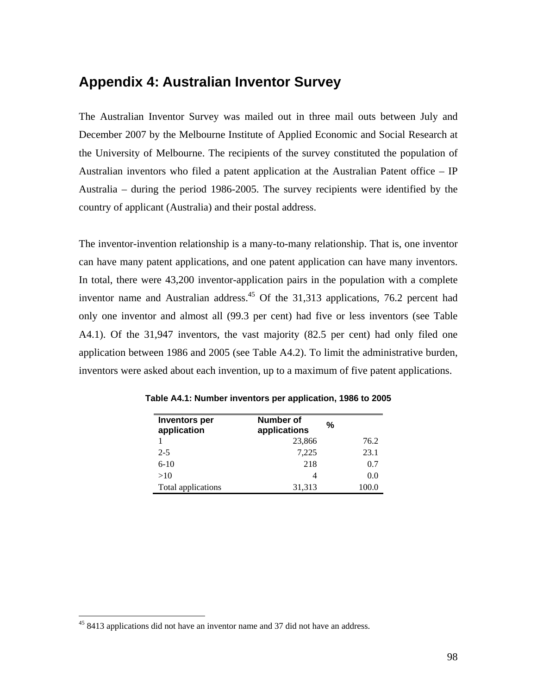## **Appendix 4: Australian Inventor Survey**

The Australian Inventor Survey was mailed out in three mail outs between July and December 2007 by the Melbourne Institute of Applied Economic and Social Research at the University of Melbourne. The recipients of the survey constituted the population of Australian inventors who filed a patent application at the Australian Patent office – IP Australia – during the period 1986-2005. The survey recipients were identified by the country of applicant (Australia) and their postal address.

The inventor-invention relationship is a many-to-many relationship. That is, one inventor can have many patent applications, and one patent application can have many inventors. In total, there were 43,200 inventor-application pairs in the population with a complete inventor name and Australian address.<sup>45</sup> Of the 31,313 applications, 76.2 percent had only one inventor and almost all (99.3 per cent) had five or less inventors (see Table A4.1). Of the 31,947 inventors, the vast majority (82.5 per cent) had only filed one application between 1986 and 2005 (see Table A4.2). To limit the administrative burden, inventors were asked about each invention, up to a maximum of five patent applications.

| <b>Inventors per</b><br>application | Number of<br>applications | % |       |
|-------------------------------------|---------------------------|---|-------|
|                                     | 23,866                    |   | 76.2  |
| $2 - 5$                             | 7,225                     |   | 23.1  |
| $6-10$                              | 218                       |   | 0.7   |
| >10                                 | 4                         |   | 0.0   |
| Total applications                  | 31,313                    |   | 100.0 |

**Table A4.1: Number inventors per application, 1986 to 2005** 

<sup>&</sup>lt;sup>45</sup> 8413 applications did not have an inventor name and 37 did not have an address.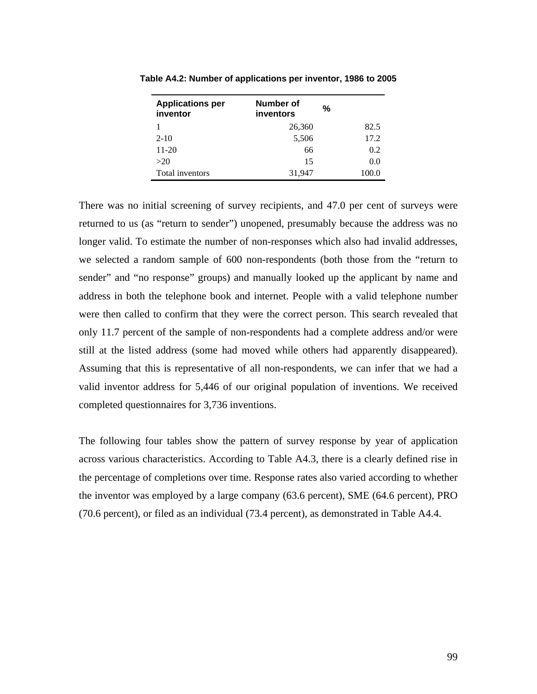| <b>Applications per</b><br>inventor | Number of<br>inventors | %     |
|-------------------------------------|------------------------|-------|
|                                     | 26,360                 | 82.5  |
| $2 - 10$                            | 5,506                  | 17.2  |
| $11 - 20$                           | 66                     | 0.2   |
| >20                                 | 15                     | 0.0   |
| Total inventors                     | 31,947                 | 100.0 |

**Table A4.2: Number of applications per inventor, 1986 to 2005** 

There was no initial screening of survey recipients, and 47.0 per cent of surveys were returned to us (as "return to sender") unopened, presumably because the address was no longer valid. To estimate the number of non-responses which also had invalid addresses, we selected a random sample of 600 non-respondents (both those from the "return to sender" and "no response" groups) and manually looked up the applicant by name and address in both the telephone book and internet. People with a valid telephone number were then called to confirm that they were the correct person. This search revealed that only 11.7 percent of the sample of non-respondents had a complete address and/or were still at the listed address (some had moved while others had apparently disappeared). Assuming that this is representative of all non-respondents, we can infer that we had a valid inventor address for 5,446 of our original population of inventions. We received completed questionnaires for 3,736 inventions.

The following four tables show the pattern of survey response by year of application across various characteristics. According to Table A4.3, there is a clearly defined rise in the percentage of completions over time. Response rates also varied according to whether the inventor was employed by a large company (63.6 percent), SME (64.6 percent), PRO (70.6 percent), or filed as an individual (73.4 percent), as demonstrated in Table A4.4.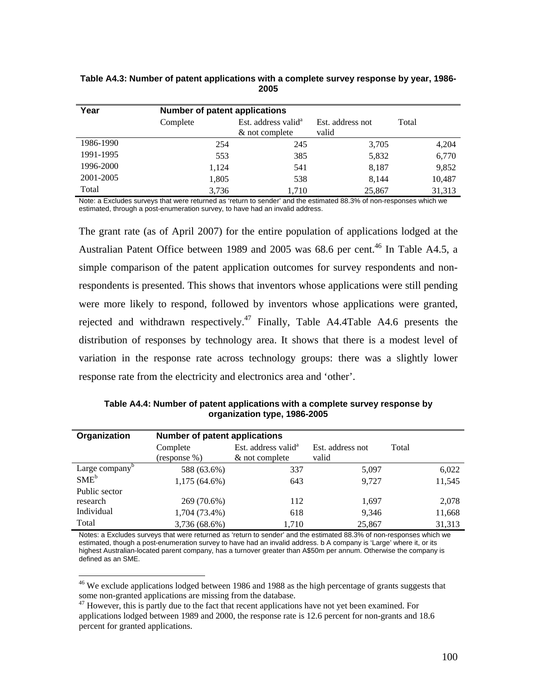| Year      | <b>Number of patent applications</b> |                                 |                  |        |
|-----------|--------------------------------------|---------------------------------|------------------|--------|
|           | Complete                             | Est. address valid <sup>a</sup> | Est. address not | Total  |
|           |                                      | & not complete                  | valid            |        |
| 1986-1990 | 254                                  | 245                             | 3,705            | 4,204  |
| 1991-1995 | 553                                  | 385                             | 5,832            | 6,770  |
| 1996-2000 | 1,124                                | 541                             | 8,187            | 9,852  |
| 2001-2005 | 1,805                                | 538                             | 8.144            | 10,487 |
| Total     | 3,736                                | 1.710                           | 25,867           | 31,313 |

#### **Table A4.3: Number of patent applications with a complete survey response by year, 1986- 2005**

Note: a Excludes surveys that were returned as 'return to sender' and the estimated 88.3% of non-responses which we estimated, through a post-enumeration survey, to have had an invalid address.

The grant rate (as of April 2007) for the entire population of applications lodged at the Australian Patent Office between 1989 and 2005 was  $68.6$  per cent.<sup>46</sup> In Table A4.5, a simple comparison of the patent application outcomes for survey respondents and nonrespondents is presented. This shows that inventors whose applications were still pending were more likely to respond, followed by inventors whose applications were granted, rejected and withdrawn respectively.<sup>47</sup> Finally, Table A4.4Table A4.6 presents the distribution of responses by technology area. It shows that there is a modest level of variation in the response rate across technology groups: there was a slightly lower response rate from the electricity and electronics area and 'other'.

**Table A4.4: Number of patent applications with a complete survey response by organization type, 1986-2005** 

| Organization     | <b>Number of patent applications</b> |                                                   |                           |        |
|------------------|--------------------------------------|---------------------------------------------------|---------------------------|--------|
|                  | Complete<br>(response %)             | Est. address valid <sup>a</sup><br>& not complete | Est. address not<br>valid | Total  |
| Large company    | 588 (63.6%)                          | 337                                               | 5,097                     | 6,022  |
| SME <sup>b</sup> | $1,175(64.6\%)$                      | 643                                               | 9.727                     | 11,545 |
| Public sector    |                                      |                                                   |                           |        |
| research         | 269 (70.6%)                          | 112                                               | 1,697                     | 2,078  |
| Individual       | 1,704 (73.4%)                        | 618                                               | 9,346                     | 11,668 |
| Total            | 3,736 (68.6%)                        | 1,710                                             | 25,867                    | 31,313 |

Notes: a Excludes surveys that were returned as 'return to sender' and the estimated 88.3% of non-responses which we estimated, though a post-enumeration survey to have had an invalid address. b A company is 'Large' where it, or its highest Australian-located parent company, has a turnover greater than A\$50m per annum. Otherwise the company is defined as an SME.

<sup>&</sup>lt;sup>46</sup> We exclude applications lodged between 1986 and 1988 as the high percentage of grants suggests that some non-granted applications are missing from the database.

<sup>&</sup>lt;sup>47</sup> However, this is partly due to the fact that recent applications have not yet been examined. For applications lodged between 1989 and 2000, the response rate is 12.6 percent for non-grants and 18.6 percent for granted applications.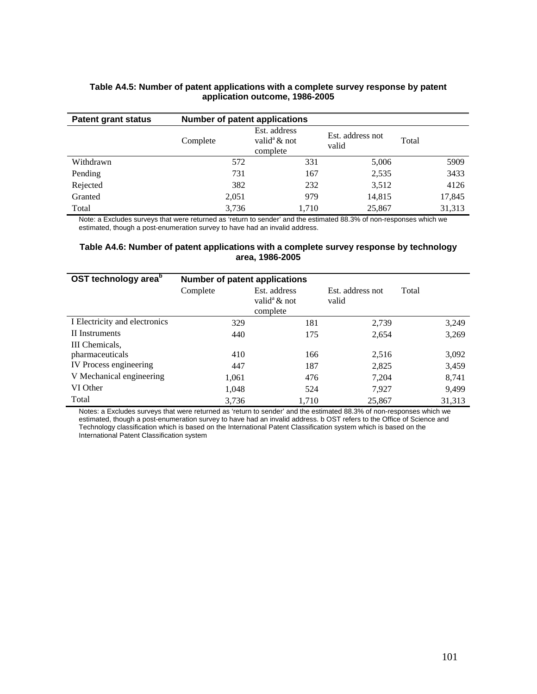#### **Table A4.5: Number of patent applications with a complete survey response by patent application outcome, 1986-2005**

| <b>Patent grant status</b> | <b>Number of patent applications</b> |                                                      |                           |        |
|----------------------------|--------------------------------------|------------------------------------------------------|---------------------------|--------|
|                            | Complete                             | Est. address<br>valid <sup>a</sup> & not<br>complete | Est. address not<br>valid | Total  |
| Withdrawn                  | 572                                  | 331                                                  | 5,006                     | 5909   |
| Pending                    | 731                                  | 167                                                  | 2,535                     | 3433   |
| Rejected                   | 382                                  | 232                                                  | 3,512                     | 4126   |
| Granted                    | 2,051                                | 979                                                  | 14,815                    | 17,845 |
| Total                      | 3,736                                | 1.710                                                | 25,867                    | 31,313 |

Note: a Excludes surveys that were returned as 'return to sender' and the estimated 88.3% of non-responses which we estimated, though a post-enumeration survey to have had an invalid address.

#### **Table A4.6: Number of patent applications with a complete survey response by technology area, 1986-2005**

| OST technology area <sup>b</sup> | <b>Number of patent applications</b> |                                                      |                           |        |
|----------------------------------|--------------------------------------|------------------------------------------------------|---------------------------|--------|
|                                  | Complete                             | Est. address<br>valid <sup>a</sup> & not<br>complete | Est. address not<br>valid | Total  |
| I Electricity and electronics    | 329                                  | 181                                                  | 2,739                     | 3,249  |
| II Instruments                   | 440                                  | 175                                                  | 2,654                     | 3,269  |
| III Chemicals.                   |                                      |                                                      |                           |        |
| pharmaceuticals                  | 410                                  | 166                                                  | 2,516                     | 3,092  |
| IV Process engineering           | 447                                  | 187                                                  | 2,825                     | 3,459  |
| V Mechanical engineering         | 1,061                                | 476                                                  | 7,204                     | 8,741  |
| VI Other                         | 1,048                                | 524                                                  | 7.927                     | 9,499  |
| Total                            | 3,736                                | 1,710                                                | 25,867                    | 31,313 |

Notes: a Excludes surveys that were returned as 'return to sender' and the estimated 88.3% of non-responses which we estimated, though a post-enumeration survey to have had an invalid address. b OST refers to the Office of Science and Technology classification which is based on the International Patent Classification system which is based on the International Patent Classification system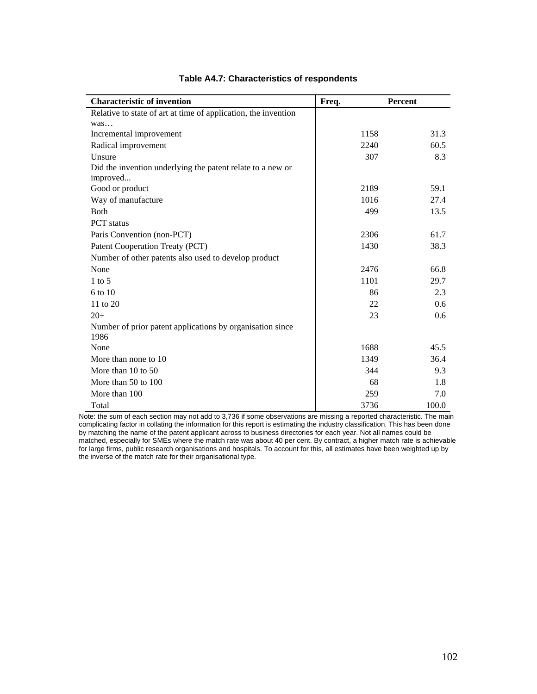| <b>Characteristic of invention</b>                                     | Freq. | <b>Percent</b> |
|------------------------------------------------------------------------|-------|----------------|
| Relative to state of art at time of application, the invention         |       |                |
| was                                                                    |       |                |
| Incremental improvement                                                | 1158  | 31.3           |
| Radical improvement                                                    | 2240  | 60.5           |
| Unsure                                                                 | 307   | 8.3            |
| Did the invention underlying the patent relate to a new or<br>improved |       |                |
| Good or product                                                        | 2189  | 59.1           |
| Way of manufacture                                                     | 1016  | 27.4           |
| <b>Both</b>                                                            | 499   | 13.5           |
| PCT status                                                             |       |                |
| Paris Convention (non-PCT)                                             | 2306  | 61.7           |
| Patent Cooperation Treaty (PCT)                                        | 1430  | 38.3           |
| Number of other patents also used to develop product                   |       |                |
| None                                                                   | 2476  | 66.8           |
| $1$ to 5                                                               | 1101  | 29.7           |
| 6 to 10                                                                | 86    | 2.3            |
| 11 to 20                                                               | 22    | 0.6            |
| $20+$                                                                  | 23    | 0.6            |
| Number of prior patent applications by organisation since<br>1986      |       |                |
| None                                                                   | 1688  | 45.5           |
| More than none to 10                                                   | 1349  | 36.4           |
| More than 10 to 50                                                     | 344   | 9.3            |
| More than $50$ to $100$                                                | 68    | 1.8            |
| More than 100                                                          | 259   | 7.0            |
| Total                                                                  | 3736  | 100.0          |

#### **Table A4.7: Characteristics of respondents**

Note: the sum of each section may not add to 3,736 if some observations are missing a reported characteristic. The main complicating factor in collating the information for this report is estimating the industry classification. This has been done by matching the name of the patent applicant across to business directories for each year. Not all names could be matched, especially for SMEs where the match rate was about 40 per cent. By contract, a higher match rate is achievable for large firms, public research organisations and hospitals. To account for this, all estimates have been weighted up by the inverse of the match rate for their organisational type.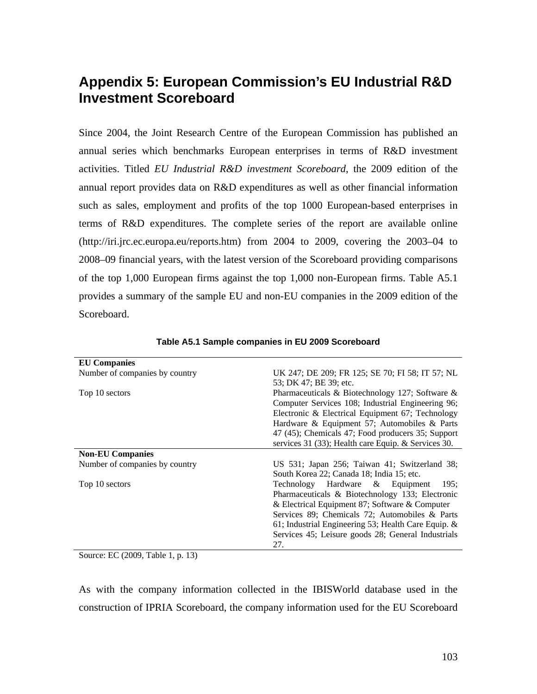# **Appendix 5: European Commission's EU Industrial R&D Investment Scoreboard**

Since 2004, the Joint Research Centre of the European Commission has published an annual series which benchmarks European enterprises in terms of R&D investment activities. Titled *EU Industrial R&D investment Scoreboard*, the 2009 edition of the annual report provides data on R&D expenditures as well as other financial information such as sales, employment and profits of the top 1000 European-based enterprises in terms of R&D expenditures. The complete series of the report are available online (http://iri.jrc.ec.europa.eu/reports.htm) from 2004 to 2009, covering the 2003–04 to 2008–09 financial years, with the latest version of the Scoreboard providing comparisons of the top 1,000 European firms against the top 1,000 non-European firms. Table A5.1 provides a summary of the sample EU and non-EU companies in the 2009 edition of the Scoreboard.

| <b>EU Companies</b>            |                                                                                                                                                                                                                                                                                                                         |
|--------------------------------|-------------------------------------------------------------------------------------------------------------------------------------------------------------------------------------------------------------------------------------------------------------------------------------------------------------------------|
| Number of companies by country | UK 247; DE 209; FR 125; SE 70; FI 58; IT 57; NL<br>53; DK 47; BE 39; etc.                                                                                                                                                                                                                                               |
| Top 10 sectors                 | Pharmaceuticals & Biotechnology 127; Software $\&$<br>Computer Services 108; Industrial Engineering 96;<br>Electronic & Electrical Equipment 67; Technology<br>Hardware & Equipment 57; Automobiles & Parts<br>47 (45); Chemicals 47; Food producers 35; Support<br>services 31 (33); Health care Equip. & Services 30. |
| <b>Non-EU Companies</b>        |                                                                                                                                                                                                                                                                                                                         |
| Number of companies by country | US 531; Japan 256; Taiwan 41; Switzerland 38;<br>South Korea 22; Canada 18; India 15; etc.                                                                                                                                                                                                                              |
| Top 10 sectors                 | Technology Hardware & Equipment<br>195:<br>Pharmaceuticals & Biotechnology 133; Electronic<br>& Electrical Equipment 87; Software & Computer<br>Services 89; Chemicals 72; Automobiles & Parts<br>61; Industrial Engineering 53; Health Care Equip. &<br>Services 45; Leisure goods 28; General Industrials<br>27.      |

**Table A5.1 Sample companies in EU 2009 Scoreboard** 

Source: EC (2009, Table 1, p. 13)

As with the company information collected in the IBISWorld database used in the construction of IPRIA Scoreboard, the company information used for the EU Scoreboard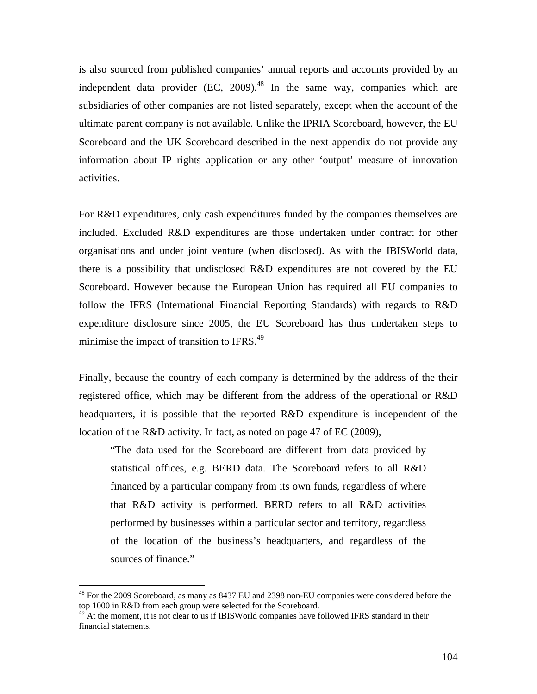is also sourced from published companies' annual reports and accounts provided by an independent data provider  $(EC, 2009)$ <sup>48</sup> In the same way, companies which are subsidiaries of other companies are not listed separately, except when the account of the ultimate parent company is not available. Unlike the IPRIA Scoreboard, however, the EU Scoreboard and the UK Scoreboard described in the next appendix do not provide any information about IP rights application or any other 'output' measure of innovation activities.

For R&D expenditures, only cash expenditures funded by the companies themselves are included. Excluded R&D expenditures are those undertaken under contract for other organisations and under joint venture (when disclosed). As with the IBISWorld data, there is a possibility that undisclosed R&D expenditures are not covered by the EU Scoreboard. However because the European Union has required all EU companies to follow the IFRS (International Financial Reporting Standards) with regards to R&D expenditure disclosure since 2005, the EU Scoreboard has thus undertaken steps to minimise the impact of transition to IFRS.<sup>49</sup>

Finally, because the country of each company is determined by the address of the their registered office, which may be different from the address of the operational or R&D headquarters, it is possible that the reported R&D expenditure is independent of the location of the R&D activity. In fact, as noted on page 47 of EC (2009),

"The data used for the Scoreboard are different from data provided by statistical offices, e.g. BERD data. The Scoreboard refers to all R&D financed by a particular company from its own funds, regardless of where that R&D activity is performed. BERD refers to all R&D activities performed by businesses within a particular sector and territory, regardless of the location of the business's headquarters, and regardless of the sources of finance."

<sup>&</sup>lt;sup>48</sup> For the 2009 Scoreboard, as many as 8437 EU and 2398 non-EU companies were considered before the top 1000 in R&D from each group were selected for the Scoreboard.

 $49$  At the moment, it is not clear to us if IBISWorld companies have followed IFRS standard in their financial statements.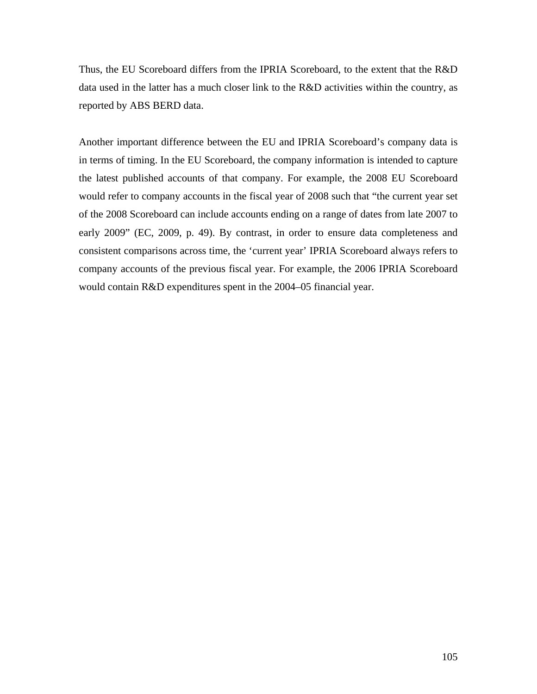Thus, the EU Scoreboard differs from the IPRIA Scoreboard, to the extent that the R&D data used in the latter has a much closer link to the R&D activities within the country, as reported by ABS BERD data.

Another important difference between the EU and IPRIA Scoreboard's company data is in terms of timing. In the EU Scoreboard, the company information is intended to capture the latest published accounts of that company. For example, the 2008 EU Scoreboard would refer to company accounts in the fiscal year of 2008 such that "the current year set of the 2008 Scoreboard can include accounts ending on a range of dates from late 2007 to early 2009" (EC, 2009, p. 49). By contrast, in order to ensure data completeness and consistent comparisons across time, the 'current year' IPRIA Scoreboard always refers to company accounts of the previous fiscal year. For example, the 2006 IPRIA Scoreboard would contain R&D expenditures spent in the 2004–05 financial year.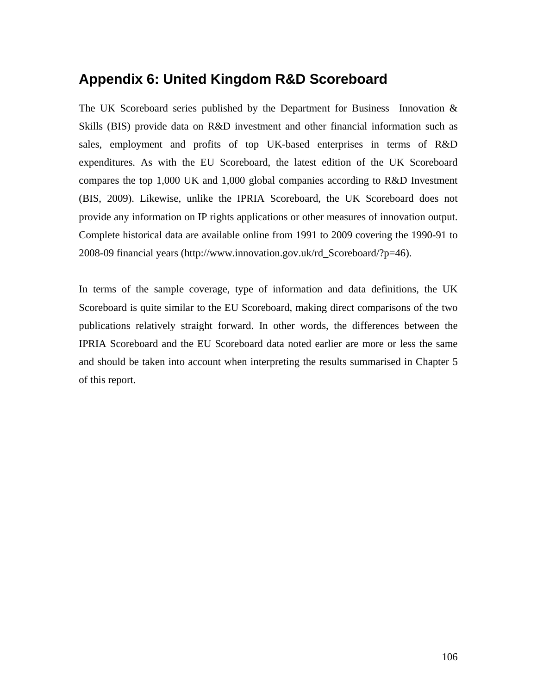# **Appendix 6: United Kingdom R&D Scoreboard**

The UK Scoreboard series published by the Department for Business Innovation  $\&$ Skills (BIS) provide data on R&D investment and other financial information such as sales, employment and profits of top UK-based enterprises in terms of R&D expenditures. As with the EU Scoreboard, the latest edition of the UK Scoreboard compares the top 1,000 UK and 1,000 global companies according to R&D Investment (BIS, 2009). Likewise, unlike the IPRIA Scoreboard, the UK Scoreboard does not provide any information on IP rights applications or other measures of innovation output. Complete historical data are available online from 1991 to 2009 covering the 1990-91 to 2008-09 financial years (http://www.innovation.gov.uk/rd\_Scoreboard/?p=46).

In terms of the sample coverage, type of information and data definitions, the UK Scoreboard is quite similar to the EU Scoreboard, making direct comparisons of the two publications relatively straight forward. In other words, the differences between the IPRIA Scoreboard and the EU Scoreboard data noted earlier are more or less the same and should be taken into account when interpreting the results summarised in Chapter 5 of this report.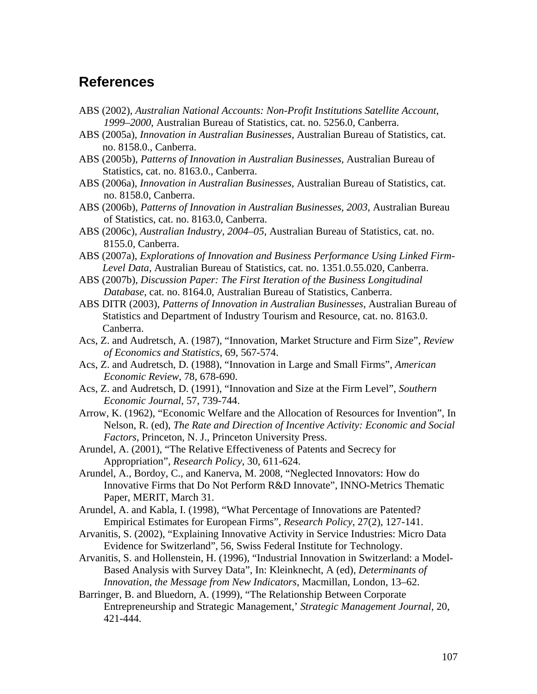## **References**

- ABS (2002), *Australian National Accounts: Non-Profit Institutions Satellite Account, 1999–2000*, Australian Bureau of Statistics, cat. no. 5256.0, Canberra.
- ABS (2005a), *Innovation in Australian Businesses,* Australian Bureau of Statistics, cat. no. 8158.0., Canberra.
- ABS (2005b), *Patterns of Innovation in Australian Businesses*, Australian Bureau of Statistics, cat. no. 8163.0., Canberra.
- ABS (2006a), *Innovation in Australian Businesses*, Australian Bureau of Statistics, cat. no. 8158.0, Canberra.
- ABS (2006b), *Patterns of Innovation in Australian Businesses, 2003*, Australian Bureau of Statistics, cat. no. 8163.0, Canberra.
- ABS (2006c), *Australian Industry, 2004–05*, Australian Bureau of Statistics, cat. no. 8155.0, Canberra.
- ABS (2007a), *Explorations of Innovation and Business Performance Using Linked Firm-Level Data,* Australian Bureau of Statistics, cat. no. 1351.0.55.020, Canberra.
- ABS (2007b), *Discussion Paper: The First Iteration of the Business Longitudinal Database*, cat. no. 8164.0, Australian Bureau of Statistics, Canberra.
- ABS DITR (2003), *Patterns of Innovation in Australian Businesses,* Australian Bureau of Statistics and Department of Industry Tourism and Resource, cat. no. 8163.0. Canberra.
- Acs, Z. and Audretsch, A. (1987), "Innovation, Market Structure and Firm Size", *Review of Economics and Statistics*, 69, 567-574.
- Acs, Z. and Audretsch, D. (1988), "Innovation in Large and Small Firms", *American Economic Review*, 78, 678-690.
- Acs, Z. and Audretsch, D. (1991), "Innovation and Size at the Firm Level", *Southern Economic Journal*, 57, 739-744.
- Arrow, K. (1962), "Economic Welfare and the Allocation of Resources for Invention", In Nelson, R. (ed), *The Rate and Direction of Incentive Activity: Economic and Social Factors*, Princeton, N. J., Princeton University Press.
- Arundel, A. (2001), "The Relative Effectiveness of Patents and Secrecy for Appropriation", *Research Policy*, 30, 611-624.
- Arundel, A., Bordoy, C., and Kanerva, M. 2008, "Neglected Innovators: How do Innovative Firms that Do Not Perform R&D Innovate", INNO-Metrics Thematic Paper, MERIT, March 31.
- Arundel, A. and Kabla, I. (1998), "What Percentage of Innovations are Patented? Empirical Estimates for European Firms", *Research Policy*, 27(2), 127-141.
- Arvanitis, S. (2002), "Explaining Innovative Activity in Service Industries: Micro Data Evidence for Switzerland", 56, Swiss Federal Institute for Technology.
- Arvanitis, S. and Hollenstein, H. (1996), "Industrial Innovation in Switzerland: a Model-Based Analysis with Survey Data", In: Kleinknecht, A (ed), *Determinants of Innovation, the Message from New Indicators*, Macmillan, London, 13–62.

Barringer, B. and Bluedorn, A. (1999), "The Relationship Between Corporate Entrepreneurship and Strategic Management,' *Strategic Management Journal*, 20, 421-444.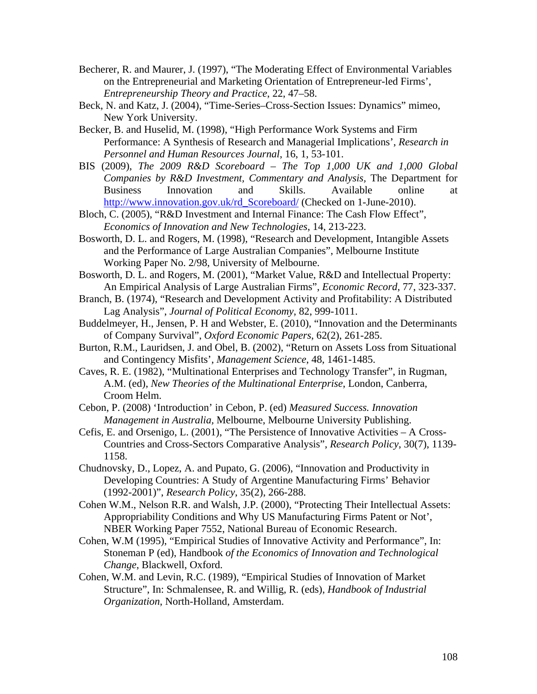- Becherer, R. and Maurer, J. (1997), "The Moderating Effect of Environmental Variables on the Entrepreneurial and Marketing Orientation of Entrepreneur-led Firms', *Entrepreneurship Theory and Practice*, 22, 47–58.
- Beck, N. and Katz, J. (2004), "Time-Series–Cross-Section Issues: Dynamics" mimeo, New York University.
- Becker, B. and Huselid, M. (1998), "High Performance Work Systems and Firm Performance: A Synthesis of Research and Managerial Implications', *Research in Personnel and Human Resources Journal*, 16, 1, 53-101.
- BIS (2009), *The 2009 R&D Scoreboard The Top 1,000 UK and 1,000 Global Companies by R&D Investment, Commentary and Analysis,* The Department for Business Innovation and Skills. Available online at http://www.innovation.gov.uk/rd\_Scoreboard/ (Checked on 1-June-2010).
- Bloch, C. (2005), "R&D Investment and Internal Finance: The Cash Flow Effect", *Economics of Innovation and New Technologies*, 14, 213-223.
- Bosworth, D. L. and Rogers, M. (1998), "Research and Development, Intangible Assets and the Performance of Large Australian Companies", Melbourne Institute Working Paper No. 2/98, University of Melbourne.
- Bosworth, D. L. and Rogers, M. (2001), "Market Value, R&D and Intellectual Property: An Empirical Analysis of Large Australian Firms", *Economic Record*, 77, 323-337.
- Branch, B. (1974), "Research and Development Activity and Profitability: A Distributed Lag Analysis", *Journal of Political Economy*, 82, 999-1011.
- Buddelmeyer, H., Jensen, P. H and Webster, E. (2010), "Innovation and the Determinants of Company Survival", *Oxford Economic Papers*, 62(2), 261-285.
- Burton, R.M., Lauridsen, J. and Obel, B. (2002), "Return on Assets Loss from Situational and Contingency Misfits', *Management Science*, 48, 1461-1485.
- Caves, R. E. (1982), "Multinational Enterprises and Technology Transfer", in Rugman, A.M. (ed), *New Theories of the Multinational Enterprise*, London, Canberra, Croom Helm.
- Cebon, P. (2008) 'Introduction' in Cebon, P. (ed) *Measured Success. Innovation Management in Australia,* Melbourne, Melbourne University Publishing.
- Cefis, E. and Orsenigo, L. (2001), "The Persistence of Innovative Activities A Cross-Countries and Cross-Sectors Comparative Analysis", *Research Policy*, 30(7), 1139- 1158.
- Chudnovsky, D., Lopez, A. and Pupato, G. (2006), "Innovation and Productivity in Developing Countries: A Study of Argentine Manufacturing Firms' Behavior (1992-2001)", *Research Policy*, 35(2), 266-288.
- Cohen W.M., Nelson R.R. and Walsh, J.P. (2000), "Protecting Their Intellectual Assets: Appropriability Conditions and Why US Manufacturing Firms Patent or Not', NBER Working Paper 7552, National Bureau of Economic Research.
- Cohen, W.M (1995), "Empirical Studies of Innovative Activity and Performance", In: Stoneman P (ed), Handbook *of the Economics of Innovation and Technological Change*, Blackwell, Oxford.
- Cohen, W.M. and Levin, R.C. (1989), "Empirical Studies of Innovation of Market Structure", In: Schmalensee, R. and Willig, R. (eds), *Handbook of Industrial Organization*, North-Holland, Amsterdam.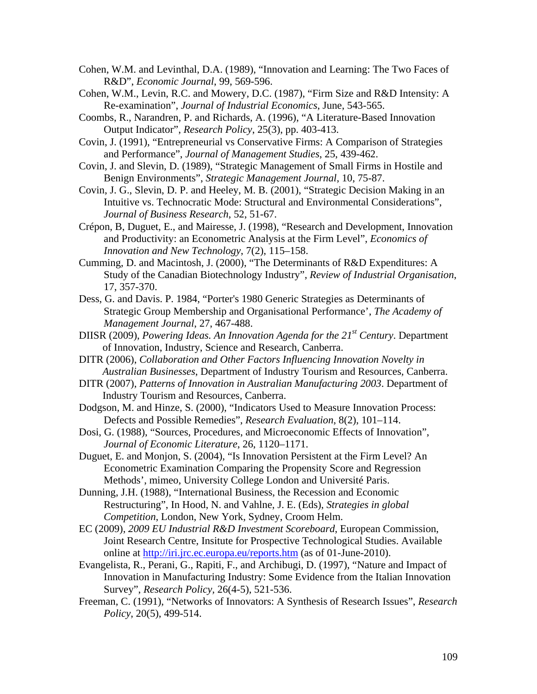- Cohen, W.M. and Levinthal, D.A. (1989), "Innovation and Learning: The Two Faces of R&D", *Economic Journal*, 99, 569-596.
- Cohen, W.M., Levin, R.C. and Mowery, D.C. (1987), "Firm Size and R&D Intensity: A Re-examination", *Journal of Industrial Economics*, June, 543-565.
- Coombs, R., Narandren, P. and Richards, A. (1996), "A Literature-Based Innovation Output Indicator", *Research Policy*, 25(3), pp. 403-413.
- Covin, J. (1991), "Entrepreneurial vs Conservative Firms: A Comparison of Strategies and Performance", *Journal of Management Studies*, 25, 439-462.
- Covin, J. and Slevin, D. (1989), "Strategic Management of Small Firms in Hostile and Benign Environments", *Strategic Management Journal*, 10, 75-87.
- Covin, J. G., Slevin, D. P. and Heeley, M. B. (2001), "Strategic Decision Making in an Intuitive vs. Technocratic Mode: Structural and Environmental Considerations", *Journal of Business Research*, 52, 51-67.
- Crépon, B, Duguet, E., and Mairesse, J. (1998), "Research and Development, Innovation and Productivity: an Econometric Analysis at the Firm Level", *Economics of Innovation and New Technology*, 7(2), 115–158.
- Cumming, D. and Macintosh, J. (2000), "The Determinants of R&D Expenditures: A Study of the Canadian Biotechnology Industry", *Review of Industrial Organisation*, 17, 357-370.
- Dess, G. and Davis. P. 1984, "Porter's 1980 Generic Strategies as Determinants of Strategic Group Membership and Organisational Performance', *The Academy of Management Journal*, 27, 467-488.
- DIISR (2009), *Powering Ideas. An Innovation Agenda for the 21st Century*. Department of Innovation, Industry, Science and Research*,* Canberra.
- DITR (2006), *Collaboration and Other Factors Influencing Innovation Novelty in Australian Businesses*, Department of Industry Tourism and Resources*,* Canberra.
- DITR (2007), *Patterns of Innovation in Australian Manufacturing 2003*. Department of Industry Tourism and Resources*,* Canberra.
- Dodgson, M. and Hinze, S. (2000), "Indicators Used to Measure Innovation Process: Defects and Possible Remedies", *Research Evaluation*, 8(2), 101–114.
- Dosi, G. (1988), "Sources, Procedures, and Microeconomic Effects of Innovation", *Journal of Economic Literature*, 26, 1120–1171.
- Duguet, E. and Monjon, S. (2004), "Is Innovation Persistent at the Firm Level? An Econometric Examination Comparing the Propensity Score and Regression Methods', mimeo, University College London and Université Paris.
- Dunning, J.H. (1988), "International Business, the Recession and Economic Restructuring", In Hood, N. and Vahlne, J. E. (Eds), *Strategies in global Competition*, London, New York, Sydney, Croom Helm.
- EC (2009), *2009 EU Industrial R&D Investment Scoreboard*, European Commission, Joint Research Centre, Insitute for Prospective Technological Studies. Available online at http://iri.jrc.ec.europa.eu/reports.htm (as of 01-June-2010).
- Evangelista, R., Perani, G., Rapiti, F., and Archibugi, D. (1997), "Nature and Impact of Innovation in Manufacturing Industry: Some Evidence from the Italian Innovation Survey", *Research Policy,* 26(4-5), 521-536.
- Freeman, C. (1991), "Networks of Innovators: A Synthesis of Research Issues", *Research Policy*, 20(5), 499-514.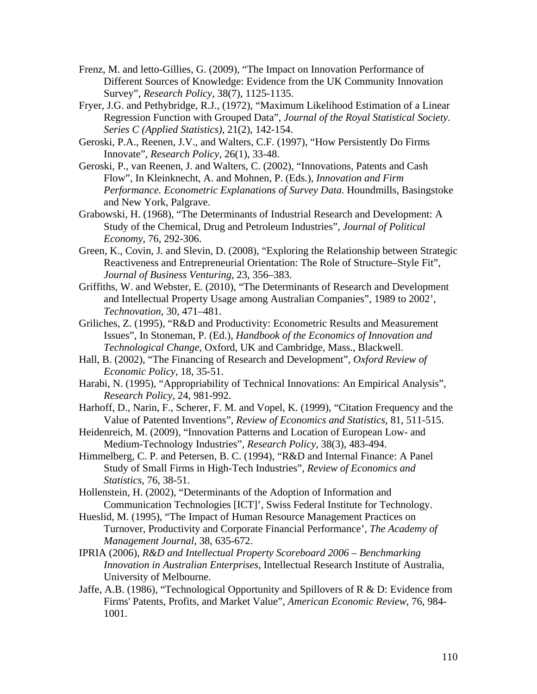- Frenz, M. and letto-Gillies, G. (2009), "The Impact on Innovation Performance of Different Sources of Knowledge: Evidence from the UK Community Innovation Survey", *Research Policy*, 38(7), 1125-1135.
- Fryer, J.G. and Pethybridge, R.J., (1972), "Maximum Likelihood Estimation of a Linear Regression Function with Grouped Data", *Journal of the Royal Statistical Society. Series C (Applied Statistics)*, 21(2), 142-154.
- Geroski, P.A., Reenen, J.V., and Walters, C.F. (1997), "How Persistently Do Firms Innovate", *Research Policy*, 26(1), 33-48.
- Geroski, P., van Reenen, J. and Walters, C. (2002), "Innovations, Patents and Cash Flow", In Kleinknecht, A. and Mohnen, P. (Eds.), *Innovation and Firm Performance. Econometric Explanations of Survey Data*. Houndmills, Basingstoke and New York, Palgrave.
- Grabowski, H. (1968), "The Determinants of Industrial Research and Development: A Study of the Chemical, Drug and Petroleum Industries", *Journal of Political Economy*, 76, 292-306.
- Green, K., Covin, J. and Slevin, D. (2008), "Exploring the Relationship between Strategic Reactiveness and Entrepreneurial Orientation: The Role of Structure–Style Fit", *Journal of Business Venturing*, 23, 356–383.
- Griffiths, W. and Webster, E. (2010), "The Determinants of Research and Development and Intellectual Property Usage among Australian Companies", 1989 to 2002', *Technovation,* 30, 471–481.
- Griliches, Z. (1995), "R&D and Productivity: Econometric Results and Measurement Issues", In Stoneman, P. (Ed.), *Handbook of the Economics of Innovation and Technological Change*, Oxford, UK and Cambridge, Mass., Blackwell.
- Hall, B. (2002), "The Financing of Research and Development", *Oxford Review of Economic Policy*, 18, 35-51.
- Harabi, N. (1995), "Appropriability of Technical Innovations: An Empirical Analysis", *Research Policy*, 24, 981-992.
- Harhoff, D., Narin, F., Scherer, F. M. and Vopel, K. (1999), "Citation Frequency and the Value of Patented Inventions", *Review of Economics and Statistics*, 81, 511-515.
- Heidenreich, M. (2009), "Innovation Patterns and Location of European Low- and Medium-Technology Industries", *Research Policy*, 38(3), 483-494.
- Himmelberg, C. P. and Petersen, B. C. (1994), "R&D and Internal Finance: A Panel Study of Small Firms in High-Tech Industries", *Review of Economics and Statistics*, 76, 38-51.
- Hollenstein, H. (2002), "Determinants of the Adoption of Information and Communication Technologies [ICT]', Swiss Federal Institute for Technology.
- Hueslid, M. (1995), "The Impact of Human Resource Management Practices on Turnover, Productivity and Corporate Financial Performance', *The Academy of Management Journal*, 38, 635-672.
- IPRIA (2006), *R&D and Intellectual Property Scoreboard 2006 Benchmarking Innovation in Australian Enterprises*, Intellectual Research Institute of Australia, University of Melbourne.
- Jaffe, A.B. (1986), "Technological Opportunity and Spillovers of R & D: Evidence from Firms' Patents, Profits, and Market Value", *American Economic Review*, 76, 984- 1001.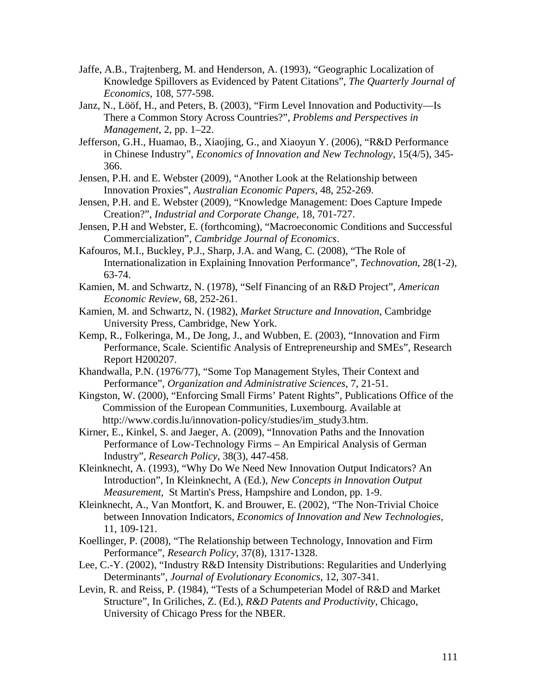- Jaffe, A.B., Trajtenberg, M. and Henderson, A. (1993), "Geographic Localization of Knowledge Spillovers as Evidenced by Patent Citations", *The Quarterly Journal of Economics*, 108, 577-598.
- Janz, N., Lööf, H., and Peters, B. (2003), "Firm Level Innovation and Poductivity—Is There a Common Story Across Countries?", *Problems and Perspectives in Management*, 2, pp. 1–22.
- Jefferson, G.H., Huamao, B., Xiaojing, G., and Xiaoyun Y. (2006), "R&D Performance in Chinese Industry", *Economics of Innovation and New Technology*, 15(4/5), 345- 366.
- Jensen, P.H. and E. Webster (2009), "Another Look at the Relationship between Innovation Proxies", *Australian Economic Papers*, 48, 252-269.
- Jensen, P.H. and E. Webster (2009), "Knowledge Management: Does Capture Impede Creation?", *Industrial and Corporate Change*, 18, 701-727.
- Jensen, P.H and Webster, E. (forthcoming), "Macroeconomic Conditions and Successful Commercialization", *Cambridge Journal of Economics*.
- Kafouros, M.I., Buckley, P.J., Sharp, J.A. and Wang, C. (2008), "The Role of Internationalization in Explaining Innovation Performance", *Technovation*, 28(1-2), 63-74.
- Kamien, M. and Schwartz, N. (1978), "Self Financing of an R&D Project", *American Economic Review*, 68, 252-261.
- Kamien, M. and Schwartz, N. (1982), *Market Structure and Innovation*, Cambridge University Press, Cambridge, New York.
- Kemp, R., Folkeringa, M., De Jong, J., and Wubben, E. (2003), "Innovation and Firm Performance, Scale. Scientific Analysis of Entrepreneurship and SMEs", Research Report H200207.
- Khandwalla, P.N. (1976/77), "Some Top Management Styles, Their Context and Performance", *Organization and Administrative Sciences*, 7, 21-51.
- Kingston, W. (2000), "Enforcing Small Firms' Patent Rights", Publications Office of the Commission of the European Communities, Luxembourg. Available at http://www.cordis.lu/innovation-policy/studies/im\_study3.htm.
- Kirner, E., Kinkel, S. and Jaeger, A. (2009), "Innovation Paths and the Innovation Performance of Low-Technology Firms – An Empirical Analysis of German Industry", *Research Policy*, 38(3), 447-458.
- Kleinknecht, A. (1993), "Why Do We Need New Innovation Output Indicators? An Introduction", In Kleinknecht, A (Ed.), *New Concepts in Innovation Output Measurement,* St Martin's Press, Hampshire and London, pp. 1-9.
- Kleinknecht, A., Van Montfort, K. and Brouwer, E. (2002), "The Non-Trivial Choice between Innovation Indicators, *Economics of Innovation and New Technologies,*  11, 109-121.
- Koellinger, P. (2008), "The Relationship between Technology, Innovation and Firm Performance", *Research Policy*, 37(8), 1317-1328.
- Lee, C.-Y. (2002), "Industry R&D Intensity Distributions: Regularities and Underlying Determinants", *Journal of Evolutionary Economics*, 12, 307-341.
- Levin, R. and Reiss, P. (1984), "Tests of a Schumpeterian Model of R&D and Market Structure", In Griliches, Z. (Ed.), *R&D Patents and Productivity*, Chicago, University of Chicago Press for the NBER.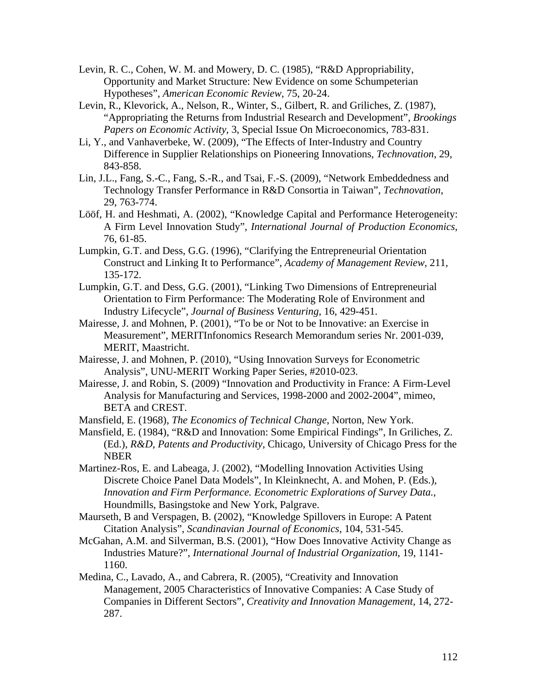- Levin, R. C., Cohen, W. M. and Mowery, D. C. (1985), "R&D Appropriability, Opportunity and Market Structure: New Evidence on some Schumpeterian Hypotheses", *American Economic Review*, 75, 20-24.
- Levin, R., Klevorick, A., Nelson, R., Winter, S., Gilbert, R. and Griliches, Z. (1987), "Appropriating the Returns from Industrial Research and Development", *Brookings Papers on Economic Activity*, 3, Special Issue On Microeconomics, 783-831.
- Li, Y., and Vanhaverbeke, W. (2009), "The Effects of Inter-Industry and Country Difference in Supplier Relationships on Pioneering Innovations, *Technovation*, 29, 843-858.
- Lin, J.L., Fang, S.-C., Fang, S.-R., and Tsai, F.-S. (2009), "Network Embeddedness and Technology Transfer Performance in R&D Consortia in Taiwan", *Technovation*, 29, 763-774.
- Lööf, H. and Heshmati, A. (2002), "Knowledge Capital and Performance Heterogeneity: A Firm Level Innovation Study", *International Journal of Production Economics*, 76, 61-85.
- Lumpkin, G.T. and Dess, G.G. (1996), "Clarifying the Entrepreneurial Orientation Construct and Linking It to Performance", *Academy of Management Review*, 211, 135-172.
- Lumpkin, G.T. and Dess, G.G. (2001), "Linking Two Dimensions of Entrepreneurial Orientation to Firm Performance: The Moderating Role of Environment and Industry Lifecycle", *Journal of Business Venturing*, 16, 429-451.
- Mairesse, J. and Mohnen, P. (2001), "To be or Not to be Innovative: an Exercise in Measurement", MERITInfonomics Research Memorandum series Nr. 2001-039, MERIT, Maastricht.
- Mairesse, J. and Mohnen, P. (2010), "Using Innovation Surveys for Econometric Analysis", UNU-MERIT Working Paper Series, #2010-023.
- Mairesse, J. and Robin, S. (2009) "Innovation and Productivity in France: A Firm-Level Analysis for Manufacturing and Services, 1998-2000 and 2002-2004", mimeo, BETA and CREST.
- Mansfield, E. (1968), *The Economics of Technical Change*, Norton, New York.
- Mansfield, E. (1984), "R&D and Innovation: Some Empirical Findings", In Griliches, Z. (Ed.), *R&D, Patents and Productivity*, Chicago, University of Chicago Press for the NBER
- Martinez-Ros, E. and Labeaga, J. (2002), "Modelling Innovation Activities Using Discrete Choice Panel Data Models", In Kleinknecht, A. and Mohen, P. (Eds.), *Innovation and Firm Performance. Econometric Explorations of Survey Data.*, Houndmills, Basingstoke and New York, Palgrave.
- Maurseth, B and Verspagen, B. (2002), "Knowledge Spillovers in Europe: A Patent Citation Analysis", *Scandinavian Journal of Economics*, 104, 531-545.
- McGahan, A.M. and Silverman, B.S. (2001), "How Does Innovative Activity Change as Industries Mature?", *International Journal of Industrial Organization*, 19, 1141- 1160.
- Medina, C., Lavado, A., and Cabrera, R. (2005), "Creativity and Innovation Management, 2005 Characteristics of Innovative Companies: A Case Study of Companies in Different Sectors", *Creativity and Innovation Management*, 14, 272- 287.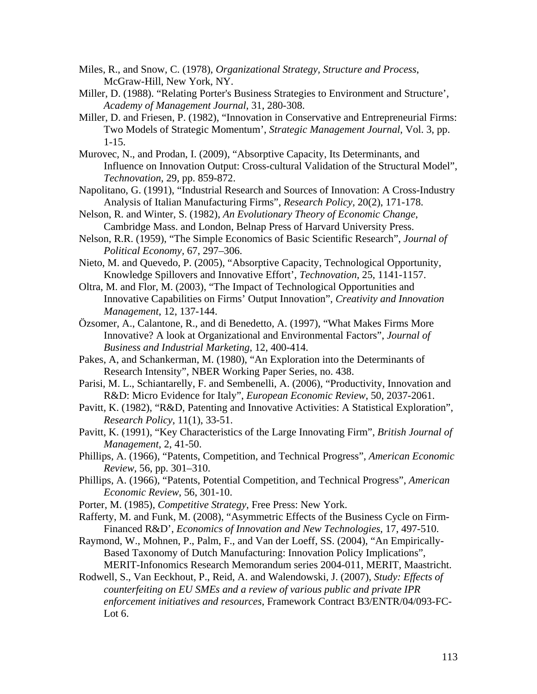- Miles, R., and Snow, C. (1978), *Organizational Strategy, Structure and Process*, McGraw-Hill, New York, NY.
- Miller, D. (1988). "Relating Porter's Business Strategies to Environment and Structure', *Academy of Management Journal*, 31, 280-308.
- Miller, D. and Friesen, P. (1982), "Innovation in Conservative and Entrepreneurial Firms: Two Models of Strategic Momentum', *Strategic Management Journal*, Vol. 3, pp. 1-15.
- Murovec, N., and Prodan, I. (2009), "Absorptive Capacity, Its Determinants, and Influence on Innovation Output: Cross-cultural Validation of the Structural Model", *Technovation*, 29, pp. 859-872.
- Napolitano, G. (1991), "Industrial Research and Sources of Innovation: A Cross-Industry Analysis of Italian Manufacturing Firms", *Research Policy,* 20(2), 171-178.
- Nelson, R. and Winter, S. (1982), *An Evolutionary Theory of Economic Change*, Cambridge Mass. and London, Belnap Press of Harvard University Press.
- Nelson, R.R. (1959), "The Simple Economics of Basic Scientific Research", *Journal of Political Economy,* 67, 297–306.
- Nieto, M. and Quevedo, P. (2005), "Absorptive Capacity, Technological Opportunity, Knowledge Spillovers and Innovative Effort', *Technovation*, 25, 1141-1157.
- Oltra, M. and Flor, M. (2003), "The Impact of Technological Opportunities and Innovative Capabilities on Firms' Output Innovation", *Creativity and Innovation Management*, 12, 137-144.
- Özsomer, A., Calantone, R., and di Benedetto, A. (1997), "What Makes Firms More Innovative? A look at Organizational and Environmental Factors", *Journal of Business and Industrial Marketing*, 12, 400-414.
- Pakes, A, and Schankerman, M. (1980), "An Exploration into the Determinants of Research Intensity", NBER Working Paper Series, no. 438.
- Parisi, M. L., Schiantarelly, F. and Sembenelli, A. (2006), "Productivity, Innovation and R&D: Micro Evidence for Italy", *European Economic Review*, 50, 2037-2061.
- Pavitt, K. (1982), "R&D, Patenting and Innovative Activities: A Statistical Exploration", *Research Policy*, 11(1), 33-51.
- Pavitt, K. (1991), "Key Characteristics of the Large Innovating Firm", *British Journal of Management*, 2, 41-50.
- Phillips, A. (1966), "Patents, Competition, and Technical Progress", *American Economic Review*, 56, pp. 301–310.
- Phillips, A. (1966), "Patents, Potential Competition, and Technical Progress", *American Economic Review*, 56, 301-10.
- Porter, M. (1985), *Competitive Strategy*, Free Press: New York.
- Rafferty, M. and Funk, M. (2008), "Asymmetric Effects of the Business Cycle on Firm-Financed R&D', *Economics of Innovation and New Technologies*, 17, 497-510.
- Raymond, W., Mohnen, P., Palm, F., and Van der Loeff, SS. (2004), "An Empirically-Based Taxonomy of Dutch Manufacturing: Innovation Policy Implications", MERIT-Infonomics Research Memorandum series 2004-011, MERIT, Maastricht.
- Rodwell, S., Van Eeckhout, P., Reid, A. and Walendowski, J. (2007), *Study: Effects of counterfeiting on EU SMEs and a review of various public and private IPR enforcement initiatives and resources*, Framework Contract B3/ENTR/04/093-FC-Lot 6.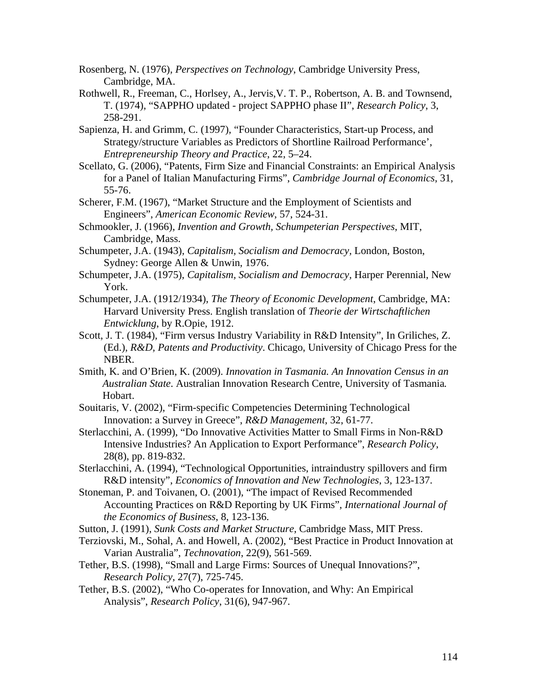- Rosenberg, N. (1976), *Perspectives on Technology*, Cambridge University Press, Cambridge, MA.
- Rothwell, R., Freeman, C., Horlsey, A., Jervis,V. T. P., Robertson, A. B. and Townsend, T. (1974), "SAPPHO updated - project SAPPHO phase II", *Research Policy*, 3, 258-291.
- Sapienza, H. and Grimm, C. (1997), "Founder Characteristics, Start-up Process, and Strategy/structure Variables as Predictors of Shortline Railroad Performance', *Entrepreneurship Theory and Practice*, 22, 5–24.
- Scellato, G. (2006), "Patents, Firm Size and Financial Constraints: an Empirical Analysis for a Panel of Italian Manufacturing Firms", *Cambridge Journal of Economics*, 31, 55-76.
- Scherer, F.M. (1967), "Market Structure and the Employment of Scientists and Engineers", *American Economic Review*, 57, 524-31.
- Schmookler, J. (1966), *Invention and Growth, Schumpeterian Perspectives*, MIT, Cambridge, Mass.
- Schumpeter, J.A. (1943), *Capitalism, Socialism and Democracy,* London, Boston, Sydney: George Allen & Unwin, 1976.
- Schumpeter, J.A. (1975), *Capitalism, Socialism and Democracy,* Harper Perennial, New York.
- Schumpeter, J.A. (1912/1934), *The Theory of Economic Development*, Cambridge, MA: Harvard University Press. English translation of *Theorie der Wirtschaftlichen Entwicklung*, by R.Opie, 1912.
- Scott, J. T. (1984), "Firm versus Industry Variability in R&D Intensity", In Griliches, Z. (Ed.), *R&D, Patents and Productivity*. Chicago, University of Chicago Press for the NBER.
- Smith, K. and O'Brien, K. (2009). *Innovation in Tasmania. An Innovation Census in an Australian State*. Australian Innovation Research Centre, University of Tasmania*.* Hobart.
- Souitaris, V. (2002), "Firm-specific Competencies Determining Technological Innovation: a Survey in Greece", *R&D Management*, 32, 61-77.
- Sterlacchini, A. (1999), "Do Innovative Activities Matter to Small Firms in Non-R&D Intensive Industries? An Application to Export Performance", *Research Policy*, 28(8), pp. 819-832.
- Sterlacchini, A. (1994), "Technological Opportunities, intraindustry spillovers and firm R&D intensity", *Economics of Innovation and New Technologies*, 3, 123-137.
- Stoneman, P. and Toivanen, O. (2001), "The impact of Revised Recommended Accounting Practices on R&D Reporting by UK Firms", *International Journal of the Economics of Business*, 8, 123-136.
- Sutton, J. (1991), *Sunk Costs and Market Structure*, Cambridge Mass, MIT Press.
- Terziovski, M., Sohal, A. and Howell, A. (2002), "Best Practice in Product Innovation at Varian Australia", *Technovation*, 22(9), 561-569.
- Tether, B.S. (1998), "Small and Large Firms: Sources of Unequal Innovations?", *Research Policy*, 27(7), 725-745.
- Tether, B.S. (2002), "Who Co-operates for Innovation, and Why: An Empirical Analysis", *Research Policy*, 31(6), 947-967.